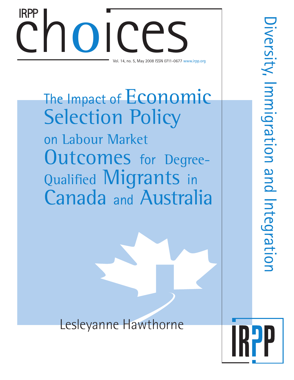# Choices College Space College College Space College College College College College College College College College College College College College College College College College College College College College College Co Vol. 14, no. 5, May 2008 ISSN 0711-0677 www.irpp.org IRPP

# The Impact of Economic **Selection Policy** on Labour Market Outcomes for Degree-Qualified Migrants in Canada and Australia

Lesleyanne Hawthorne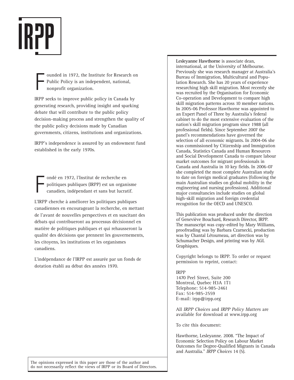

F ounded in 1972, the Institute for Research on Public Policy is an independent, national, nonprofit organization.

IRPP seeks to improve public policy in Canada by generating research, providing insight and sparking debate that will contribute to the public policy decision-making process and strengthen the quality of the public policy decisions made by Canadian governments, citizens, institutions and organizations.

IRPP's independence is assured by an endowment fund established in the early 1970s.

F ondé en 1972, l'Institut de recherche en politiques publiques (IRPP) est un organisme canadien, indépendant et sans but lucratif.

L'IRPP cherche à améliorer les politiques publiques canadiennes en encourageant la recherche, en mettant de l'avant de nouvelles perspectives et en suscitant des débats qui contribueront au processus décisionnel en matière de politiques publiques et qui rehausseront la qualité des décisions que prennent les gouvernements, les citoyens, les institutions et les organismes canadiens.

L'indépendance de l'IRPP est assurée par un fonds de dotation établi au début des années 1970.

**Lesleyanne Hawthorne** is associate dean, international, at the University of Melbourne. Previously she was research manager at Australia's Bureau of Immigration, Multicultural and Population Research. She has 20 years of experience researching high skill migration. Most recently she was recruited by the Organisation for Economic Co-operation and Development to compare high skill migration patterns across 10 member nations. In 2005-06 Professor Hawthorne was appointed to an Expert Panel of Three by Australia's federal cabinet to do the most extensive evaluation of the nation's skill migration program since 1988 (all professional fields). Since September 2007 the panel's recommendations have governed the selection of all economic migrants. In 2004-06 she was commissioned by Citizenship and Immigration Canada, Statistics Canada and Human Resources and Social Development Canada to compare labour market outcomes for migrant professionals in Canada and Australia in 10 key fields. In 2006-07 she completed the most complete Australian study to date on foreign medical graduates (following the main Australian studies on global mobility in the engineering and nursing professions). Additional major consultancies include studies on global high-skill migration and foreign credential recognition for the OECD and UNESCO.

This publication was produced under the direction of Geneviève Bouchard, Research Director, IRPP. The manuscript was copy-edited by Mary Williams, proofreading was by Barbara Czarnecki, production was by Chantal Létourneau, art direction was by Schumacher Design, and printing was by AGL Graphiques.

Copyright belongs to IRPP. To order or request permission to reprint, contact:

#### IRPP

1470 Peel Street, Suite 200 Montreal, Quebec H3A 1T1 Telephone: 514-985-2461 Fax: 514-985-2559 E-mail: irpp@irpp.org

All *IRPP Choices* and *IRPP Policy Matters* are available for download at www.irpp.org

To cite this document:

Hawthorne, Lesleyanne. 2008. "The Impact of Economic Selection Policy on Labour Market Outcomes for Degree-Qualified Migrants in Canada and Australia." *IRPP Choices* 14 (5).

The opinions expressed in this paper are those of the author and do not necessarily reflect the views of IRPP or its Board of Directors.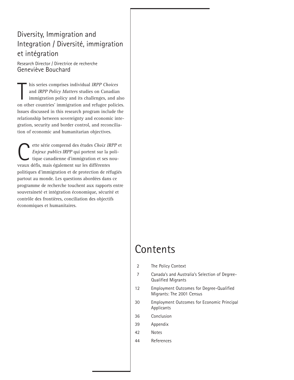### Diversity, Immigration and Integration / Diversité, immigration et intégration

Research Director / Directrice de recherche Geneviève Bouchard

his series comprises individual IRPP Choices<br>and IRPP Policy Matters studies on Canadian<br>immigration policy and its challenges, and also<br>on other countries' immigration and refugee policies. his series comprises individual *IRPP Choices* and *IRPP Policy Matters* studies on Canadian immigration policy and its challenges, and also Issues discussed in this research program include the relationship between sovereignty and economic integration, security and border control, and reconciliation of economic and humanitarian objectives.

ette série comprend des études *Choix IRPP* et<br> *Enjeux publics IRPP* qui portent sur la politique canadienne d'immigration et ses nou-*Enjeux publics IRPP* qui portent sur la politique canadienne d'immigration et ses nouveaux défis, mais également sur les différentes politiques d'immigration et de protection de réfugiés partout au monde. Les questions abordées dans ce programme de recherche touchent aux rapports entre souveraineté et intégration économique, sécurité et contrôle des frontières, conciliation des objectifs économiques et humanitaires.

## Contents

- 2 The Policy Context
- 7 Canada's and Australia's Selection of Degree-Qualified Migrants
- 12 Employment Outcomes for Degree-Qualified Migrants: The 2001 Census
- 30 Employment Outcomes for Economic Principal **Applicants**
- 36 Conclusion
- 39 Appendix
- 42 Notes
- 44 References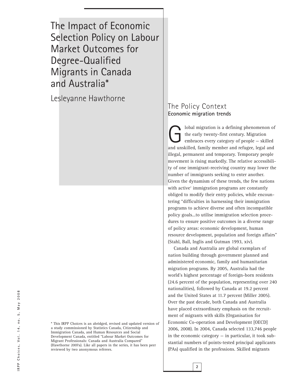The Impact of Economic Selection Policy on Labour Market Outcomes for Degree-Qualified Migrants in Canada and Australia\*

Lesleyanne Hawthorne

\* This IRPP Choices is an abridged, revised and updated version of a study commissioned by Statistics Canada, Citizenship and Immigration Canada, and Human Resources and Social Development Canada, entitled "Labour Market Outcomes for Migrant Professionals: Canada and Australia Compared" (Hawthorne 2007a). Like all papers in the series, it has been peer reviewed by two anonymous referees.

#### The Policy Context **Economic migration trends**

Iobal migration is a defining phenomenon of<br>the early twenty-first century. Migration<br>embraces every category of people – skilled<br>and unckilled family member and refugee logal and the early twenty-first century. Migration embraces every category of people — skilled and unskilled, family member and refugee, legal and illegal, permanent and temporary. Temporary people movement is rising markedly. The relative accessibility of one immigrant-receiving country may lower the number of immigrants seeking to enter another. Given the dynamism of these trends, the few nations with active<sup>1</sup> immigration programs are constantly obliged to modify their entry policies, while encountering "difficulties in harnessing their immigration programs to achieve diverse and often incompatible policy goals...to utilise immigration selection procedures to ensure positive outcomes in a diverse range of policy areas: economic development, human resource development, population and foreign affairs" (Stahl, Ball, Inglis and Gutman 1993, xiv).

Canada and Australia are global exemplars of nation building through government planned and administered economic, family and humanitarian migration programs. By 2005, Australia had the world's highest percentage of foreign-born residents (24.6 percent of the population, representing over 240 nationalities), followed by Canada at 19.2 percent and the United States at 11.7 percent (Miller 2005). Over the past decade, both Canada and Australia have placed extraordinary emphasis on the recruitment of migrants with skills (Organisation for Economic Co-operation and Development [OECD] 2006, 2008). In 2004, Canada selected 133,746 people in the economic category  $-$  in particular, it took substantial numbers of points-tested principal applicants (PAs) qualified in the professions. Skilled migrants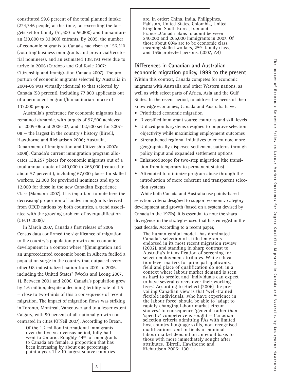constituted 59.6 percent of the total planned intake (224,346 people) at this time, far exceeding the targets set for family (51,500 to 56,800) and humanitarian (30,800 to 33,800) entrants. By 2005, the number of economic migrants to Canada had risen to 156,310 (counting business immigrants and provincial/territorial nominees), and an estimated 138,193 were due to arrive in 2006 (Cardozo and Guilfoyle 2007; Citizenship and Immigration Canada 2007). The proportion of economic migrants selected by Australia in 2004-05 was virtually identical to that selected by Canada (58 percent), including 77,800 applicants out of a permanent migrant/humanitarian intake of 133,000 people.

Australia's preference for economic migrants has remained dynamic, with targets of 97,500 achieved for 2005-06 and 2006-07, and 102,500 set for 2007- 08 — the largest in the country's history (Birrell, Hawthorne and Richardson 2006; Australia, Department of Immigration and Citizenship 2007a, 2008). Canada's current immigration program allocates 138,257 places for economic migrants out of a total annual quota of 240,000 to 265,000 (reduced to about 57 percent ), including 67,000 places for skilled workers, 22,000 for provincial nominees and up to 12,000 for those in the new Canadian Experience Class (Mamann 2007). It is important to note here the decreasing proportion of landed immigrants derived from OECD nations by both countries, a trend associated with the growing problem of overqualification (OECD 2008).2

In March 2007, Canada's first release of 2006 Census data confirmed the significance of migration to the country's population growth and economic development in a context where "[i]mmigration and an unprecedented economic boom in Alberta fuelled a population surge in the country that outpaced every other G8 industrialized nation from 2001 to 2006, including the United States" (Weeks and Leong 2007, 1). Between 2001 and 2006, Canada's population grew by 1.6 million, despite a declining fertility rate of 1.5 — close to two-thirds of this a consequence of recent migration. The impact of migration flows was striking in Toronto, Montreal, Vancouver and to a lesser extent Calgary, with 90 percent of all national growth concentrated in cities (O'Neil 2007). According to Brean,

Of the 1.2 million international immigrants over the five year census period, fully half went to Ontario. Roughly 44% of immigrants to Canada are female, a proportion that has been increasing by about one percentage point a year. The 10 largest source countries

are, in order: China, India, Philippines, Pakistan, United States, Colombia, United Kingdom, South Korea, Iran and France…Canada plans to admit between 240,000 and 265,000 immigrants in 2007. Of those about 60% are to be economic class, meaning skilled workers, 25% family class, and 15% protected persons. (2007, A4)

**Differences in Canadian and Australian economic migration policy, 1999 to the present** Within this context, Canada competes for economic migrants with Australia and other Western nations, as well as with select parts of Africa, Asia and the Gulf States. In the recent period, to address the needs of their knowledge economies, Canada and Australia have:

- Prioritized economic migration
- Diversified immigrant source countries and skill levels
- Utilized points systems designed to improve selection objectivity while maximizing employment outcomes
- Strengthened regional initiatives to encourage more geographically dispersed settlement patterns through policy input and expanded settlement options
- Enhanced scope for two-step migration (the transition from temporary to permanent status)
- Attempted to minimize program abuse through the introduction of more coherent and transparent selection systems

While both Canada and Australia use points-based selection criteria designed to support economic category development and growth (based on a system devised by Canada in the 1970s), it is essential to note the sharp divergence in the strategies used that has emerged in the past decade. According to a recent paper,

The human capital model…has dominated Canada's selection of skilled migrants endorsed in its most recent migration review (2002), and standing in sharp contrast to Australia's intensification of screening for select employment attributes. While education level matters for principal applicants, field and place of qualification do not, in a context where labour market demand is seen as hard to predict and 'individuals can expect to have several careers over their working lives.' According to Hiebert (2006) the prevailing Canadian view is that 'well-trained flexible individuals…who have experience in the labour force' should be able to 'adapt to rapidly changing labour market circumstances.' In consequence 'general' rather than 'specific' competence is sought — Canadian selection criteria admitting PAs with limited host country language skills, non-recognised qualifications, and in fields of minimal labour market demand on an equal basis to those with more immediately sought after attributes. (Birrell, Hawthorne and Richardson 2006; 130-1)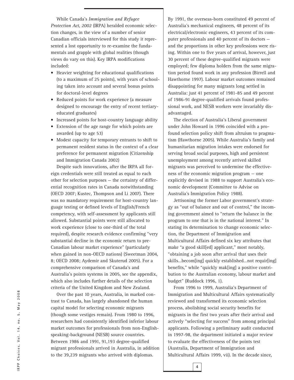While Canada's *Immigration and Refugee Protection Act, 2002* (IRPA) heralded economic selection changes, in the view of a number of senior Canadian officials interviewed for this study it represented a lost opportunity to re-examine the fundamentals and grapple with global realities (though views do vary on this). Key IRPA modifications included:

- Heavier weighting for educational qualifications (to a maximum of 25 points), with years of schooling taken into account and several bonus points for doctoral-level degrees
- Reduced points for work experience (a measure designed to encourage the entry of recent tertiaryeducated graduates)
- Increased points for host-country language ability
- Extension of the age range for which points are awarded (up to age 53)
- Modest capacity for temporary entrants to shift to permanent resident status in the context of a clear preference for permanent migration (Citizenship and Immigration Canada 2002)

Despite such innovations, after the IRPA all foreign credentials were still treated as equal to each other for selection purposes — the certainty of differential recognition rates in Canada notwithstanding (OECD 2007; Kustec, Thompson and Li 2007). There was no mandatory requirement for host-country language testing or defined levels of English/French competency, with self-assessment by applicants still allowed. Substantial points were still allocated to work experience (close to one-third of the total required), despite research evidence confirming "very substantial decline in the economic return to pre-Canadian labour market experience" (particularly when gained in non-OECD nations) (Sweetman 2004, 8; OECD 2008; Aydemir and Skuterud 2005). For a comprehensive comparison of Canada's and Australia's points systems in 2005, see the appendix, which also includes further details of the selection criteria of the United Kingdom and New Zealand.

Over the past 10 years, Australia, in marked contrast to Canada, has largely abandoned the human capital model for selecting economic migrants (though some vestiges remain). From 1980 to 1996, researchers had consistently identified inferior labour market outcomes for professionals from non-Englishspeaking-background (NESB) source countries. Between 1986 and 1991, 91,193 degree-qualified migrant professionals arrived in Australia, in addition to the 39,239 migrants who arrived with diplomas.

By 1991, the overseas-born constituted 49 percent of Australia's mechanical engineers, 48 percent of its electrical/electronic engineers, 43 percent of its computer professionals and 40 percent of its doctors and the proportions in other key professions were rising. Within one to five years of arrival, however, just 30 percent of these degree-qualified migrants were employed; few diploma holders from the same migration period found work in any profession (Birrell and Hawthorne 1997). Labour market outcomes remained disappointing for many migrants long settled in Australia: just 41 percent of 1981-85 and 49 percent of 1986-91 degree-qualified arrivals found professional work, and NESB workers were invariably disadvantaged.

The election of Australia's Liberal government under John Howard in 1996 coincided with a profound selection policy shift from altruism to pragmatism (Hawthorne 2005). While Australia's family and humanitarian migration intakes were endorsed for serving broad social purposes, high and persistent unemployment among recently arrived skilled migrants was perceived to undermine the effectiveness of the economic migration program — one explicitly devised in 1988 to support Australia's economic development (Committee to Advise on Australia's Immigration Policy 1988).

Jettisoning the former Labor government's strategy as "out of balance and out of control," the incoming government aimed to "return the balance in the program to one that is in the national interest." In stating its determination to change economic selection, the Department of Immigration and Multicultural Affairs defined six key attributes that make "a good skill[ed] applicant," most notably, "obtaining a job soon after arrival that uses their skills…becom[ing] quickly established…not requir[ing] benefits," while "quickly mak[ing] a positive contribution to the Australian economy, labour market and budget" (Ruddock 1996, 1).

From 1996 to 1999, Australia's Department of Immigration and Multicultural Affairs systematically reviewed and transformed its economic selection process, abolishing social security benefits for migrants in the first two years after their arrival and actively "selecting for success" from among principal applicants. Following a preliminary audit conducted in 1997-98, the department initiated a major review to evaluate the effectiveness of the points test (Australia, Department of Immigration and Multicultural Affairs 1999, vii). In the decade since,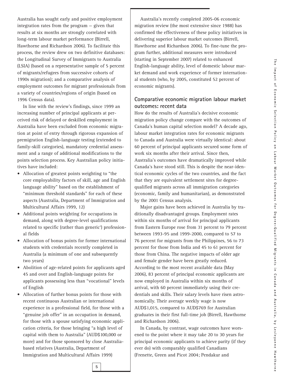Australia has sought early and positive employment integration rates from the program — given that results at six months are strongly correlated with long-term labour market performance (Birrell, Hawthorne and Richardson 2006). To facilitate this process, the review drew on two definitive databases: the Longitudinal Survey of Immigrants to Australia (LSIA) (based on a representative sample of 5 percent of migrants/refugees from successive cohorts of 1990s migration); and a comparative analysis of employment outcomes for migrant professionals from a variety of countries/regions of origin (based on 1996 Census data).

In line with the review's findings, since 1999 an increasing number of principal applicants at perceived risk of delayed or deskilled employment in Australia have been excluded from economic migration at point of entry through rigorous expansion of premigration English-language testing (extended to family-skill categories), mandatory credential assessment and a range of additional modifications to the points selection process. Key Australian policy initiatives have included:

- Allocation of greatest points weighting to "the core employability factors of skill, age and English language ability" based on the establishment of "minimum threshold standards" for each of these aspects (Australia, Department of Immigration and Multicultural Affairs 1999, 12)
- Additional points weighting for occupations in demand, along with degree-level qualifications related to specific (rather than generic<sup>3</sup>) professional fields
- Allocation of bonus points for former international students with credentials recently completed in Australia (a minimum of one and subsequently two years)
- Abolition of age-related points for applicants aged 45 and over and English-language points for applicants possessing less than "vocational" levels of English
- Allocation of further bonus points for those with recent continuous Australian or international experience in a professional field, for those with a "genuine job offer" in an occupation in demand, for those with a spouse satisfying economic application criteria, for those bringing "a high level of capital with them to Australia" (AUD\$100,000 or more) and for those sponsored by close Australiabased relatives (Australia, Department of Immigration and Multicultural Affairs 1999)

Australia's recently completed 2005-06 economic migration review (the most extensive since 1988) has confirmed the effectiveness of these policy initiatives in delivering superior labour market outcomes (Birrell, Hawthorne and Richardson 2006). To fine-tune the program further, additional measures were introduced (starting in September 2007) related to enhanced English-language ability, level of domestic labour market demand and work experience of former international students (who, by 2005, constituted 52 percent of economic migrants).

#### **Comparative economic migration labour market outcomes: recent data**

How do the results of Australia's decisive economic migration policy change compare with the outcomes of Canada's human capital selection model? A decade ago, labour market integration rates for economic migrants to Canada and Australia were virtually identical: about 60 percent of principal applicants secured some form of work six months after their arrival. Since then, Australia's outcomes have dramatically improved while Canada's have stood still. This is despite the near-identical economic cycles of the two countries, and the fact that they are equivalent settlement sites for degreequalified migrants across all immigration categories (economic, family and humanitarian), as demonstrated by the 2001 Census analysis.

Major gains have been achieved in Australia by traditionally disadvantaged groups. Employment rates within six months of arrival for principal applicants from Eastern Europe rose from 31 percent to 79 percent between 1993-95 and 1999-2000, compared to 57 to 76 percent for migrants from the Philippines, 56 to 73 percent for those from India and 45 to 61 percent for those from China. The negative impacts of older age and female gender have been greatly reduced. According to the most recent available data (May 2006), 83 percent of principal economic applicants are now employed in Australia within six months of arrival, with 60 percent immediately using their credentials and skills. Their salary levels have risen astronomically. Their average weekly wage is now AUD\$1,015, compared to AUD\$769 for Australian graduates in their first full-time job (Birrell, Hawthorne and Richardson 2006).

In Canada, by contrast, wage outcomes have worsened to the point where it may take 20 to 30 years for principal economic applicants to achieve parity (if they ever do) with comparably qualified Canadians (Frenette, Green and Picot 2004; Pendakur and

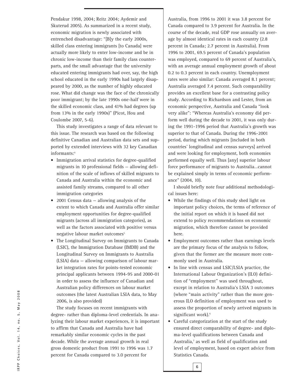Pendakur 1998, 2004; Reitz 2004; Aydemir and Skuterud 2005). As summarized in a recent study, economic migration is newly associated with entrenched disadvantage: "[B]y the early 2000s, skilled class entering immigrants [to Canada] were actually more likely to enter low-income and be in chronic low-income than their family class counterparts, and the small advantage that the university educated entering immigrants had over, say, the high school educated in the early 1990s had largely disappeared by 2000, as the number of highly educated rose. What did change was the face of the chronically poor immigrant; by the late 1990s one-half were in the skilled economic class, and 41% had degrees (up from 13% in the early 1990s)" (Picot, Hou and Coulombe 2007, 5-6).

This study investigates a range of data relevant to this issue. The research was based on the following definitive Canadian and Australian data sets and supported by extended interviews with 32 key Canadian informants:4

- Immigration arrival statistics for degree-qualified migrants in 10 professional fields — allowing definition of the scale of inflows of skilled migrants to Canada and Australia within the economic and assisted family streams, compared to all other immigration categories
- 2001 Census data allowing analysis of the extent to which Canada and Australia offer similar employment opportunities for degree-qualified migrants (across all immigration categories), as well as the factors associated with positive versus negative labour market outcomes<sup>5</sup>
- The Longitudinal Survey on Immigrants to Canada (LSIC), the Immigration Database (IMDB) and the Longitudinal Survey on Immigrants to Australia (LSIA) data — allowing comparison of labour market integration rates for points-tested economic principal applicants between 1994-95 and 2000-01 in order to assess the influence of Canadian and Australian policy differences on labour market outcomes (the latest Australian LSIA data, to May 2006, is also provided)

The study focuses on recent immigrants with degree- rather than diploma-level credentials. In analyzing their labour market experiences, it is important to affirm that Canada and Australia have had remarkably similar economic cycles in the past decade. While the average annual growth in real gross domestic product from 1991 to 1996 was 1.7 percent for Canada compared to 3.0 percent for

Australia, from 1996 to 2001 it was 3.8 percent for Canada compared to 3.9 percent for Australia. In the course of the decade, real GDP rose annually on average by almost identical rates in each country (2.8 percent in Canada; 2.7 percent in Australia). From 1996 to 2001, 69.5 percent of Canada's population was employed, compared to 69 percent of Australia's, with an average annual employment growth of about 0.2 to 0.3 percent in each country. Unemployment rates were also similar: Canada averaged 8.1 percent; Australia averaged 7.4 percent. Such comparability provides an excellent base for a contrasting policy study. According to Richardson and Lester, from an economic perspective, Australia and Canada "look very alike": "Whereas Australia's economy did perform well during the decade to 2001, it was only during the 1991-1996 period that Australia's growth was superior to that of Canada. During the 1996-2001 period, during which migrants [included in both countries' longitudinal and census surveys] arrived and were looking for employment, both economies performed equally well. Thus [any] superior labour force performance of migrants to Australia…cannot be explained simply in terms of economic performance" (2004, 10).

I should briefly note four additional methodological issues here:

- While the findings of this study shed light on important policy choices, the terms of reference of the initial report on which it is based did not extend to policy recommendations on economic migration, which therefore cannot be provided here.
- Employment outcomes rather than earnings levels are the primary focus of the analysis to follow, given that the former are the measure more commonly used in Australia.
- In line with census and LSIC/LSIA practice, the International Labour Organization's (ILO) definition of "employment" was used throughout, except in relation to Australia's LSIA 3 outcomes (where "main activity" rather than the more generous ILO definition of employment was used to assess the proportion of newly arrived migrants in significant work).<sup>6</sup>
- Careful categorization at the start of the study ensured direct comparability of degree- and diploma-level qualifications between Canada and Australia,<sup>7</sup> as well as field of qualification and level of employment, based on expert advice from Statistics Canada.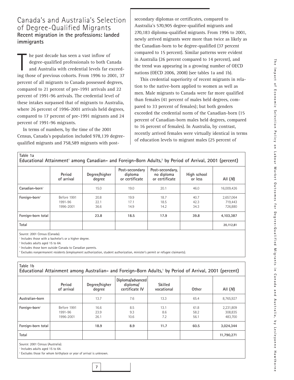#### Canada's and Australia's Selection of Degree-Qualified Migrants **Recent migration in the professions: landed immigrants**

In the past decade has seen a vast inflow of<br>degree-qualified professionals to both Canada<br>and Australia with credential levels far exceed-<br>ing those of previous cohorts. From 1996 to 2001, 37 he past decade has seen a vast inflow of degree-qualified professionals to both Canada and Australia with credential levels far exceedpercent of all migrants to Canada possessed degrees, compared to 21 percent of pre-1991 arrivals and 22 percent of 1991-96 arrivals. The credential level of these intakes surpassed that of migrants to Australia, where 26 percent of 1996-2001 arrivals held degrees, compared to 17 percent of pre-1991 migrants and 24 percent of 1991-96 migrants.

In terms of numbers, by the time of the 2001 Census, Canada's population included 978,139 degreequalified migrants and 758,589 migrants with postsecondary diplomas or certificates, compared to Australia's 570,905 degree-qualified migrants and 270,183 diploma-qualified migrants. From 1996 to 2001, newly arrived migrants were more than twice as likely as the Canadian-born to be degree-qualified (37 percent compared to 15 percent). Similar patterns were evident in Australia (26 percent compared to 14 percent), and the trend was appearing in a growing number of OECD nations (OECD 2006, 2008) (see tables 1a and 1b).

This credential superiority of recent migrants in relation to the native-born applied to women as well as men. Male migrants to Canada were far more qualified than females (41 percent of males held degrees, compared to 33 percent of females); but both genders exceeded the credential norm of the Canadian-born (15 percent of Canadian-born males held degrees, compared to 16 percent of females). In Australia, by contrast, recently arrived females were virtually identical in terms of education levels to migrant males (25 percent of

| Table 1a                  |                                     | Educational Attainment <sup>1</sup> among Canadian- and Foreign-Born Adults, <sup>2</sup> by Period of Arrival, 2001 (percent) |                                             |                                                 |                        |                                 |
|---------------------------|-------------------------------------|--------------------------------------------------------------------------------------------------------------------------------|---------------------------------------------|-------------------------------------------------|------------------------|---------------------------------|
|                           | Period<br>of arrival                | Degree/higher<br>degree                                                                                                        | Post-secondary<br>diploma<br>or certificate | Post-secondary,<br>no diploma<br>or certificate | High school<br>or less | All $(M)$                       |
| $Canadian-born3$          |                                     | 15.0                                                                                                                           | 19.0                                        | 20.1                                            | 46.0                   | 16,009,426                      |
| Foreign-born <sup>4</sup> | Before 1991<br>1991-96<br>1996-2001 | 20.8<br>22.1<br>36.6                                                                                                           | 19.9<br>17.1<br>14.9                        | 18.7<br>18.5<br>14.2                            | 40.7<br>42.3<br>34.3   | 2,657,064<br>719.443<br>726,880 |
| Foreign-born total        |                                     | 23.8                                                                                                                           | 18.5                                        | 17.9                                            | 39.8                   | 4,103,387                       |
| Total                     |                                     |                                                                                                                                |                                             |                                                 |                        | 20,112,81                       |

Source: 2001 Census (Canada).

Includes those with a bachelor's or a higher degree.

Includes adults aged 15 to 64.

<sup>3</sup> Includes those born outside Canada to Canadian parents.

<sup>4</sup> Excludes nonpermanent residents (employment authorization, student authorization, minister's permit or refugee claimants).

| Table 1b                  |                                     |                         | Educational Attainment among Australian- and Foreign-Born Adults, <sup>1</sup> by Period of Arrival, 2001 (percent) |                       |                      |                                 |
|---------------------------|-------------------------------------|-------------------------|---------------------------------------------------------------------------------------------------------------------|-----------------------|----------------------|---------------------------------|
|                           | Period<br>of arrival                | Degree/higher<br>degree | Diploma/advanced<br>diploma/<br>certificate IV                                                                      | Skilled<br>vocational | Other                | All $(M)$                       |
| Australian-born           |                                     | 13.7                    | 7.6                                                                                                                 | 13.3                  | 65.4                 | 8,765,927                       |
| Foreign-born <sup>2</sup> | Before 1991<br>1991-96<br>1996-2001 | 16.6<br>23.9<br>26.1    | 8.5<br>9.3<br>10.6                                                                                                  | 13.1<br>8.6<br>7.2    | 61.8<br>58.2<br>56.1 | 2,231,809<br>308,835<br>483,700 |
| Foreign-born total        |                                     | 18.9                    | 8.9                                                                                                                 | 11.7                  | 60.5                 | 3.024.344                       |
| Total                     |                                     |                         |                                                                                                                     |                       |                      | 11,790,271                      |

Source: 2001 Census (Australia).

Includes adults aged 15 to 64.

<sup>2</sup> Excludes those for whom birthplace or year of arrival is unknown.

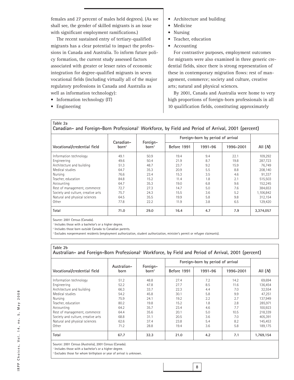females and 27 percent of males held degrees). (As we shall see, the gender of skilled migrants is an issue with significant employment ramifications.)

The recent sustained entry of tertiary-qualified migrants has a clear potential to impact the professions in Canada and Australia. To inform future policy formation, the current study assessed factors associated with greater or lesser rates of economic integration for degree-qualified migrants in seven vocational fields (including virtually all of the major regulatory professions in Canada and Australia as well as information technology):

- Information technology (IT)
- Engineering
- Architecture and building
- Medicine
- Nursing
- Teacher, education
- Accounting

For contrastive purposes, employment outcomes for migrants were also examined in three generic credential fields, since there is strong representation of these in contemporary migration flows: rest of management, commerce; society and culture, creative arts; natural and physical sciences.

By 2001, Canada and Australia were home to very high proportions of foreign-born professionals in all 10 qualification fields, constituting approximately

**Table 2a** Canadian- and Foreign-Born Professional<sup>1</sup> Workforce, by Field and Period of Arrival, 2001 (percent)

|                                    |                   | Foreign-<br>Canadian- |             | Foreign-born by period of arrival |           |           |
|------------------------------------|-------------------|-----------------------|-------------|-----------------------------------|-----------|-----------|
| Vocational/credential field        | born <sup>2</sup> | born <sup>3</sup>     | Before 1991 | 1991-96                           | 1996-2001 | All $(M)$ |
| Information technology             | 49.1              | 50.9                  | 19.4        | 9.4                               | 22.1      | 109,292   |
| Engineering                        | 49.6              | 50.4                  | 21.9        | 8.7                               | 19.8      | 287,723   |
| Architecture and building          | 51.3              | 48.7                  | 23.7        | 9.2                               | 15.9      | 76.749    |
| Medical studies                    | 64.7              | 35.3                  | 20.9        | 5.5                               | 8.8       | 208,140   |
| Nursing                            | 76.6              | 23.4                  | 15.3        | 3.5                               | 4.6       | 91,337    |
| Teacher, education                 | 84.8              | 15.2                  | 11.4        | 1.8                               | 2.1       | 515,503   |
| Accounting                         | 64.7              | 35.3                  | 19.0        | 6.8                               | 9.6       | 152,245   |
| Rest of management, commerce       | 72.7              | 27.3                  | 14.7        | 5.0                               | 7.6       | 384,653   |
| Society and culture, creative arts | 75.7              | 24.3                  | 15.5        | 3.6                               | 5.2       | 1,106,842 |
| Natural and physical sciences      | 64.5              | 35.5                  | 19.9        | 5.8                               | 9.8       | 312.154   |
| Other                              | 77.8              | 22.2                  | 11.9        | 3.8                               | 6.5       | 129,420   |
| Total                              | 71.0              | 29.0                  | 16.4        | 4.7                               | 7.9       | 3.374.057 |

Source: 2001 Census (Canada).

<sup>1</sup> Includes those with a bachelor's or a higher degree.

<sup>2</sup> Includes those born outside Canada to Canadian parents.

<sup>8</sup> Excludes nonpermanent residents (employment authorization, student authorization, minister's permit or refugee claimants).

#### **Table 2b** Australian- and Foreign-Born Professional<sup>1</sup> Workforce, by Field and Period of Arrival, 2001 (percent)

|                                    |      | Foreign-<br>Australian- |             | Foreign-born by period of arrival |           |           |
|------------------------------------|------|-------------------------|-------------|-----------------------------------|-----------|-----------|
| Vocational/credential field        | born | born <sup>2</sup>       | Before 1991 | 1991-96                           | 1996-2001 | AII (M)   |
| Information technology             | 51.2 | 48.8                    | 27.4        | 7.2                               | 14.2      | 69,694    |
| Engineering                        | 52.2 | 47.8                    | 27.7        | 8.5                               | 11.6      | 136,454   |
| Architecture and building          | 66.3 | 33.7                    | 22.3        | 4.4                               | 7.0       | 32,554    |
| Medical studies                    | 54.2 | 45.8                    | 30.1        | 5.8                               | 9.9       | 47.251    |
| Nursing                            | 75.9 | 24.1                    | 19.2        | 2.2                               | 2.7       | 137,949   |
| Teacher, education                 | 80.2 | 19.8                    | 15.2        | 1.8                               | 2.8       | 285,971   |
| Accounting                         | 64.2 | 35.7                    | 23.4        | 4.6                               | 7.7       | 100,923   |
| Rest of management, commerce       | 64.4 | 35.6                    | 20.1        | 5.0                               | 10.5      | 218,339   |
| Society and culture, creative arts | 68.8 | 31.1                    | 20.5        | 3.6                               | 7.0       | 405,391   |
| Natural and physical sciences      | 62.6 | 37.4                    | 23.8        | 5.4                               | 8.2       | 145,453   |
| Other                              | 71.2 | 28.8                    | 19.4        | 3.6                               | 5.8       | 189,175   |
| Total                              | 67.7 | 32.3                    | 21.0        | 4.2                               | 7.1       | 1,769,154 |

Source: 2001 Census (Australia), 2001 Census (Canada).

Includes those with a bachelor's or a higher degree.

<sup>2</sup> Excludes those for whom birthplace or year of arrival is unknown.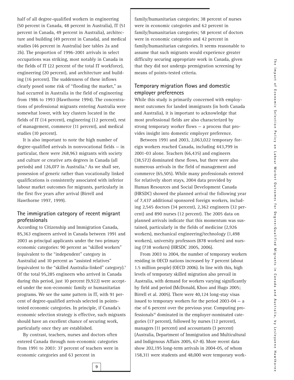half of all degree-qualified workers in engineering (50 percent in Canada, 48 percent in Australia), IT (51 percent in Canada, 49 percent in Australia), architecture and building (49 percent in Canada), and medical studies (46 percent in Australia) (see tables 2a and 2b). The proportion of 1996-2001 arrivals in select occupations was striking, most notably in Canada in the fields of IT (22 percent of the total IT workforce), engineering (20 percent), and architecture and building (16 percent). The suddenness of these inflows clearly posed some risk of "flooding the market," as had occurred in Australia in the field of engineering from 1986 to 1993 (Hawthorne 1994). The concentrations of professional migrants entering Australia were somewhat lower, with key clusters located in the fields of IT (14 percent), engineering (12 percent), rest of management, commerce (11 percent), and medical studies (10 percent).

It is also important to note the high number of degree-qualified arrivals in nonvocational fields — in particular, there were 268,963 migrants with society and culture or creative arts degrees in Canada (all periods) and 126,077 in Australia.<sup>8</sup> As we shall see, possession of generic rather than vocationally linked qualifications is consistently associated with inferior labour market outcomes for migrants, particularly in the first five years after arrival (Birrell and Hawthorne 1997, 1999).

#### **The immigration category of recent migrant professionals**

According to Citizenship and Immigration Canada, 85,363 engineers arrived in Canada between 1991 and 2003 as principal applicants under the two primary economic categories: 90 percent as "skilled workers" (equivalent to the "independent" category in Australia) and 10 percent as "assisted relatives" (equivalent to the "skilled Australia-linked" category).9 Of the total 95,285 engineers who arrived in Canada during this period, just 10 percent (9,922) were accepted under the non-economic family or humanitarian programs. We see the same pattern in IT, with 91 percent of degree-qualified arrivals selected in pointstested economic categories. In principle, if Canada's economic selection strategy is effective, such migrants should have an excellent chance of securing work, particularly once they are established.

By contrast, teachers, nurses and doctors often entered Canada through non-economic categories from 1991 to 2003: 37 percent of teachers were in economic categories and 63 percent in

**9**

family/humanitarian categories; 38 percent of nurses were in economic categories and 62 percent in family/humanitarian categories; 58 percent of doctors were in economic categories and 42 percent in family/humanitarian categories. It seems reasonable to assume that such migrants would experience greater difficulty securing appropriate work in Canada, given that they did not undergo premigration screening by means of points-tested criteria.

#### **Temporary migration flows and domestic employer preferences**

While this study is primarily concerned with employment outcomes for landed immigrants (in both Canada and Australia), it is important to acknowledge that most professional fields are also characterized by strong temporary worker flows — a process that provides insight into domestic employer preference.

Between 1991 and 2003, 2,063,022 temporary foreign workers reached Canada, including 443,799 in 2001-03 alone. Teachers (66,435) and engineers (38,572) dominated these flows, but there were also numerous arrivals in the field of management and commerce (65,505). While many professionals entered for relatively short stays, 2004 data provided by Human Resources and Social Development Canada (HRSDC) showed the planned arrival the following year of 7,437 additional sponsored foreign workers, including 2,545 doctors (34 percent), 2,362 engineers (32 percent) and 890 nurses (12 percent). The 2005 data on planned arrivals indicate that this momentum was sustained, particularly in the fields of medicine (2,926 workers), mechanical engineering/technology (1,498 workers), university professors (878 workers) and nursing (738 workers) (HRSDC 2005, 2006).

From 2003 to 2004, the number of temporary workers residing in OECD nations increased by 7 percent (about 1.5 million people) (OECD 2006). In line with this, high levels of temporary skilled migration also prevail in Australia, with demand for workers varying significantly by field and period (McDonald, Khoo and Hugo 2005; Birrell et al. 2005). There were 40,124 long-stay visas issued to temporary workers for the period 2003-04 — a rise of 6 percent over the previous year. Computing professionals<sup>10</sup> dominated in the employer-nominated categories (17 percent), followed by nurses (12 percent), managers (11 percent) and accountants (3 percent) (Australia, Department of Immigration and Multicultural and Indigenous Affairs 2005, 67-8). More recent data show 202,195 long-term arrivals in 2004-05, of whom 158,311 were students and 48,000 were temporary work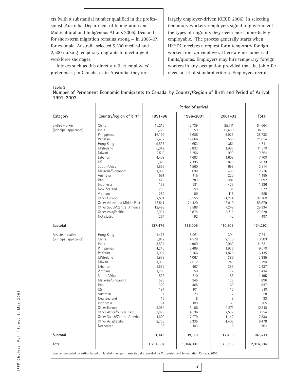ers (with a substantial number qualified in the professions) (Australia, Department of Immigration and Multicultural and Indigenous Affairs 2005). Demand for short-term migration remains strong — in 2006-07, for example, Australia selected 5,500 medical and 2,500 nursing temporary migrants to meet urgent workforce shortages.

Intakes such as this directly reflect employers' preferences; in Canada, as in Australia, they are

largely employer-driven (OECD 2006). In selecting temporary workers, employers signal to government the types of migrants they deem most immediately employable. "The process generally starts when HRSDC receives a request for a temporary foreign worker from an employer. There are no numerical limits/quotas. Employers may hire temporary foreign workers in any occupation provided that the job offer meets a set of standard criteria. Employers recruit

**Table 3 Number of Permanent Economic Immigrants to Canada, by Country/Region of Birth and Period of Arrival, 1991-2003**

|                        |                              |         | Period of arrival |                |         |
|------------------------|------------------------------|---------|-------------------|----------------|---------|
| Category               | Country/region of birth      | 1991-96 | 1996-2001         | $2001 - 03$    | Total   |
| Skilled worker         | China                        | 16,215  | 42,739            | 25,711         | 84,664  |
| (principal applicants) | India                        | 5,723   | 18,159            | 12,680         | 36,561  |
|                        | Philippines                  | 16,199  | 5,606             | 3,928          | 25,732  |
|                        | Pakistan                     | 2,432   | 12,666            | 556            | 21,054  |
|                        | Hong Kong                    | 9,537   | 4,653             | 351            |         |
|                        |                              |         |                   |                | 14,541  |
|                        | UK/Ireland                   | 6,042   | 3,833             | 1,995          | 11,870  |
|                        | Taiwan                       | 2,510   | 6,256             | 999            | 9,764   |
|                        | Lebanon                      | 4,409   | 1,683             | 1,608          | 7,700   |
|                        | US                           | 3,370   | 2,395             | 875            | 6,639   |
|                        | South Africa                 | 1,556   | 1,560             | 698            | 3,814   |
|                        | Malaysia/Singapore           | 1,069   | 698               | 450            | 2,216   |
|                        | Australia                    | 551     | 415               | 220            | 1,185   |
|                        | Iraq                         | 428     | 783               | 481            | 1,692   |
|                        | Indonesia                    | 133     | 581               | 423            | 1,136   |
|                        | New Zealand                  | 283     | 159               | 131            | 572     |
|                        | Vietnam                      | 252     | 189               | 115            | 555     |
|                        | Other Europe                 |         |                   | 21,274         |         |
|                        |                              | 32,531  | 38,555            |                | 92,360  |
|                        | Other Africa and Middle East | 15,541  | 24,429            | 18,910         | 58,879  |
|                        | Other South/Central America  | 12,498  | 9,588             | 7,249          | 29,334  |
|                        | Other Asia/Pacific           | 5,937   | 10,874            | 6,718          | 23,528  |
|                        | Not stated                   | 264     | 192               | 42             | 497     |
| Subtotal               |                              | 137,476 | 186,009           | 110,809        | 434,293 |
| Assisted relative      | Hong Kong                    | 11,477  | 5,961             | 304            | 17,741  |
| (principal applicants) | China                        | 3,812   | 4,578             | 2,120          | 10,509  |
|                        | India                        | 3,594   | 4,969             | 2,969          | 11,531  |
|                        | Philippines                  | 4,246   | 3,489             | 1,936          | 9,670   |
|                        | Pakistan                     | 1,092   | 3,166             | 1,878          | 6,135   |
|                        | UK/Ireland                   | 1,933   | 1,067             | 386            | 3,385   |
|                        | Taiwan                       | 1,030   | 2,012             | 249            | 3,290   |
|                        | Lebanon                      |         | 467               | 389            |         |
|                        |                              | 1,582   |                   |                | 2,437   |
|                        | Vietnam                      | 1,263   | 150               | 22             | 1,434   |
|                        | South Africa                 | 528     | 510               | 158            | 1,195   |
|                        | Malaysia/Singapore           | 523     | 245               | 128            | 896     |
|                        | Iraq                         | 309     | 368               | 160            | 837     |
|                        | US                           | 194     | 101               | 16             | 310     |
|                        | Australia                    | 34      | 23                | $\overline{2}$ | 58      |
|                        | New Zealand                  | 15      | 8                 | 8              | 30      |
|                        | Indonesia                    | 94      | 109               | 63             | 265     |
|                        | Other Europe                 | 8,054   | 3,186             | 1,571          | 12,810  |
|                        | Other Africa/Middle East     | 3,826   | 4,196             | 2,532          | 10,554  |
|                        | Other South/Central America  | 4,609   | 2,079             | 1,142          | 7,830   |
|                        | Other Asia/Pacific           | 2,738   | 2,335             | 1,405          | 6,478   |
|                        | Not stated                   | 195     | 103               | 6              | 304     |
| Subtotal               |                              | 51,143  | 39,118            | 17,438         | 107,699 |
|                        |                              |         |                   |                |         |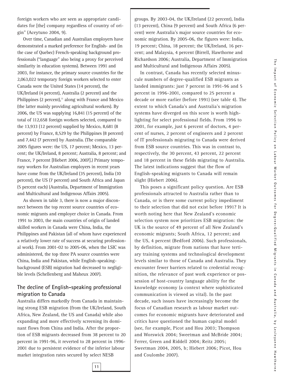foreign workers who are seen as appropriate candidates for [the] company regardless of country of origin" (Aceytuno 2004, 9).

Over time, Canadian and Australian employers have demonstrated a marked preference for English- and (in the case of Quebec) French-speaking background professionals ("language" also being a proxy for perceived similarity in education systems). Between 1991 and 2003, for instance, the primary source countries for the 2,063,022 temporary foreign workers selected to enter Canada were the United States (14 percent), the UK/Ireland (4 percent), Australia (2 percent) and the Philippines (2 percent), $\mu$  along with France and Mexico (the latter mainly providing agricultural workers). By 2006, the US was supplying 16,841 (15 percent) of the total of 112,658 foreign workers selected, compared to the 13,933 (12 percent) supplied by Mexico, 8,681 (8 percent) by France, 8,529 by the Philippines (8 percent) and 7,442 (7 percent) by Australia. (The comparable 2005 figures were: the US, 17 percent; Mexico, 13 percent; the UK/Ireland, 8 percent; Australia, 8 percent; and France, 7 percent [Hiebert 2006, 2007].) Primary temporary workers for Australian employers in recent years have come from the UK/Ireland (35 percent), India (10 percent), the US (7 percent) and South Africa and Japan (5 percent each) (Australia, Department of Immigration and Multicultural and Indigenous Affairs 2005).

As shown in table 3, there is now a major disconnect between the top recent source countries of economic migrants and employer choice in Canada. From 1991 to 2003, the main countries of origin of landed skilled workers in Canada were China, India, the Philippines and Pakistan (all of whom have experienced a relatively lower rate of success at securing professional work). From 2001-02 to 2005-06, when the LSIC was administered, the top three PA source countries were China, India and Pakistan, while English-speakingbackground (ESB) migration had decreased to negligible levels (Schellenberg and Maheux 2007).

#### **The decline of English-speaking professional migration to Canada**

Australia differs markedly from Canada in maintaining strong ESB migration (from the UK/Ireland, South Africa, New Zealand, the US and Canada) while also expanding and more effectively screening its dominant flows from China and India. After the proportion of ESB migrants decreased from 38 percent to 20 percent in 1991-96, it reverted to 28 percent in 1996- 2001 due to persistent evidence of the inferior labour market integration rates secured by select NESB

groups. By 2003-04, the UK/Ireland (22 percent), India (13 percent), China (9 percent) and South Africa (6 percent) were Australia's major source countries for economic migration. By 2005-06, the figures were: India, 19 percent; China, 18 percent; the UK/Ireland, 16 percent; and Malaysia, 4 percent (Birrell, Hawthorne and Richardson 2006; Australia, Department of Immigration and Multicultural and Indigenous Affairs 2005).

In contrast, Canada has recently selected minuscule numbers of degree-qualified ESB migrants as landed immigrants: just 7 percent in 1991-96 and 5 percent in 1996-2001, compared to 25 percent a decade or more earlier (before 1991) (see table 4). The extent to which Canada's and Australia's migration systems have diverged on this score is worth highlighting for select professional fields. From 1996 to 2001, for example, just 6 percent of doctors, 4 percent of nurses, 2 percent of engineers and 2 percent of IT professionals migrating to Canada were derived from ESB source countries. This was in contrast to, respectively, the 30 percent, 43 percent, 22 percent and 18 percent in these fields migrating to Australia. The latest indications suggest that the flow of English-speaking migrants to Canada will remain slight (Hiebert 2006).

This poses a significant policy question. Are ESB professionals attracted to Australia rather than to Canada, or is there some current policy impediment to their selection that did not exist before 1991? It is worth noting here that New Zealand's economic selection system now prioritizes ESB migration: the UK is the source of 49 percent of all New Zealand's economic migrants; South Africa, 12 percent; and the US, 4 percent (Bedford 2006). Such professionals, by definition, migrate from nations that have tertiary training systems and technological development levels similar to those of Canada and Australia. They encounter fewer barriers related to credential recognition, the relevance of past work experience or possession of host-country language ability for the knowledge economy (a context where sophisticated communication is viewed as vital). In the past decade, such issues have increasingly become the focus of Canadian research as labour market outcomes for economic migrants have deteriorated and critics have questioned the human capital model (see, for example, Picot and Hou 2003; Thompson and Worswick 2004; Sweetman and McBride 2004; Ferrer, Green and Riddell 2004; Reitz 2005; Sweetman 2004, 2005, b; Hiebert 2006; Picot, Hou and Coulombe 2007).

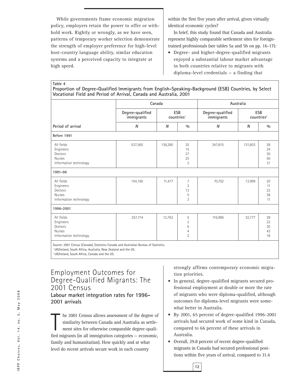While governments frame economic migration policy, employers retain the power to offer or withhold work. Rightly or wrongly, as we have seen, patterns of temporary worker selection demonstrate the strength of employer preference for high-level host-country language ability, similar education systems and a perceived capacity to integrate at high speed.

within the first five years after arrival, given virtually identical economic cycles?

In brief, this study found that Canada and Australia represent highly comparable settlement sites for foreigntrained professionals (see tables 5a and 5b on pp. 16-17):

• Degree- and higher-degree-qualified migrants enjoyed a substantial labour market advantage in both countries relative to migrants with diploma-level credentials — a finding that

**Table 4 Proportion of Degree-Qualified Immigrants from English-Speaking-Background (ESB) Countries, by Select Vocational Field and Period of Arrival, Canada and Australia, 2001**

|                                                                                                                                                                   |                                | Canada                        |                                                 |                                | Australia                     |                            |  |  |  |  |
|-------------------------------------------------------------------------------------------------------------------------------------------------------------------|--------------------------------|-------------------------------|-------------------------------------------------|--------------------------------|-------------------------------|----------------------------|--|--|--|--|
|                                                                                                                                                                   | Degree-qualified<br>immigrants | ESB<br>countries <sup>1</sup> |                                                 | Degree-qualified<br>immigrants | ESB<br>countries <sup>2</sup> |                            |  |  |  |  |
| Period of arrival                                                                                                                                                 | N                              | N                             | 0/0                                             | N                              | N                             | 0/0                        |  |  |  |  |
| Before 1991                                                                                                                                                       |                                |                               |                                                 |                                |                               |                            |  |  |  |  |
| All fields<br>Engineers<br>Doctors<br><b>Nurses</b><br>Information technology                                                                                     | 537,565                        | 136,280                       | 25<br>15<br>27<br>25<br>$\overline{2}$          | 347,815                        | 131,803                       | 38<br>24<br>30<br>56<br>21 |  |  |  |  |
| 1991-96                                                                                                                                                           |                                |                               |                                                 |                                |                               |                            |  |  |  |  |
| All fields<br>Engineers<br>Doctors<br><b>Nurses</b><br>Information technology                                                                                     | 154,160                        | 11,477                        | 7<br>3<br>13<br>5<br>3                          | 70,702                         | 13,999                        | 20<br>11<br>22<br>38<br>11 |  |  |  |  |
| 1996-2001                                                                                                                                                         |                                |                               |                                                 |                                |                               |                            |  |  |  |  |
| All fields<br>Engineers<br>Doctors<br><b>Nurses</b><br>Information technology                                                                                     | 257,714                        | 12,762                        | 5<br>$\overline{2}$<br>6<br>4<br>$\overline{2}$ | 116,986                        | 32,777                        | 28<br>22<br>30<br>43<br>18 |  |  |  |  |
| Source: 2001 Census (Canada), Statistics Canada and Australian Bureau of Statistics.<br><sup>1</sup> UK/Ireland, South Africa, Australia, New Zealand and the US. |                                |                               |                                                 |                                |                               |                            |  |  |  |  |

<sup>2</sup> UK/Ireland, South Africa, Canada and the US.

Employment Outcomes for Degree-Qualified Migrants: The 2001 Census **Labour market integration rates for 1996- 2001 arrivals**

 $\begin{bmatrix} 1 \\ 1 \\ 1 \end{bmatrix}$ he 2001 Census allows assessment of the degree of similarity between Canada and Australia as settlement sites for otherwise comparable degree-qualified migrants (in all immigration categories — economic, family and humanitarian). How quickly and at what level do recent arrivals secure work in each country

strongly affirms contemporary economic migration priorities.

- In general, degree-qualified migrants secured professional employment at double or more the rate of migrants who were diploma-qualified, although outcomes for diploma-level migrants were somewhat better in Australia.
- By 2001, 65 percent of degree-qualified 1996-2001 arrivals had secured work of some kind in Canada, compared to 66 percent of these arrivals in Australia.
- Overall, 29.8 percent of recent degree-qualified migrants in Canada had secured professional positions within five years of arrival, compared to 31.4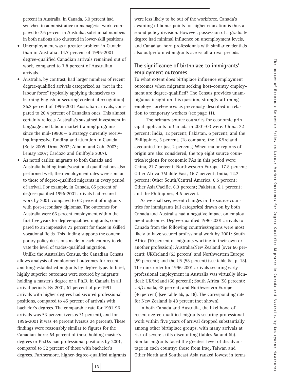percent in Australia. In Canada, 5.0 percent had switched to administrative or managerial work, compared to 7.6 percent in Australia; substantial numbers in both nations also clustered in lower-skill positions.

- Unemployment was a greater problem in Canada than in Australia: 14.7 percent of 1996-2001 degree-qualified Canadian arrivals remained out of work, compared to 7.8 percent of Australian arrivals.
- Australia, by contrast, had larger numbers of recent degree-qualified arrivals categorized as "not in the labour force" (typically applying themselves to learning English or securing credential recognition): 26.2 percent of 1996-2001 Australian arrivals, compared to 20.4 percent of Canadian ones. This almost certainly reflects Australia's sustained investment in language and labour market training programs since the mid-1980s — a strategy currently receiving impressive funding and attention in Canada (Reitz 2005; Orme 2007; Alboim and Cohl 2007; Lemay 2007; Cardozo and Guilfoyle 2007).
- As noted earlier, migrants to both Canada and Australia holding trade/vocational qualifications also performed well; their employment rates were similar to those of degree-qualified migrants in every period of arrival. For example, in Canada, 65 percent of degree-qualified 1996-2001 arrivals had secured work by 2001, compared to 62 percent of migrants with post-secondary diplomas. The outcomes for Australia were 66 percent employment within the first five years for degree-qualified migrants, compared to an impressive 73 percent for those in skilled vocational fields. This finding supports the contemporary policy decisions made in each country to elevate the level of trades-qualified migration.

Unlike the Australian Census, the Canadian Census allows analysis of employment outcomes for recent and long-established migrants by degree type. In brief, highly superior outcomes were secured by migrants holding a master's degree or a Ph.D. in Canada in all arrival periods. By 2001, 61 percent of pre-1991 arrivals with higher degrees had secured professional positions, compared to 45 percent of arrivals with bachelor's degrees. The comparable rate for 1991-96 arrivals was 53 percent (versus 31 percent), and for 1996-2001 it was 44 percent (versus 24 percent). These findings were reasonably similar to figures for the Canadian-born: 64 percent of those holding master's degrees or Ph.D.s had professional positions by 2001, compared to 52 percent of those with bachelor's degrees. Furthermore, higher-degree-qualified migrants were less likely to be out of the workforce. Canada's awarding of bonus points for higher education is thus a sound policy decision. However, possession of a graduate degree had minimal influence on unemployment levels, and Canadian-born professionals with similar credentials also outperformed migrants across all arrival periods.

#### **The significance of birthplace to immigrants' employment outcomes**

To what extent does birthplace influence employment outcomes when migrants seeking host-country employment are degree-qualified? The Census provides unambiguous insight on this question, strongly affirming employer preferences as previously described in relation to temporary workers (see page 11).

The primary source countries for economic principal applicants to Canada in 2001-03 were: China, 22 percent; India, 12 percent; Pakistan, 6 percent; and the Philippines, 5 percent. (To compare, the UK/Ireland accounted for just 2 percent.) When major regions of origin are also considered, the top eight source countries/regions for economic PAs in this period were: China, 21.7 percent; Northwestern Europe, 17.8 percent; Other Africa<sup>12</sup>/Middle East, 16.7 percent; India, 12.2 percent; Other South/Central America, 6.5 percent; Other Asia/Pacific, 6.3 percent; Pakistan, 6.1 percent; and the Philippines, 4.6 percent.

As we shall see, recent changes in the source countries for immigrants (all categories) drawn on by both Canada and Australia had a negative impact on employment outcomes. Degree-qualified 1996-2001 arrivals to Canada from the following countries/regions were most likely to have secured professional work by 2001: South Africa (70 percent of migrants working in their own or another profession); Australia/New Zealand (over 66 percent); UK/Ireland (63 percent) and Northwestern Europe (59 percent); and the US (58 percent) (see table 6a, p. 18). The rank order for 1996-2001 arrivals securing early professional employment in Australia was virtually identical: UK/Ireland (60 percent); South Africa (58 percent); US/Canada, 48 percent; and Northwestern Europe (46 percent) (see table 6b, p. 18). The corresponding rate for New Zealand is 48 percent (not shown).

In both Canada and Australia, the likelihood of recent degree-qualified migrants securing professional work within five years of arrival dropped substantially among other birthplace groups, with many arrivals at risk of severe skills discounting (tables 6a and 6b). Similar migrants faced the greatest level of disadvantage in each country: those from Iraq, Taiwan and Other North and Southeast Asia ranked lowest in terms

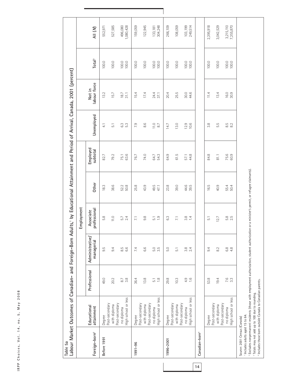| n n n<br>o<br>D<br>D<br>J |
|---------------------------|
| $\times$ a $\times$       |
| 5,                        |
| n o .                     |
| $^{14}$                   |
| $\frac{1}{2}$             |
| Choices,<br>ï             |
| <b>IRPP</b>               |

| Table 5a                                                       |                                                                                                                         |                                   | Labour Market Outcomes of Canadian- and Foreign-Born Adults,' by Educational Attainment and Period of Arrival, Canada, 2001 (percent) |                                  |                                                |                      |                    |                        |                       |                        |
|----------------------------------------------------------------|-------------------------------------------------------------------------------------------------------------------------|-----------------------------------|---------------------------------------------------------------------------------------------------------------------------------------|----------------------------------|------------------------------------------------|----------------------|--------------------|------------------------|-----------------------|------------------------|
|                                                                |                                                                                                                         |                                   |                                                                                                                                       | Employment                       |                                                |                      |                    |                        |                       |                        |
| Foreign-born <sup>2</sup>                                      | Educational<br>attainment                                                                                               | Professional                      | Administrative<br>managerial                                                                                                          | professional<br>Associate        | Other                                          | Employed<br>subtotal | Unemployed         | labour force<br>Not in | Total <sup>3</sup>    | AII (M)                |
| Before 1991                                                    | Degree                                                                                                                  | 49.0                              | LQ.<br>တ                                                                                                                              | 5.8                              | 18.3                                           | 82.7                 | $\overline{4}$     | 13.2                   | 100.0                 | 552,971                |
|                                                                | Post-secondary<br>Post-secondary<br>with diploma                                                                        | 20.2                              | 9.4                                                                                                                                   | 11.0                             | 38.6                                           | 79.2                 | $\overline{51}$    | 15.7                   | 100.0                 | 527,585                |
|                                                                | High school or less<br>no diploma                                                                                       | $3.\overline{8}$<br>8.7           | 8.5<br>6.6                                                                                                                            | $5.7$<br>2.4                     | 52.2<br>50.8                                   | 75.1<br>63.6         | 6.3<br>5.3         | 18.7<br>31.1           | 100.0<br>100.0        | 1,080,428<br>496,080   |
| 1991-96                                                        | Degree                                                                                                                  | 36.4                              | 7.4                                                                                                                                   | $\overline{71}$                  | 25.8                                           | 76.7                 | 7.9                | 5.4                    | 100.0                 | 159,059                |
|                                                                | Post-secondary<br>with diploma                                                                                          | 13.8                              | 6.6                                                                                                                                   | 9.8                              | 43.9                                           | 74.0                 | 8.6                | 17.4                   | 100.0                 | 122,945                |
|                                                                | High school or less<br>Post-secondary<br>no diploma                                                                     | $\frac{8}{10}$<br>$\overline{51}$ | 5.5<br>3.5                                                                                                                            | $\frac{0}{2}$<br>$\overline{51}$ | 49.5<br>47.1                                   | 64.7<br>54.3         | $\frac{11.0}{8.7}$ | 24.4<br>37.1           | $\frac{100.0}{100.0}$ | 304,248<br>133,181     |
| 1996-2001                                                      | Degree                                                                                                                  | 29.8                              | 5.0                                                                                                                                   | C <sub>3</sub>                   | 23.8                                           | 64.9                 | 14.7               | 20.4                   | 100.0                 | 266,109                |
|                                                                | Post-secondary<br>with diploma                                                                                          | 10.3                              | $\overline{5.1}$                                                                                                                      | $\overline{71}$                  | 39.0                                           | 61.5                 | 13.0               | 25.5                   | 100.0                 | 108,059                |
|                                                                | High school or less<br>Post-secondary<br>no diploma                                                                     | $4.9$<br>1.6                      | $3.8$<br>2.4                                                                                                                          | 3.8<br>1.4                       | 44.6<br>39.5                                   | 44.8<br>57.1         | $12.9$<br>$10.6$   | 30.0<br>44.6           | 100.0<br>100.0        | 103,199<br>249,514     |
| Canadian-born <sup>4</sup>                                     |                                                                                                                         |                                   |                                                                                                                                       |                                  |                                                |                      |                    |                        |                       |                        |
|                                                                | Post-secondary<br>Degree                                                                                                | 53.8                              | 9.4                                                                                                                                   | $\overline{51}$                  | 16.5                                           | 84.8                 | 3.8                | 11.4                   | 100.0                 | 2,395,918              |
|                                                                | Post-secondary<br>with diploma                                                                                          | 19.4                              | 8.2                                                                                                                                   | 12.7                             | 40.9                                           | 81.1                 | 5.5                | 13.4                   | 100.0                 | 3,042,529              |
|                                                                | High school or less<br>no diploma                                                                                       | 7.6<br>3.3                        | $6.\overline{8}$<br>4.8                                                                                                               | 5.5<br>2.5                       | 55.4<br>50.4                                   | 75.6<br>60.9         | 8.2<br>8.2         | 16.0<br>30.9           | 100.0<br>100.0        | 3,215,110<br>7,355,870 |
| Includes adults aged 15 to 64.<br>Source: 2001 Census (Canada) | 4 Includes those born outside Canada to Canadian parents.<br><sup>3</sup> Totals may not add up to 100 due to rounding. |                                   | <sup>2</sup> Excludes nonpermanent residents (those with employment authorization, student authorization                              |                                  | or a minister's permit, or refugee claimants). |                      |                    |                        |                       |                        |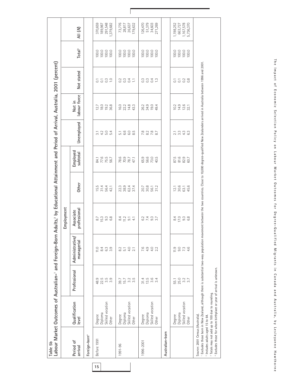| Table 5b                                    | Labour Market Outcomes of Australian-' and Foreign-Born Adults, <sup>2</sup> by Educational Attainment and Period of Arrival, Australia, 2001 (percent)                                                              |                  |                               |                           |                                   |                      |                         |                            |                                           |                          |                    |
|---------------------------------------------|----------------------------------------------------------------------------------------------------------------------------------------------------------------------------------------------------------------------|------------------|-------------------------------|---------------------------|-----------------------------------|----------------------|-------------------------|----------------------------|-------------------------------------------|--------------------------|--------------------|
|                                             |                                                                                                                                                                                                                      |                  |                               | Employment                |                                   |                      |                         |                            |                                           |                          |                    |
| Period of<br>arrival                        | Qualification<br>level                                                                                                                                                                                               | Professional     | Administrative/<br>managerial | professional<br>Associate | Other                             | Employed<br>subtotal | Unemployed              | labour force<br>Not in     | Not stated                                | <b>Total<sup>3</sup></b> | All (M)            |
| Foreign-born <sup>4</sup>                   |                                                                                                                                                                                                                      |                  |                               |                           |                                   |                      |                         |                            |                                           |                          |                    |
| Before 1991                                 | Diploma<br>Degree                                                                                                                                                                                                    | 22.5<br>48.9     | 8.4<br>11.0                   | 15.3<br>8.7               | 15.5<br>31.4                      | 84.1                 | 4.2<br>$\overline{3}$ . | 18.0<br>12.7               | $\overline{C}$<br>$\overline{C}$          | 100.0<br>100.0           | 370,659<br>189,987 |
|                                             | Skilled vocation                                                                                                                                                                                                     | 3.5              | $63\,$                        | $9.\overline{3}$          | 56.4                              | 77.6<br>75.5<br>56.7 | 5.0                     | 19.2                       | $\overline{0}$                            | 100.0                    | 291,548            |
|                                             | Other                                                                                                                                                                                                                | $3.\overline{9}$ | $3.\overline{9}$              | 6.8                       | 42.1                              |                      | 5.4                     | 36.8                       | $\overline{C}$                            | 100.0                    | 1,379,682          |
| 1991-96                                     | Degree                                                                                                                                                                                                               | 39.7             | 8.2                           | 8.4                       | 22.3                              |                      | $\overline{51}$         | 16.0                       | $\rm C$                                   | 100.0                    | 73,776             |
|                                             | Diploma                                                                                                                                                                                                              | 15.7             | $\overline{5}$ .              | 11.2                      | 38.9                              | 78.6<br>78.7<br>47.1 | 6.6                     | 22.2                       | $\widetilde{\mathrm{C}}$                  | 100.0                    | 28,817             |
|                                             | Skilled vocation                                                                                                                                                                                                     | 3.2              | 4.0                           | $\overline{5}$            | 62.4<br>37.4                      |                      | G.5<br>8.5              | 14.8                       | 0.4                                       | 100.0                    | 26,637             |
|                                             | Other                                                                                                                                                                                                                | 3.5              | $\overline{2.1}$              | 4.1                       |                                   |                      |                         | 43.3                       | $\sum$                                    | 100.0                    | 179,632            |
| 1996-2001                                   | Degree                                                                                                                                                                                                               | 31.4             | 7.6                           | 6.2                       |                                   | 65.9                 |                         | 26.2                       |                                           | 100.0                    | 126,470            |
|                                             | Diploma                                                                                                                                                                                                              | 13.5             | 4.9                           |                           |                                   |                      |                         | 34.9                       | 334<br>033                                | 100.0                    | 51,379<br>34,603   |
|                                             | Skilled vocation                                                                                                                                                                                                     | 3.6              | 4.0                           | $79.7$<br>$9.7$           | 20.7<br>30.8<br>56.1<br>31.2      | 56.0<br>73.0<br>40.5 | 7.8787<br>8.787         | 19.0                       |                                           | 100.0                    |                    |
|                                             | Other                                                                                                                                                                                                                | 3.4              | 2.2                           |                           |                                   |                      |                         | 49.4                       | $\frac{3}{2}$                             | 100.0                    | 271,269            |
| Australian-born                             |                                                                                                                                                                                                                      |                  |                               |                           |                                   |                      |                         |                            |                                           |                          |                    |
|                                             | Degree                                                                                                                                                                                                               | 55.1             | 11.9                          | 8.4                       |                                   |                      |                         |                            | $\overline{\text{o}}$                     | 100.0                    | 1,198,252          |
|                                             | Diploma                                                                                                                                                                                                              | 25.0             | 0, 0, 0, 4, 6                 | 7.38                      | $\frac{21}{30}$ 6<br>30.1<br>45.6 | 87.5<br>81.6<br>80.7 | 2 3 3 4 6<br>2 3 4 6    | $12.3$<br>$12.5$<br>$12.7$ | $\frac{1}{0}$ $\frac{3}{0}$ $\frac{8}{0}$ | 100.0                    | 663,727            |
|                                             | Skilled vocation                                                                                                                                                                                                     | 3.2<br>3.7       |                               |                           |                                   |                      |                         |                            |                                           | 100.0                    | 1,167,578          |
|                                             | Other                                                                                                                                                                                                                |                  |                               |                           |                                   |                      |                         |                            |                                           | 100.0                    | 5,736,370          |
| Source: 2001 Census (Australia).            | Excludes those born in New Zealand, although there is substantial two-way population movement between the two countries. Close to 10,000 degree-qualified New Zealanders arrived in Australia between 1996 and 2001. |                  |                               |                           |                                   |                      |                         |                            |                                           |                          |                    |
| <sup>2</sup> Includes adults aged 15 to 64. |                                                                                                                                                                                                                      |                  |                               |                           |                                   |                      |                         |                            |                                           |                          |                    |
|                                             | 4 Excludes those for whom birthplace or year of arrival is unknown.<br><sup>3</sup> Totals may not add up to 100 due to rounding.                                                                                    |                  |                               |                           |                                   |                      |                         |                            |                                           |                          |                    |
|                                             |                                                                                                                                                                                                                      |                  |                               |                           |                                   |                      |                         |                            |                                           |                          |                    |

Г

The Impact of Economic Selection Policy on Labour Market Outcomes for Degree-Qualified Migrants in Canada and Australia, by Lesleyanne Hawthorne **The Impact of Economic Selection Policy on Labour Market Outcomes for Degree-Qualified Migrants in Canada and Australia, by Les leyanne Hawthorne**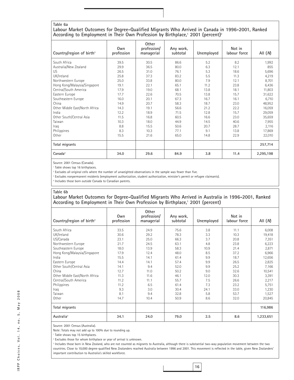#### **Table 6a**

#### **Labour Market Outcomes for Degree-Qualified Migrants Who Arrived in Canada in 1996-2001, Ranked According to Employment in Their Own Profession by Birthplace,1 2001 (percent)2**

| Country/region of birth <sup>3</sup> | Own<br>profession | Other<br>profession/<br>managerial | Any work,<br>subtotal | Unemployed | Not in<br>labour force | All $(M)$ |
|--------------------------------------|-------------------|------------------------------------|-----------------------|------------|------------------------|-----------|
| South Africa                         | 39.5              | 30.5                               | 86.6                  | 5.2        | 8.2                    | 1,992     |
| Australia/New Zealand                | 29.9              | 36.5                               | 80.0                  | 6.3        | 12.1                   | 855       |
| US.                                  | 26.5              | 31.0                               | 76.1                  | 5.3        | 18.6                   | 5,696     |
| UK/Ireland                           | 25.8              | 37.3                               | 83.2                  | 5.5        | 11.3                   | 4,219     |
| Northwestern Europe                  | 25.0              | 33.8                               | 80.0                  | 7.9        | 12.1                   | 8,701     |
| Hong Kong/Malaysia/Singapore         | 19.1              | 22.1                               | 65.1                  | 11.2       | 23.8                   | 6,436     |
| Central/South America                | 17.9              | 19.0                               | 68.1                  | 13.8       | 18.1                   | 11,803    |
| Eastern Europe                       | 17.7              | 22.6                               | 70.5                  | 13.8       | 15.7                   | 31,622    |
| Southeastern Europe                  | 16.0              | 20.1                               | 67.3                  | 16.7       | 16.1                   | 6,710     |
| China                                | 14.9              | 20.7                               | 58.3                  | 18.7       | 23.0                   | 48,952    |
| Other Middle East/North Africa       | 14.3              | 19.1                               | 56.6                  | 21.2       | 22.2                   | 16,059    |
| India                                | 12.2              | 18.9                               | 71.5                  | 12.8       | 15.7                   | 29,059    |
| Other South/Central Asia             | 11.5              | 16.8                               | 60.5                  | 16.6       | 23.0                   | 35,659    |
| Taiwan                               | 10.3              | 18.0                               | 44.9                  | 14.5       | 40.6                   | 7,955     |
| Iraq                                 | 8.8               | 15.5                               | 50.6                  | 20.7       | 28.7                   | 2,116     |
| Philippines                          | 8.3               | 10.3                               | 77.1                  | 9.1        | 13.8                   | 17,869    |
| Other                                | 15.5              | 21.6                               | 65.0                  | 14.8       | 22.9                   | 22,010    |
| Total migrants                       |                   |                                    |                       |            |                        | 257,714   |
| Canada <sup>4</sup>                  | 34.0              | 29.6                               | 84.9                  | 3.8        | 11.4                   | 2,295,198 |

Source: 2001 Census (Canada).

<sup>1</sup> Table shows top 16 birthplaces.

<sup>2</sup> Excludes all original cells where the number of unweighted observations in the sample was fewer than five.

<sup>3</sup> Excludes nonpermanent residents (employment authorization, student authorization, minister's permit or refugee claimants).

<sup>4</sup> Includes those born outside Canada to Canadian parents.

#### **Table 6b**

#### **Labour Market Outcomes for Degree-Qualified Migrants Who Arrived in Australia in 1996-2001, Ranked According to Employment in Their Own Profession by Birthplace,1 2001 (percent)**

| Country/region of birth <sup>2</sup> | Own<br>profession | Other<br>profession/<br>managerial | Any work,<br>subtotal | Unemployed | Not in<br>labour force | All $(M)$ |
|--------------------------------------|-------------------|------------------------------------|-----------------------|------------|------------------------|-----------|
| South Africa                         | 33.5              | 24.9                               | 75.6                  | 3.8        | 11.1                   | 6,008     |
| UK/Ireland                           | 30.6              | 29.2                               | 78.3                  | 3.3        | 10.3                   | 19,418    |
| US/Canada                            | 23.1              | 25.0                               | 66.3                  | 3.7        | 20.8                   | 7,351     |
| Northwestern Europe                  | 21.7              | 24.5                               | 63.1                  | 4.8        | 23.8                   | 6,223     |
| Southeastern Europe                  | 18.0              | 13.9                               | 58.3                  | 10.9       | 21.4                   | 2,871     |
| Hong Kong/Malaysia/Singapore         | 17.9              | 12.4                               | 48.0                  | 8.5        | 37.2                   | 6,966     |
| India                                | 15.5              | 14.1                               | 61.4                  | 9.9        | 18.7                   | 12,656    |
| Eastern Europe                       | 14.4              | 14.1                               | 57.4                  | 9.9        | 26.5                   | 2,825     |
| Other South/Central Asia             | 14.1              | 9.4                                | 52.0                  | 9.9        | 25.2                   | 7,166     |
| China                                | 12.7              | 11.0                               | 50.2                  | 9.0        | 32.6                   | 10,541    |
| Other Middle East/North Africa       | 11.3              | 11.6                               | 46.1                  | 12.0       | 30.3                   | 3,391     |
| Central/South America                | 11.2              | 11.1                               | 55.7                  | 7.5        | 26.6                   | 2,217     |
| Philippines                          | 11.2              | 6.5                                | 61.4                  | 7.3        | 23.2                   | 5,751     |
| Iraq                                 | 9.3               | 3.0                                | 30.4                  | 24.1       | 33.0                   | 1,230     |
| Taiwan                               | 8.1               | 9.4                                | 32.8                  | 5.8        | 53.7                   | 1,527     |
| Other                                | 14.7              | 10.4                               | 50.9                  | 8.6        | 32.0                   | 20,845    |
| Total migrants                       |                   |                                    |                       |            |                        | 116,986   |
| Australia <sup>3</sup>               | 34.1              | 24.0                               | 79.0                  | 2.5        | 8.6                    | 1,233,651 |

Source: 2001 Census (Australia).

Note: Totals may not add up to 100% due to rounding up.

<sup>1</sup> Table shows top 15 birthplaces.

<sup>2</sup> Excludes those for whom birthplace or year of arrival is unknown.

<sup>3</sup> Includes those born in New Zealand, who are not counted as migrants to Australia, although there is substantial two-way population movement between the two countries. Close to 10,000 degree-qualified New Zealanders reached Australia between 1996 and 2001. This movement is reflected in the table, given New Zealanders' important contribution to Australia's skilled workforce.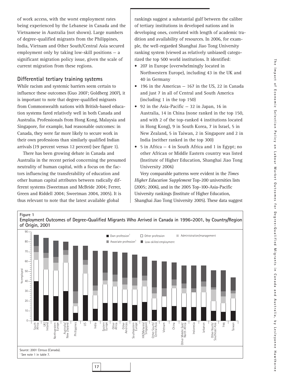of work access, with the worst employment rates being experienced by the Lebanese in Canada and the Vietnamese in Australia (not shown). Large numbers of degree-qualified migrants from the Philippines, India, Vietnam and Other South/Central Asia secured employment only by taking low-skill positions  $-$  a significant migration policy issue, given the scale of current migration from these regions.

#### **Differential tertiary training systems**

While racism and systemic barriers seem certain to influence these outcomes (Guo 2007; Goldberg 2007), it is important to note that degree-qualified migrants from Commonwealth nations with British-based education systems fared relatively well in both Canada and Australia. Professionals from Hong Kong, Malaysia and Singapore, for example, had reasonable outcomes: in Canada, they were far more likely to secure work in their own professions than similarly qualified Indian arrivals (19 percent versus 12 percent) (see figure 1).

There has been growing debate in Canada and Australia in the recent period concerning the presumed neutrality of human capital, with a focus on the factors influencing the transferability of education and other human capital attributes between radically different systems (Sweetman and McBride 2004; Ferrer, Green and Riddell 2004; Sweetman 2004, 2005). It is thus relevant to note that the latest available global

rankings suggest a substantial gulf between the calibre of tertiary institutions in developed nations and in developing ones, correlated with length of academic tradition and availability of resources. In 2006, for example, the well-regarded Shanghai Jiao Tong University ranking system (viewed as relatively unbiased) categorized the top 500 world institutions. It identified:

- 207 in Europe (overwhelmingly located in Northwestern Europe), including 43 in the UK and 40 in Germany
- 196 in the Americas 167 in the US, 22 in Canada and just 7 in all of Central and South America (including 1 in the top 150)
- 92 in the Asia-Pacific 32 in Japan, 16 in Australia, 14 in China (none ranked in the top 150, and with 2 of the top-ranked 4 institutions located in Hong Kong), 9 in South Korea, 7 in Israel, 5 in New Zealand, 5 in Taiwan, 2 in Singapore and 2 in India (neither ranked in the top 300)
- 5 in Africa 4 in South Africa and 1 in Egypt; no other African or Middle Eastern country was listed (Institute of Higher Education, Shanghai Jiao Tong University 2006)

Very comparable patterns were evident in the *Times Higher Education Supplement* Top-200 universities lists (2005; 2006), and in the 2005 Top-100-Asia-Pacific University rankings (Institute of Higher Education, Shanghai Jiao Tong University 2005). These data suggest

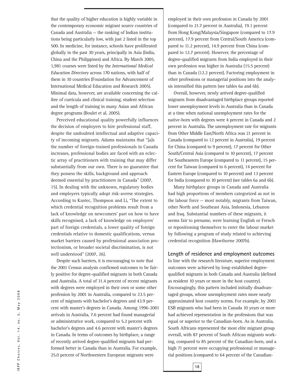that the quality of higher education is highly variable in the contemporary economic migrant source countries of Canada and Australia — the ranking of Indian institutions being particularly low, with just 2 listed in the top 500. In medicine, for instance, schools have proliferated globally in the past 30 years, principally in Asia (India, China and the Philippines) and Africa. By March 2005, 1,981 courses were listed by the *International Medical Education Directory* across 170 nations, with half of them in 10 countries (Foundation for Advancement of International Medical Education and Research 2005). Minimal data, however, are available concerning the calibre of curricula and clinical training, student selection and the length of training in many Asian and African degree programs (Boulet et al. 2005).

Perceived educational quality powerfully influences the decision of employers to hire professional staff, despite the undoubted intellectual and adaptive capacity of incoming migrants. Adams maintains that "[a]s the number of foreign-trained professionals in Canada increases, professional bodies are faced with an eclectic array of practitioners with training that may differ substantially from our own. There is no guarantee that they possess the skills, background and approach deemed essential by practitioners in Canada" (2007, 15). In dealing with the unknown, regulatory bodies and employers typically adopt risk-averse strategies. According to Kustec, Thompson and Li, "The extent to which credential recognition problems result from a lack of knowledge on newcomers' part on how to have skills recognised, a lack of knowledge on employers' part of foreign credentials, a lower quality of foreign credentials relative to domestic qualifications, versus market barriers caused by professional association protectionism, or broader societal discrimination, is not well understood" (2007, 26).

Despite such barriers, it is encouraging to note that the 2001 Census analysis confirmed outcomes to be fairly positive for degree-qualified migrants in both Canada and Australia. A total of 31.4 percent of recent migrants with degrees were employed in their own or some other profession by 2001 in Australia, compared to 23.5 percent of migrants with bachelor's degrees and 43.9 percent with master's degrees in Canada. Among 1996-2001 arrivals in Australia, 7.6 percent had found managerial or administrative work, compared to 5.2 percent with bachelor's degrees and 4.6 percent with master's degrees in Canada. In terms of outcomes by birthplace, a range of recently arrived degree-qualified migrants had performed better in Canada than in Australia. For example, 25.0 percent of Northwestern European migrants were

employed in their own profession in Canada by 2001 (compared to 21.7 percent in Australia), 19.1 percent from Hong Kong/Malaysia/Singapore (compared to 17.9 percent), 17.9 percent from Central/South America (compared to 11.2 percent), 14.9 percent from China (compared to 12.7 percent). However, the percentage of degree-qualified migrants from India employed in their own profession was higher in Australia (15.5 percent) than in Canada (12.2 percent). Factoring employment in other professions or managerial positions into the analysis intensified this pattern (see tables 6a and 6b).

Overall, however, newly arrived degree-qualified migrants from disadvantaged birthplace groups reported lower unemployment levels in Australia than in Canada at a time when national unemployment rates for the native-born with degrees were 4 percent in Canada and 2 percent in Australia. The unemployment rate for migrants from Other Middle East/North Africa was 21 percent in Canada (compared to 12 percent in Australia), 19 percent for China (compared to 9 percent), 17 percent for Other South/Central Asia (compared to 10 percent), 17 percent for Southeastern Europe (compared to 11 percent), 15 percent for Taiwan (compared to 6 percent), 14 percent for Eastern Europe (compared to 10 percent) and 13 percent for India (compared to 10 percent) (see tables 6a and 6b).

Many birthplace groups in Canada and Australia had high proportions of members categorized as not in the labour force — most notably, migrants from Taiwan, other North and Southeast Asia, Indonesia, Lebanon and Iraq. Substantial numbers of these migrants, it seems fair to presume, were learning English or French or repositioning themselves to enter the labour market by following a program of study related to achieving credential recognition (Hawthorne 2007b).

**Length of residence and employment outcomes** In line with the research literature, superior employment outcomes were achieved by long-established degreequalified migrants in both Canada and Australia (defined as resident 10 years or more in the host country). Encouragingly, this pattern included initially disadvantaged groups, whose unemployment rates more nearly approximated host country norms. For example, by 2001 ESB migrants who had been in Canada 10 years or more had achieved representation in the professions that was equal or superior to the Canadian-born. As in Australia, South Africans represented the most elite migrant group overall, with 87 percent of South African migrants working, compared to 85 percent of the Canadian-born, and a high 71 percent were occupying professional or managerial positions (compared to 64 percent of the Canadian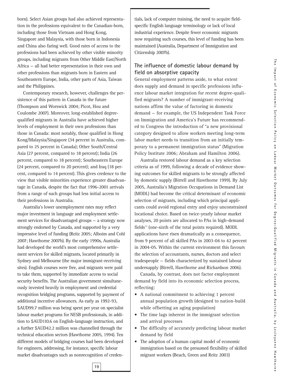born). Select Asian groups had also achieved representation in the professions equivalent to the Canadian-born, including those from Vietnam and Hong Kong, Singapore and Malaysia, with those born in Indonesia and China also faring well. Good rates of access to the professions had been achieved by other visible minority groups, including migrants from Other Middle East/North Africa — all had better representation in their own and other professions than migrants born in Eastern and Southeastern Europe, India, other parts of Asia, Taiwan and the Philippines.

Contemporary research, however, challenges the persistence of this pattern in Canada in the future (Thompson and Worswick 2004; Picot, Hou and Coulombe 2007). Moreover, long-established degreequalified migrants in Australia have achieved higher levels of employment in their own professions than those in Canada: most notably, those qualified in Hong Kong/Malaysia/Singapore (34 percent in Australia, compared to 25 percent in Canada); Other South/Central Asia (27 percent, compared to 18 percent); India (26 percent, compared to 18 percent); Southeastern Europe (24 percent, compared to 20 percent); and Iraq (18 percent, compared to 14 percent). This gives credence to the view that visible minorities experience greater disadvantage in Canada, despite the fact that 1996-2001 arrivals from a range of such groups had less initial access to their professions in Australia.

Australia's lower unemployment rates may reflect major investment in language and employment settlement services for disadvantaged groups — a strategy now strongly endorsed by Canada, and supported by a very impressive level of funding (Reitz 2005; Alboim and Cohl 2007; Hawthorne 2007b). By the early 1990s, Australia had developed the world's most comprehensive settlement services for skilled migrants, located primarily in Sydney and Melbourne (the major immigrant-receiving sites). English courses were free, and migrants were paid to take them, supported by immediate access to social security benefits. The Australian government simultaneously invested heavily in employment and credential recognition bridging programs, supported by payment of additional incentive allowances. As early as 1992-93, \$AUD99.7 million was being spent per year on specialist labour market programs for NESB professionals, in addition to \$AUD110.6 on English-language instruction, and a further \$AUD42.2 million was channelled through the technical education sectors (Hawthorne 2005, 1994). Ten different models of bridging courses had been developed for engineers, addressing, for instance, specific labour market disadvantages such as nonrecognition of credentials, lack of computer training, the need to acquire fieldspecific English language terminology or lack of local industrial experience. Despite fewer economic migrants now requiring such courses, this level of funding has been maintained (Australia, Department of Immigration and Citizenship 2007b).

#### **The influence of domestic labour demand by field on absorptive capacity**

General employment patterns aside, to what extent does supply and demand in specific professions influence labour market integration for recent degree-qualified migrants? A number of immigrant-receiving nations affirm the value of factoring in domestic demand — for example, the US Independent Task Force on Immigration and America's Future has recommended to Congress the introduction of "a new provisional category designed to allow workers meeting long-term labor market needs to transition from an initially temporary to a permanent immigration status" (Migration Policy Institute 2006; Abraham and Hamilton 2006).

Australia restored labour demand as a key selection criteria as of 1999, following a decade of evidence showing outcomes for skilled migrants to be strongly affected by domestic supply (Birrell and Hawthorne 1999). By July 2005, Australia's Migration Occupations in Demand List (MODL) had become the critical determinant of economic selection of migrants, including which principal applicants could avoid regional entry and enjoy unconstrained locational choice. Based on twice-yearly labour market analyses, 20 points are allocated to PAs in high-demand fields<sup>13</sup> (one-sixth of the total points required). MODL applications have risen dramatically as a consequence, from 9 percent of all skilled PAs in 2003-04 to 42 percent in 2004-05. Within the current environment this favours the selection of accountants, nurses, doctors and select tradespeople — fields characterized by sustained labour undersupply (Birrell, Hawthorne and Richardson 2006).

Canada, by contrast, does not factor employment demand by field into its economic selection process, reflecting:

- A national commitment to achieving 1 percent annual population growth (designed to nation-build while offsetting an aging population)
- The time lags inherent in the immigrant selection and arrival processes
- The difficulty of accurately predicting labour market demand by field
- The adoption of a human capital model of economic immigration based on the presumed flexibility of skilled migrant workers (Beach, Green and Reitz 2003)

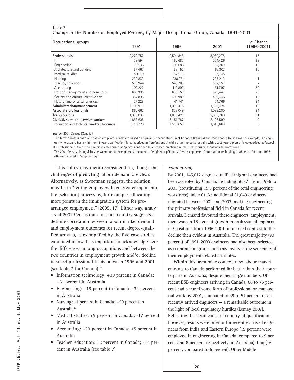| Table 7<br>Change in the Number of Employed Persons, by Major Occupational Group, Canada, 1991-2001 |           |           |           |                             |
|-----------------------------------------------------------------------------------------------------|-----------|-----------|-----------|-----------------------------|
| Occupational groups                                                                                 | 1991      | 1996      | 2001      | % Change<br>$(1996 - 2001)$ |
| Professionals <sup>1</sup>                                                                          | 2,272,752 | 2,504,848 | 3,030,278 | 17                          |
| ΙT                                                                                                  | 79,594    | 162,687   | 264,426   | 38                          |
| Engineering <sup>2</sup>                                                                            | 98,536    | 108,686   | 133,269   | 18                          |
| Architecture and building                                                                           | 57,467    | 53,152    | 63,307    | 16                          |
| Medical studies                                                                                     | 50,910    | 52,573    | 57,745    | 9                           |
| Nursing                                                                                             | 239,833   | 238,071   | 236,213   | $-1$                        |
| Teacher, education                                                                                  | 520,944   | 548,788   | 557,157   | $\overline{2}$              |
| Accounting                                                                                          | 102,222   | 112,893   | 161,797   | 30                          |
| Rest of management and commerce                                                                     | 666,905   | 693,153   | 928,443   | 25                          |
| Society and culture, creative arts                                                                  | 352,895   | 409,989   | 469,446   | 13                          |
| Natural and physical sciences                                                                       | 37,228    | 41,741    | 54,766    | 24                          |
| Administration/management                                                                           | 1,108,973 | 1,095,475 | 1,330,424 | 18                          |
| Associate professionals <sup>1</sup>                                                                | 862,662   | 833,049   | 1,092,200 | 24                          |
| Tradespersons                                                                                       | 1,929,099 | 1,833,422 | 2,063,760 | 11                          |
| Clerical, sales and service workers                                                                 | 4,888,605 | 5,151,787 | 5,126,599 | $\mathbf 0$                 |
| Production and technical workers, labourers                                                         | 1,516,770 | 1,516,659 | 1,643,668 | 8                           |

Source: 2001 Census (Canada).

<sup>1</sup> The terms "professional" and "associate professional" are based on equivalent occupations in NOC codes (Canada) and ASCO codes (Australia). For example, an engineer (who usually has a minimum 4-year qualification) is categorized as "professional," while a technologist (usually with a 2-3-year diploma) is categorized as "associate professional." A registered nurse is categorized as "professional" while a licensed practising nurse is categorized as "associate professional."

<sup>2</sup> The 2001 Census distinguishes between computer engineers (included in "engineering") and software engineers ("information technology") while in 1991 and 1996 both are included in "engineering."

This policy may merit reconsideration, though the challenges of predicting labour demand are clear. Alternatively, as Sweetman suggests, the solution may lie in "letting employers have greater input into the [selection] process by, for example, allocating more points in the immigration system for prearranged employment" (2005, 17). Either way, analysis of 2001 Census data for each country suggests a definite correlation between labour market demand and employment outcomes for recent degree-qualified arrivals, as exemplified by the five case studies examined below. It is important to acknowledge here the differences among occupations and between the two countries in employment growth and/or decline in select professional fields between 1996 and 2001 (see table 7 for Canada):14

- Information technology: +38 percent in Canada; +61 percent in Australia
- Engineering: +18 percent in Canada; -34 percent in Australia
- Nursing: -1 percent in Canada; +59 percent in Australia<sup>15</sup>
- Medical studies: +9 percent in Canada; -17 percent in Australia
- Accounting: +30 percent in Canada; +5 percent in Australia
- Teacher, education: +2 percent in Canada; -14 percent in Australia (see table 7)

#### *Engineering*

By 2001, 145,012 degree-qualified migrant engineers had been accepted by Canada, including 56,871 from 1996 to 2001 (constituting 19.8 percent of the total engineering workforce) (table 8). An additional 31,043 engineers migrated between 2001 and 2003, making engineering the primary professional field in Canada for recent arrivals. Demand favoured these engineers' employment; there was an 18 percent growth in professional engineering positions from 1996-2001, in marked contrast to the decline then evident in Australia. The great majority (90 percent) of 1991-2003 engineers had also been selected as economic migrants, and this involved the screening of their employment-related attributes.

Within this favourable context, new labour market entrants to Canada performed far better than their counterparts in Australia, despite their large numbers. Of recent ESB engineers arriving in Canada, 66 to 75 percent had secured some form of professional or managerial work by 2001, compared to 39 to 51 percent of all recently arrived engineers — a remarkable outcome in the light of local regulatory hurdles (Lemay 2007). Reflecting the significance of country of qualification, however, results were inferior for recently arrived engineers from India and Eastern Europe (19 percent were employed in engineering in Canada, compared to 9 percent and 8 percent, respectively, in Australia), Iraq (16 percent, compared to 6 percent), Other Middle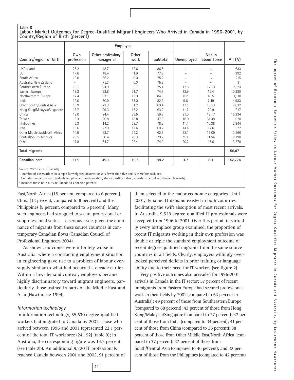#### **Table 8 Labour Market Outcomes for Degree-Qualified Migrant Engineers Who Arrived in Canada in 1996-2001, by Country/Region of Birth (percent)**

|                                      |                   | Employed                        |               |          |            |                        |           |
|--------------------------------------|-------------------|---------------------------------|---------------|----------|------------|------------------------|-----------|
| Country/region of birth <sup>1</sup> | Own<br>profession | Other profession/<br>managerial | Other<br>work | Subtotal | Unemployed | Not in<br>labour force | All $(M)$ |
| UK/Ireland                           | 25.2              | 48.7                            | 12.6          | 86.5     | $\sim$     | $\sim$                 | 633       |
| US                                   | 17.6              | 48.4                            | 11.9          | 77.9     | $\sim$     | $\sim$                 | 392       |
| South Africa                         | 19.0              | 56.2                            | 0.0           | 75.2     | $\sim$     | $\sim$                 | 215       |
| Australia/New Zealand                | $\sim$            | 75.3                            | 0.0           | 75.3     | $\sim$     | $\sim$                 | 81        |
| Southeastern Europe                  | 15.1              | 24.9                            | 35.1          | 75.1     | 12.8       | 12.13                  | 2,074     |
| Eastern Europe                       | 19.2              | 23.8                            | 31.7          | 74.7     | 12.9       | 12.4                   | 10,280    |
| Northwestern Europe                  | 17.4              | 53.1                            | 13.9          | 84.3     | 8.2        | 4.55                   | 1,110     |
| India                                | 19.0              | 30.9                            | 33.0          | 82.9     | 9.6        | 7.49                   | 4,933     |
| Other South/Central Asia             | 15.9              | 22.3                            | 31.2          | 69.4     | 17.1       | 13.53                  | 7,632     |
| Hong Kong/Malaysia/Singapore         | 16.7              | 29.3                            | 17.2          | 63.2     | 11.7       | 20.9                   | 817       |
| China                                | 12.0              | 24.4                            | 23.5          | 59.8     | 21.0       | 19.17                  | 15,234    |
| Taiwan                               | 8.3               | 20.8                            | 18.8          | 47.9     | 16.9       | 31.38                  | 1,020     |
| Philippines                          | 5.3               | 14.2                            | 58.7          | 78.2     | 11.4       | 10.38                  | 2,844     |
| Iraq                                 | 15.6              | 27.0                            | 17.6          | 60.2     | 14.4       | 17.6                   | 572       |
| Other Middle East/North Africa       | 14.9              | 23.7                            | 24.2          | 62.8     | 22.1       | 15.09                  | 3,566     |
| Central/South America                | 20.5              | 30.4                            | 28.3          | 79.2     | 9.3        | 11.54                  | 2,190     |
| Other                                | 17.8              | 34.7                            | 22.4          | 74.9     | 20.2       | 15.6                   | 3,278     |
| Total migrants                       |                   |                                 |               |          |            |                        | 56,871    |
| $Canadian-born2$                     | 27.9              | 45.1                            | 15.2          | 88.2     | 3.7        | 8.1                    | 142.774   |

Source: 2001 Census (Canada).

 $\sim$  number of observations in sample (unweighted observations) is fewer than five and is therefore excluded.

<sup>1</sup> Excludes nonpermanent residents (employment authorization, student authorization, minister's permit or refugee claimants).

<sup>2</sup> Includes those born outside Canada to Canadian parents.

East/North Africa (15 percent, compared to 6 percent), China (12 percent, compared to 8 percent) and the Philippines (5 percent, compared to 6 percent). Many such engineers had struggled to secure professional or subprofessional status — a serious issue, given the dominance of migrants from these source countries in contemporary Canadian flows (Canadian Council of Professional Engineers 2004).

As shown, outcomes were infinitely worse in Australia, where a contracting employment situation in engineering gave rise to a problem of labour oversupply similar to what had occurred a decade earlier. Within a low-demand context, employers became highly discriminatory toward migrant engineers, particularly those trained in parts of the Middle East and Asia (Hawthorne 1994).

#### *Information technology*

In information technology, 55,630 degree-qualified workers had migrated to Canada by 2001. Those who arrived between 1996 and 2001 represented 22.1 percent of the total IT workforce (24,192) (table 9); in Australia, the corresponding figure was 14.2 percent (see table 2b). An additional 9,320 IT professionals reached Canada between 2001 and 2003, 91 percent of them selected in the major economic categories. Until 2001, dynamic IT demand existed in both countries, facilitating the swift absorption of most recent arrivals. In Australia, 9,528 degree-qualified IT professionals were accepted from 1996 to 2001. Over this period, in virtually every birthplace group examined, the proportion of recent IT migrants working in their own profession was double or triple the standard employment outcome of recent degree-qualified migrants from the same source countries in all fields. Clearly, employers willingly overlooked perceived deficits in prior training or language ability due to their need for IT workers (see figure 2).

Very positive outcomes also prevailed for 1996-2001 arrivals in Canada in the IT sector: 57 percent of recent immigrants from Eastern Europe had secured professional work in their fields by 2001 (compared to 63 percent in Australia); 49 percent of those from Southeastern Europe (compared to 68 percent); 43 percent of those from Hong Kong/Malaysia/Singapore (compared to 27 percent); 37 percent of those from India (compared to 34 percent); 41 percent of those from China (compared to 36 percent); 38 percent of those from Other Middle East/North Africa (compared to 37 percent); 37 percent of those from South/Central Asia (compared to 46 percent); and 32 percent of those from the Philippines (compared to 42 percent).

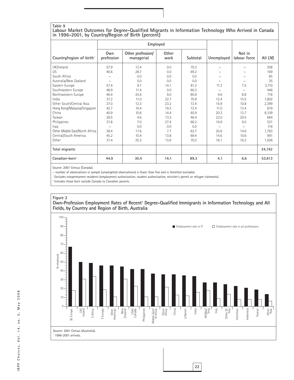## **Table 9**

#### **Labour Market Outcomes for Degree-Qualified Migrants in Information Technology Who Arrived in Canada in 1996-2001, by Country/Region of Birth (percent)**

|                                      |                   | Employed                        |               |          |            |                        |           |
|--------------------------------------|-------------------|---------------------------------|---------------|----------|------------|------------------------|-----------|
| Country/region of birth <sup>1</sup> | Own<br>profession | Other profession/<br>managerial | Other<br>work | Subtotal | Unemployed | Not in<br>labour force | All $(M)$ |
| UK/Ireland                           | 57.9              | 12.4                            | 0.0           | 70.3     | $\sim$     | $\sim$                 | 308       |
| US.                                  | 40.6              | 28.7                            | 0.0           | 69.2     | $\sim$     | $\sim$                 | 169       |
| South Africa                         | $\sim$            | 0.0                             | 0.0           | 0.0      | $\sim$     | $\sim$                 | 85        |
| Australia/New Zealand                | $\sim$            | 0.0                             | 0.0           | 0.0      | $\sim$     | $\sim$                 | 35        |
| Eastern Europe                       | 57.4              | 9.7                             | 14.1          | 81.2     | 11.3       | 7.5                    | 3,710     |
| Southeastern Europe                  | 48.9              | 11.4                            | 0.0           | 60.3     | $\sim$     | $\sim$                 | 446       |
| Northwestern Europe                  | 46.4              | 25.6                            | 9.0           | 80.9     | 4.6        | 8.8                    | 718       |
| India                                | 37.2              | 11.0                            | 22.7          | 70.9     | 12.4       | 15.5                   | 1,802     |
| Other South/Central Asia             | 37.0              | 12.3                            | 23.2          | 72.4     | 15.9       | 10.8                   | 2,399     |
| Hong Kong/Malaysia/Singapore         | 42.7              | 10.4                            | 19.3          | 72.4     | 11.0       | 13.4                   | 819       |
| China                                | 40.9              | 10.6                            | 14.4          | 65.9     | 20.3       | 13.7                   | 8,109     |
| Taiwan                               | 28.5              | 4.6                             | 13.3          | 46.4     | 22.0       | 29.5                   | 664       |
| Philippines                          | 31.8              | 7.0                             | 27.4          | 66.2     | 14.9       | 9.5                    | 531       |
| Iraq                                 | $\sim$            | 0.0                             | 0.0           | 0.0      | $\sim$     | $\sim$                 | 116       |
| Other Middle East/North Africa       | 38.4              | 17.6                            | 7.7           | 63.7     | 20.6       | 14.6                   | 1,783     |
| Central/South America                | 45.2              | 10.4                            | 13.8          | 69.4     | 14.6       | 10.6                   | 991       |
| Other                                | 31.4              | 25.3                            | 13.6          | 70.2     | 16.1       | 16.2                   | 1,506     |
| Total migrants                       |                   |                                 |               |          |            |                        | 24,192    |
| $Canadian-born2$                     | 44.9              | 30.4                            | 14.1          | 89.3     | 4.1        | 6.6                    | 53,613    |

Source: 2001 Census (Canada).

 $\sim$  number of observations in sample (unweighted observations) is fewer than five and is therefore excluded.

<sup>1</sup> Excludes nonpermanent residents (employment authorization, student authorization, minister's permit or refugee claimants).

<sup>2</sup> Includes those born outside Canada to Canadian parents.



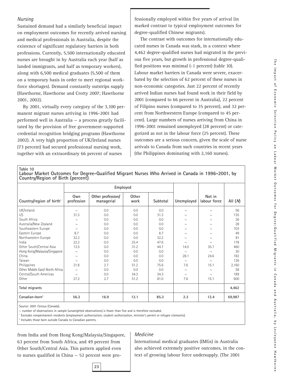#### *Nursing*

Sustained demand had a similarly beneficial impact on employment outcomes for recently arrived nursing and medical professionals in Australia, despite the existence of significant regulatory barriers in both professions. Currently, 5,500 internationally educated nurses are brought in by Australia each year (half as landed immigrants, and half as temporary workers), along with 6,500 medical graduates (5,500 of them on a temporary basis in order to meet regional workforce shortages). Demand constantly outstrips supply (Hawthorne, Hawthorne and Crotty 2007; Hawthorne 2001, 2002).

By 2001, virtually every category of the 3,100 permanent migrant nurses arriving in 1996-2001 had performed well in Australia — a process greatly facilitated by the provision of free government-supported credential recognition bridging programs (Hawthorne 2002). A very high proportion of UK/Ireland nurses (73 percent) had secured professional nursing work, together with an extraordinary 66 percent of nurses

fessionally employed within five years of arrival (in marked contrast to typical employment outcomes for degree-qualified Chinese migrants).

The contrast with outcomes for internationally educated nurses in Canada was stark, in a context where 4,462 degree-qualified nurses had migrated in the previous five years, but growth in professional degree-qualified positions was minimal (-1 percent) (table 10). Labour market barriers in Canada were severe, exacerbated by the selection of 62 percent of these nurses in non-economic categories. Just 22 percent of recently arrived Indian nurses had found work in their field by 2001 (compared to 66 percent in Australia), 22 percent of Filipino nurses (compared to 35 percent), and 32 percent from Northwestern Europe (compared to 45 percent). Large numbers of nurses arriving from China in 1996-2001 remained unemployed (28 percent) or categorized as not in the labour force (25 percent). These outcomes are a serious concern, given the scale of nurse arrivals to Canada from such countries in recent years (the Philippines dominating with 2,160 nurses).

#### **Table 10**

|                                      |                   | Employed                        |               |          |            |                        |           |
|--------------------------------------|-------------------|---------------------------------|---------------|----------|------------|------------------------|-----------|
| Country/region of birth <sup>1</sup> | Own<br>profession | Other profession/<br>managerial | Other<br>work | Subtotal | Unemployed | Not in<br>labour force | All $(M)$ |
| UK/Ireland                           | $\sim$            | 0.0                             | 0.0           | 0.0      | $\sim$     | $\sim$                 | 56        |
| <b>US</b>                            | 31.3              | 0.0                             | 0.0           | 31.3     | $\sim$     | $\sim$                 | 135       |
| South Africa                         | $\sim$            | 0.0                             | 0.0           | 0.0      | $\sim$     | $\sim$                 | 26        |
| Australia/New Zealand                | $\sim$            | 0.0                             | 0.0           | 0.0      | $\sim$     | $\sim$                 | 28        |
| Southeastern Europe                  | $\sim$            | 0.0                             | 0.0           | 0.0      | $\sim$     | $\sim$                 | 103       |
| Eastern Europe                       | 8.7               | 0.0                             | 0.0           | 8.7      | $\sim$     | $\sim$                 | 49        |
| Northwestern Europe                  | 32.2              | 0.0                             | 0.0           | 32.2     | $\sim$     | $\sim$                 | 81        |
| India                                | 22.2              | 0.0                             | 25.4          | 47.6     | $\sim$     | $\sim$                 | 178       |
| Other South/Central Asia             | 13.5              | 0.0                             | 31.2          | 44.7     | 14.0       | 35.1                   | 460       |
| Hong Kong/Malaysia/Singapore         | $\sim$            | 0.0                             | 0.0           | 0.0      | $\sim$     | $\sim$                 | 30        |
| China                                | $\sim$            | 0.0                             | 0.0           | 0.0      | 28.1       | 24.6                   | 182       |
| Taiwan                               | $\sim$            | 0.0                             | 0.0           | 0.0      | $\sim$     | $\sim$                 | 126       |
| Philippines                          | 21.8              | 2.7                             | 51.2          | 75.6     | 7.6        | 15.1                   | 2,160     |
| Other Middle East/ North Africa      | $\sim$            | 0.0                             | 0.0           | 0.0      | $\sim$     | $\sim$                 | 58        |
| Central/South Americas               | $\sim$            | 0.0                             | 34.3          | 34.3     | $\sim$     | $\sim$                 | 189       |
| Other                                | 27.2              | 2.7                             | 51.2          | 81.0     | 7.6        | 15.1                   | 600       |
| Total migrants                       |                   |                                 |               |          |            |                        | 4,462     |
| Canadian-born <sup>2</sup>           | 56.3              | 16.9                            | 12.1          | 85.3     | 2.3        | 12.4                   | 69,987    |

**Labour Market Outcomes for Degree-Qualified Migrant Nurses Who Arrived in Canada in 1996-2001, by Country/Region of Birth (percent)**

Source: 2001 Census (Canada).

 $\sim$  number of observations in sample (unweighted observations) is fewer than five and is therefore excluded.

<sup>1</sup> Excludes nonpermanent residents (employment authorization, student authorization, minister's permit or refugee claimants).

**23**

<sup>2</sup> Includes those born outside Canada to Canadian parents.

from India and from Hong Kong/Malaysia/Singapore, 63 percent from South Africa, and 49 percent from Other South/Central Asia. This pattern applied even to nurses qualified in China — 52 percent were pro-

#### *Medicine*

International medical graduates (IMGs) in Australia also achieved extremely positive outcomes, in the context of growing labour force undersupply. (The 2001

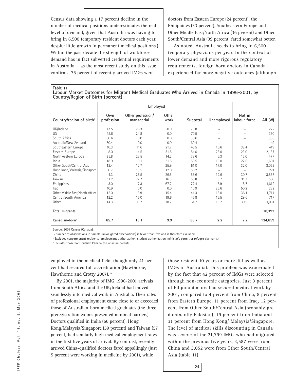Census data showing a 17 percent decline in the number of medical positions underestimates the real level of demand, given that Australia was having to bring in 6,500 temporary resident doctors each year, despite little growth in permanent medical positions.) Within the past decade the strength of workforce demand has in fact subverted credential requirements in Australia — as the most recent study on this issue confirms, 78 percent of recently arrived IMGs were

doctors from Eastern Europe (24 percent), the Philippines (33 percent), Southeastern Europe and Other Middle East/North Africa (36 percent) and Other South/Central Asia (39 percent) fared somewhat better.

As noted, Australia needs to bring in 6,500 temporary physicians per year. In the context of lower demand and more rigorous regulatory requirements, foreign-born doctors in Canada experienced far more negative outcomes (although

**Table 11 Labour Market Outcomes for Migrant Medical Graduates Who Arrived in Canada in 1996-2001, by Country/Region of Birth (percent)**

|                                      |                   | Employed                        |               |          |            |                        |           |
|--------------------------------------|-------------------|---------------------------------|---------------|----------|------------|------------------------|-----------|
| Country/region of birth <sup>1</sup> | Own<br>profession | Other profession/<br>managerial | Other<br>work | Subtotal | Unemployed | Not in<br>labour force | All $(M)$ |
| UK/Ireland                           | 47.5              | 26.3                            | 0.0           | 73.8     | $\sim$     | $\sim$                 | 272       |
| US.                                  | 45.6              | 24.8                            | 0.0           | 70.5     | $\sim$     | $\sim$                 | 330       |
| South Africa                         | 80.6              | 0.0                             | 0.0           | 80.6     | $\sim$     | $\sim$                 | 388       |
| Australia/New Zealand                | 60.4              | 0.0                             | 0.0           | 60.4     | $\sim$     | $\sim$                 | 49        |
| Southeastern Europe                  | 10.3              | 11.6                            | 21.7          | 43.5     | 16.6       | 32.4                   | 419       |
| Eastern Europe                       | 8.0               | 14.5                            | 31.5          | 54.0     | 23.0       | 23.0                   | 2.137     |
| Northwestern Europe                  | 35.8              | 23.5                            | 14.2          | 73.6     | 6.3        | 13.0                   | 477       |
| India                                | 18.9              | 9.1                             | 31.5          | 59.5     | 13.0       | 22.6                   | 1,604     |
| Other South/Central Asia             | 12.4              | 12.7                            | 25.9          | 51.0     | 17.0       | 32.0                   | 3,052     |
| Hong Kong/Malaysia/Singapore         | 30.7              | 13.5                            | 12.0          | 56.2     | $\sim$     | $\sim$                 | 271       |
| China                                | 4.3               | 25.5                            | 26.8          | 56.6     | 12.6       | 30.7                   | 3,587     |
| Taiwan                               | 11.2              | 27.7                            | 16.8          | 55.8     | 9.7        | 31.7                   | 500       |
| Philippines                          | 3.0               | 7.3                             | 67.2          | 77.4     | 6.9        | 15.7                   | 1,612     |
| Iraq                                 | 10.9              | 0.0                             | 0.0           | 10.9     | 25.6       | 50.2                   | 232       |
| Other Middle East/North Africa       | 15.0              | 13.9                            | 15.4          | 44.3     | 18.0       | 36.1                   | 1,714     |
| Central/South America                | 12.2              | 15.0                            | 19.6          | 46.8     | 16.5       | 29.6                   | 717       |
| Other                                | 14.3              | 11.7                            | 38.7          | 64.7     | 13.2       | 30.5                   | 1,031     |
| Total migrants                       |                   |                                 |               |          |            |                        | 18,392    |
| $Canadian-born2$                     | 65.7              | 13.1                            | 9.9           | 88.7     | 2.2        | 2.2                    | 134,659   |

Source: 2001 Census (Canada).

 $\sim$  number of observations in sample (unweighted observations) is fewer than five and is therefore excluded.

<sup>1</sup> Excludes nonpermanent residents (employment authorization, student authorization, minister's permit or refugee claimants).

Includes those born outside Canada to Canadian parents.

employed in the medical field, though only 41 percent had secured full accreditation (Hawthorne, Hawthorne and Crotty 2007).<sup>16</sup>

By 2001, the majority of IMG 1996-2001 arrivals from South Africa and the UK/Ireland had moved seamlessly into medical work in Australia. Their rates of professional employment came close to or exceeded those of Australian-born medical graduates (the three preregistration exams presented minimal barriers). Doctors qualified in India (66 percent), Hong Kong/Malaysia/Singapore (59 percent) and Taiwan (57 percent) had similarly high medical employment rates in the first five years of arrival. By contrast, recently arrived China-qualified doctors fared appallingly (just 5 percent were working in medicine by 2001), while

those resident 10 years or more did as well as IMGs in Australia). This problem was exacerbated by the fact that 42 percent of IMGs were selected through non-economic categories. Just 3 percent of Filipino doctors had secured medical work by 2001, compared to 4 percent from China, 8 percent from Eastern Europe, 11 percent from Iraq, 12 percent from Other South/Central Asia (probably predominantly Pakistan), 19 percent from India and 31 percent from Hong Kong/ Malaysia/Singapore. The level of medical skills discounting in Canada was severe: of the 21,799 IMGs who had migrated within the previous five years, 3,587 were from China and 3,052 were from Other South/Central Asia (table 11).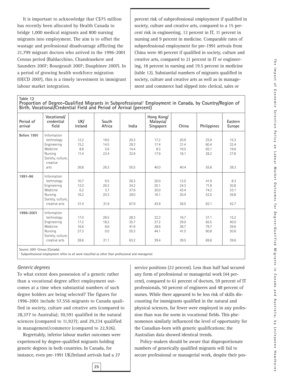It is important to acknowledge that C\$75 million has recently been allocated by Health Canada to bridge 1,000 medical migrants and 800 nursing migrants into employment. The aim is to offset the wastage and professional disadvantage afflicting the 21,799 migrant doctors who arrived in the 1996-2001 Census period (Baldacchino, Chandrasekere and Saunders 2007; Bourgeault 2007; Dauphinee 2007). In a period of growing health workforce migration (OECD 2007), this is a timely investment in immigrant labour market integration.

percent risk of subprofessional employment if qualified in society, culture and creative arts, compared to a 15 percent risk in engineering, 12 percent in IT, 11 percent in nursing and 9 percent in medicine. Comparable rates of subprofessional employment for pre-1991 arrivals from China were 40 percent if qualified in society, culture and creative arts, compared to 21 percent in IT or engineering, 18 percent in nursing and 19.5 percent in medicine (table 12). Substantial numbers of migrants qualified in society, culture and creative arts as well as in management and commerce had slipped into clerical, sales or

**Table 12** Proportion of Degree-Qualified Migrants in Subprofessional<sup>1</sup> Employment in Canada, by Country/Region of Birth, Vocational/Credential Field and Period of Arrival (percent)

| Period of<br>arrival | Vocational/<br>credential<br>field | UK/<br>Ireland | South<br>Africa | India | Hong Kong/<br>Malaysia/<br>Singapore | China | Philippines | Eastern<br>Europe |
|----------------------|------------------------------------|----------------|-----------------|-------|--------------------------------------|-------|-------------|-------------------|
| Before 1991          | Information                        |                |                 |       |                                      |       |             |                   |
|                      | technology                         | 12.2           | 19.0            | 20.3  | 17.2                                 | 20.9  | 25.9        | 15.3              |
|                      | Engineering                        | 15.2           | 14.5            | 29.3  | 17.4                                 | 21.4  | 60.4        | 32.4              |
|                      | Medicine                           | 8.8            | 5.6             | 14.4  | 8.3                                  | 19.5  | 65.1        | 19.6              |
|                      | Nursing                            | 11.4           | 23.4            | 32.9  | 17.9                                 | 18.1  | 28.2        | 27.8              |
|                      | Society, culture,<br>creative      |                |                 |       |                                      |       |             |                   |
|                      | arts                               | 26.8           | 26.3            | 55.5  | 40.0                                 | 40.4  | 55.6        | 38.3              |
| 1991-96              | Information                        |                |                 |       |                                      |       |             |                   |
|                      | technology                         | 10.7           | 9.5             | 26.3  | 20.0                                 | 12.5  | 41.9        | 8.3               |
|                      | Engineering                        | 12.0           | 26.3            | 34.2  | 20.1                                 | 24.3  | 71.8        | 30.8              |
|                      | Medicine                           | 6.2            | 3.7             | 37.6  | 20.0                                 | 43.4  | 74.2        | 33.1              |
|                      | Nursing                            | 16.2           | 20.3            | 29.0  | 16.1                                 | 30.4  | 52.5        | 36.8              |
|                      | Society, culture,                  |                |                 |       |                                      |       |             |                   |
|                      | creative arts                      | 31.4           | 31.9            | 67.9  | 43.9                                 | 36.5  | 62.1        | 42.7              |
| 1996-2001            | Information                        |                |                 |       |                                      |       |             |                   |
|                      | technology                         | 17.0           | 28.5            | 28.3  | 22.3                                 | 16.7  | 37.1        | 15.2              |
|                      | Engineering                        | 17.2           | 18.2            | 35.7  | 27.2                                 | 29.0  | 65.5        | 40.0              |
|                      | Medicine                           | 16.6           | 8.6             | 41.9  | 28.6                                 | 38.7  | 79.7        | 39.6              |
|                      | Nursing                            | 27.3           | 0.0             | 55.3  | 44.1                                 | 41.5  | 60.8        | 30.6              |
|                      | Society, culture,                  |                |                 |       |                                      |       |             |                   |
|                      | creative arts                      | 28.6           | 21.1            | 63.2  | 39.4                                 | 39.5  | 69.6        | 39.6              |

Source: 2001 Census (Canada).

Subprofessional employment refers to all work classified as other than professional and managerial.

#### *Generic degrees*

To what extent does possession of a generic rather than a vocational degree affect employment outcomes at a time when substantial numbers of such degree holders are being selected? The figures for 1996-2001 include 57,556 migrants to Canada qualified in society, culture and creative arts (compared to 28,377 to Australia); 30,591 qualified in the natural sciences (compared to 11,927); and 29,234 qualified in management/commerce (compared to 22,926).

Regrettably, inferior labour market outcomes were experienced by degree-qualified migrants holding generic degrees in both countries. In Canada, for instance, even pre-1991 UK/Ireland arrivals had a 27

service positions (22 percent). Less than half had secured any form of professional or managerial work (44 percent), compared to 61 percent of doctors, 59 percent of IT professionals, 50 percent of engineers and 48 percent of nurses. While there appeared to be less risk of skills discounting for immigrants qualified in the natural and physical sciences, far fewer were employed in any profession than was the norm in vocational fields. This phenomenon similarly influenced the level of opportunity for the Canadian-born with generic qualifications; the Australian data showed identical trends.

Policy-makers should be aware that disproportionate numbers of generically qualified migrants will fail to secure professional or managerial work, despite their pos-

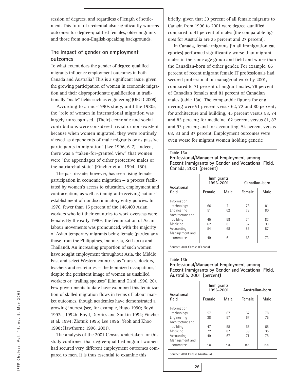session of degrees, and regardless of length of settlement. This form of credential also significantly worsens outcomes for degree-qualified females, older migrants and those from non-English-speaking backgrounds.

#### **The impact of gender on employment outcomes**

To what extent does the gender of degree-qualified migrants influence employment outcomes in both Canada and Australia? This is a significant issue, given the growing participation of women in economic migration and their disproportionate qualification in traditionally "male" fields such as engineering (OECD 2008).

According to a mid-1990s study, until the 1980s, the "role of women in international migration was largely unrecognised...[Their] economic and social contributions were considered trivial or non-existent because when women migrated, they were routinely viewed as dependents of male migrants or as passive participants in migration" (Lee 1996, 6-7). Indeed, there was a "taken-for-granted view" that women were "the appendages of either protective males or the patriarchal state" (Fincher et al. 1994, 150).

The past decade, however, has seen rising female participation in economic migration — a process facilitated by women's access to education, employment and contraception, as well as immigrant-receiving nations' establishment of nondiscriminatory entry policies. In 1976, fewer than 15 percent of the 146,400 Asian workers who left their countries to work overseas were female. By the early 1990s, the feminization of Asian labour movements was pronounced, with the majority of Asian temporary migrants being female (particularly those from the Philippines, Indonesia, Sri Lanka and Thailand). An increasing proportion of such women have sought employment throughout Asia, the Middle East and select Western countries as "nurses, doctors, teachers and secretaries — the feminized occupations," despite the persistent image of women as unskilled workers or "trailing spouses" (Lim and Oishi 1996, 26). Few governments to date have examined this feminization of skilled migration flows in terms of labour market outcomes, though academics have demonstrated a growing interest (see, for example, Hugo 1990; Boyd 1992a, 1992b; Boyd, DeVries and Simkin 1994; Fincher et al. 1994; Zlotnik 1995; Lee 1996; Yeoh and Khoo 1998; Hawthorne 1996, 2001).

The analysis of the 2001 Census undertaken for this study confirmed that degree-qualified migrant women had secured very different employment outcomes compared to men. It is thus essential to examine this

briefly, given that 33 percent of all female migrants to Canada from 1996 to 2001 were degree-qualified, compared to 41 percent of males (the comparable figures for Australia are 25 percent and 27 percent).

In Canada, female migrants (in all immigration categories) performed significantly worse than migrant males in the same age group and field and worse than the Canadian-born of either gender. For example, 66 percent of recent migrant female IT professionals had secured professional or managerial work by 2001, compared to 71 percent of migrant males, 78 percent of Canadian females and 81 percent of Canadian males (table 13a). The comparable figures for engineering were 51 percent versus 62, 72 and 80 percent; for architecture and building, 45 percent versus 58, 74 and 83 percent; for medicine, 62 percent versus 81, 87 and 93 percent; and for accounting, 54 percent versus 68, 83 and 87 percent. Employment outcomes were even worse for migrant women holding generic

#### **Table 13a**

**Professional/Managerial Employment among Recent Immigrants by Gender and Vocational Field, Canada, 2001 (percent)**

| Vocational       | Immigrants<br>1996-2001 |      | Canadian-born |      |  |
|------------------|-------------------------|------|---------------|------|--|
| field            | Female                  | Male | Female        | Male |  |
| Information      |                         |      |               |      |  |
| technology       | 66                      | 71   | 78            | 81   |  |
| Engineering      | 51                      | 62   | 72            | 80   |  |
| Architecture and |                         |      |               |      |  |
| building         | 45                      | 58   | 74            | 83   |  |
| Medicine         | 62                      | 81   | 87            | 93   |  |
| Accounting       | 54                      | 68   | 83            | 87   |  |
| Management and   |                         |      |               |      |  |
| commerce         | 49                      | 61   | 68            | 73   |  |

Source: 2001 Census (Canada).

#### **Table 13b**

**Professional/Managerial Employment among Recent Immigrants by Gender and Vocational Field, Australia, 2001 (percent)**

| Vocational       | 1996-2001 | Immigrants | Australian-born |      |  |
|------------------|-----------|------------|-----------------|------|--|
| field            | Female    | Male       | Female          | Male |  |
| Information      |           |            |                 |      |  |
| technology       | 57        | 67         | 67              | 78   |  |
| Engineering      | 38        | 57         | 67              | 75   |  |
| Architecture and |           |            |                 |      |  |
| building         | 47        | 58         | 65              | 68   |  |
| Medicine         | 72        | 87         | 89              | 95   |  |
| Accounting       | 49        | 67         | 71              | 78   |  |
| Management and   |           |            |                 |      |  |
| commerce         | n.a.      | n.a.       | n.a.            | n.a. |  |

Source: 2001 Census (Australia).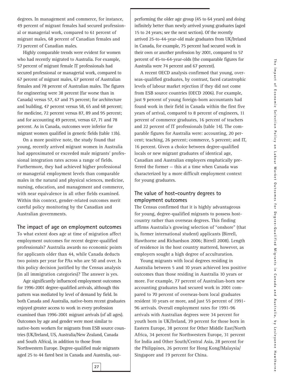degrees. In management and commerce, for instance, 49 percent of migrant females had secured professional or managerial work, compared to 61 percent of migrant males, 68 percent of Canadian females and 73 percent of Canadian males.

Highly comparable trends were evident for women who had recently migrated to Australia. For example, 57 percent of migrant female IT professionals had secured professional or managerial work, compared to 67 percent of migrant males, 67 percent of Australian females and 78 percent of Australian males. The figures for engineering were 38 percent (far worse than in Canada) versus 57, 67 and 75 percent; for architecture and building, 47 percent versus 58, 65 and 68 percent; for medicine, 72 percent versus 87, 89 and 95 percent; and for accounting 49 percent, versus 67, 71 and 78 percent. As in Canada, outcomes were inferior for migrant women qualified in generic fields (table 13b).

On a more positive note, the study found that young, recently arrived migrant women in Australia had approximated or exceeded male migrants' professional integration rates across a range of fields. Furthermore, they had achieved higher professional or managerial employment levels than comparable males in the natural and physical sciences, medicine, nursing, education, and management and commerce, with near equivalence in all other fields examined. Within this context, gender-related outcomes merit careful policy monitoring by the Canadian and Australian governments.

#### **The impact of age on employment outcomes**

To what extent does age at time of migration affect employment outcomes for recent degree-qualified professionals? Australia awards no economic points for applicants older than 44, while Canada deducts two points per year for PAs who are 50 and over. Is this policy decision justified by the Census analysis (in all immigration categories)? The answer is yes.

Age significantly influenced employment outcomes for 1996-2001 degree-qualified arrivals, although this pattern was mediated by level of demand by field. In both Canada and Australia, native-born recent graduates enjoyed greater access to work in every profession examined than 1996-2001 migrant arrivals (of all ages). Outcomes by age and gender were most similar to native-born workers for migrants from ESB source countries (UK/Ireland, US, Australia/New Zealand, Canada and South Africa), in addition to those from Northwestern Europe. Degree-qualified male migrants aged 25 to 44 fared best in Canada and Australia, outperforming the older age group (45 to 64 years) and doing infinitely better than newly arrived young graduates (aged 15 to 24 years; see the next section). Of the recently arrived 25-to-44-year-old male graduates from UK/Ireland in Canada, for example, 75 percent had secured work in their own or another profession by 2001, compared to 57 percent of 45-to-64-year-olds (the comparable figures for Australia were 74 percent and 67 percent).

A recent OECD analysis confirmed that young, overseas-qualified graduates, by contrast, faced catastrophic levels of labour market rejection if they did not come from ESB source countries (OECD 2006). For example, just 9 percent of young foreign-born accountants had found work in their field in Canada within the first five years of arrival, compared to 8 percent of engineers, 11 percent of commerce graduates, 16 percent of teachers and 22 percent of IT professionals (table 14). The comparable figures for Australia were: accounting, 20 percent; teaching, 26 percent; commerce, 5 percent; and IT, 16 percent. Given a choice between degree-qualified locals or new migrant graduates of identical age, Canadian and Australian employers emphatically preferred the former — this at a time when Canada was characterized by a more difficult employment context for young graduates.

#### **The value of host-country degrees to employment outcomes**

The Census confirmed that it is highly advantageous for young, degree-qualified migrants to possess hostcountry rather than overseas degrees. This finding affirms Australia's growing selection of "onshore" (that is, former international student) applicants (Birrell, Hawthorne and Richardson 2006; Birrell 2008). Length of residence in the host country mattered, however, as employers sought a high degree of acculturation.

Young migrants with local degrees residing in Australia between 5 and 10 years achieved less positive outcomes than those residing in Australia 10 years or more. For example, 77 percent of Australian-born new accounting graduates had secured work in 2001 compared to 70 percent of overseas-born local graduates resident 10 years or more, and just 55 percent of 1991- 96 arrivals. Overall employment rates for 1991-96 arrivals with Australian degrees were 34 percent for youth born in UK/Ireland, 39 percent for those born in Eastern Europe, 38 percent for Other Middle East/North Africa, 34 percent for Northwestern Europe, 31 percent for India and Other South/Central Asia, 28 percent for the Philippines, 26 percent for Hong Kong/Malaysia/ Singapore and 19 percent for China.

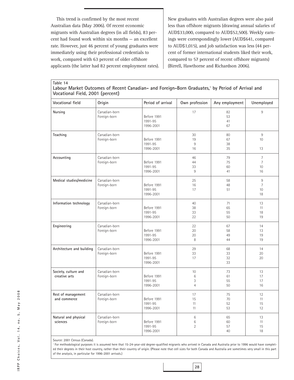This trend is confirmed by the most recent Australian data (May 2006). Of recent economic migrants with Australian degrees (in all fields), 83 percent had found work within six months — an excellent rate. However, just 46 percent of young graduates were immediately using their professional credentials to work, compared with 63 percent of older offshore applicants (the latter had 82 percent employment rates). New graduates with Australian degrees were also paid less than offshore migrants (drawing annual salaries of AUD\$33,000, compared to AUD\$52,500). Weekly earnings were correspondingly lower (AUD\$641, compared to AUD\$1,015), and job satisfaction was less (44 percent of former international students liked their work, compared to 57 percent of recent offshore migrants) (Birrell, Hawthorne and Richardson 2006).

**Table 14** Labour Market Outcomes of Recent Canadian- and Foreign-Born Graduates,<sup>1</sup> by Period of Arrival and **Vocational Field, 2001 (percent)**

| Vocational field                      | Origin                        | Period of arrival                   | Own profession                 | Any employment       | Unemployed                                   |
|---------------------------------------|-------------------------------|-------------------------------------|--------------------------------|----------------------|----------------------------------------------|
| Nursing                               | Canadian-born<br>Foreign-born | Before 1991<br>1991-95<br>1996-2001 | 17                             | 82<br>53<br>41<br>67 | 9                                            |
| Teaching                              | Canadian-born<br>Foreign-born | Before 1991<br>1991-95<br>1996-2001 | 30<br>19<br>$9\,$<br>16        | 80<br>67<br>38<br>35 | 9<br>10<br>13                                |
| Accounting                            | Canadian-born<br>Foreign-born | Before 1991<br>1991-95<br>1996-2001 | 46<br>44<br>33<br>9            | 79<br>75<br>60<br>41 | $\overline{7}$<br>$\overline{7}$<br>10<br>16 |
| Medical studies/medicine              | Canadian-born<br>Foreign-born | Before 1991<br>1991-95<br>1996-2001 | 25<br>16<br>17                 | 58<br>48<br>51       | $\overline{9}$<br>$\overline{7}$<br>10<br>18 |
| Information technology                | Canadian-born<br>Foreign-born | Before 1991<br>1991-95<br>1996-2001 | 40<br>38<br>33<br>22           | 71<br>65<br>55<br>50 | 13<br>11<br>18<br>19                         |
| Engineering                           | Canadian-born<br>Foreign-born | Before 1991<br>1991-95<br>1996-2001 | 22<br>20<br>20<br>8            | 67<br>58<br>49<br>44 | 14<br>13<br>19<br>19                         |
| Architecture and building             | Canadian-born<br>Foreign-born | Before 1991<br>1991-95<br>1996-2001 | 29<br>33<br>17                 | 68<br>33<br>32<br>33 | 14<br>20<br>20                               |
| Society, culture and<br>creative arts | Canadian-born<br>Foreign-born | Before 1991<br>1991-95<br>1996-2001 | 10<br>6<br>3<br>$\overline{4}$ | 73<br>61<br>55<br>50 | 13<br>17<br>17<br>16                         |
| Rest of management<br>and commerce    | Canadian-born<br>Foreign-born | Before 1991<br>1991-95<br>1996-2001 | 17<br>15<br>11<br>11           | 75<br>70<br>52<br>53 | 12<br>11<br>15<br>12                         |
| Natural and physical<br>sciences      | Canadian-born<br>Foreign-born | Before 1991<br>1991-95<br>1996-2001 | 6<br>$\,6$<br>$\overline{2}$   | 65<br>60<br>57<br>40 | 13<br>11<br>15<br>18                         |

Source: 2001 Census (Canada).

<sup>1</sup> For methodological purposes it is assumed here that 15-24-year-old degree-qualified migrants who arrived in Canada and Australia prior to 1996 would have completed their degrees in their host country, rather than their country of origin. (Please note that cell sizes for both Canada and Australia are sometimes very small in this part of the analysis, in particular for 1996-2001 arrivals.)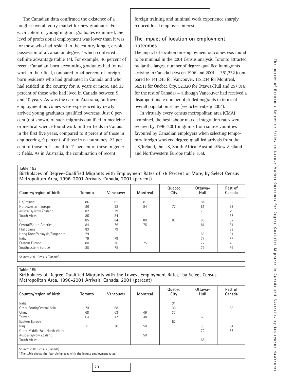The Canadian data confirmed the existence of a tougher overall entry market for new graduates. For each cohort of young migrant graduates examined, the level of professional employment was lower than it was for those who had resided in the country longer, despite possession of a Canadian degree,<sup>17</sup> which conferred a definite advantage (table 14). For example, 46 percent of recent Canadian-born accounting graduates had found work in their field, compared to 44 percent of foreignborn residents who had graduated in Canada and who had resided in the country for 10 years or more, and 33 percent of those who had lived in Canada between 5 and 10 years. As was the case in Australia, far lower employment outcomes were experienced by newly arrived young graduates qualified overseas. Just 6 percent (not shown) of such migrants qualified in medicine or medical science found work in their fields in Canada in the first five years, compared to 8 percent of those in engineering, 9 percent of those in accountancy, 22 percent of those in IT and 4 to 11 percent of those in generic fields. As in Australia, the combination of recent

foreign training and minimal work experience sharply reduced local employer interest.

#### **The impact of location on employment outcomes**

The impact of location on employment outcomes was found to be minimal in the 2001 Census analysis. Toronto attracted by far the largest number of degree-qualified immigrants arriving in Canada between 1996 and 2001 — 381,232 (compared to 141,245 for Vancouver, 112,234 for Montreal, 56,911 for Quebec City, 52,020 for Ottawa-Hull and 257,816 for the rest of Canada) — although Vancouver had received a disproportionate number of skilled migrants in terms of overall population share (see Schellenberg 2004).

In virtually every census metropolitan area (CMA) examined, the best labour market integration rates were secured by 1996-2001 migrants from source countries favoured by Canadian employers when selecting temporary foreign workers: degree-qualified arrivals from the UK/Ireland, the US, South Africa, Australia/New Zealand and Northwestern Europe (table 15a).

**Table 15a**

**Birthplaces of Degree-Qualified Migrants with Employment Rates of 75 Percent or More, by Select Census Metropolitan Area, 1996-2001 Arrivals, Canada, 2001 (percent)**

| Country/region of birth       | Toronto | Vancouver | Montreal | Quebec<br>City | Ottawa-<br>Hull | Rest of<br>Canada |
|-------------------------------|---------|-----------|----------|----------------|-----------------|-------------------|
| UK/Ireland                    | 86      | 85        | 81       |                | 84              | 82                |
| Northwestern Europe           | 86      | 82        | 84       | 77             | 81              | 83                |
| Australia/ New Zealand        | 82      | 79        |          |                | 78              | 79                |
| South Africa                  | 85      | 84        |          |                |                 | 87                |
| US                            | 85      | 84        | 80       | 82             | 80              | 82                |
| Central/South America         | 84      | 76        | 75       |                | 81              | 81                |
| Philippines                   | 83      | 79        |          |                |                 | 83                |
| Hong Kong/Malaysia/Singapore  | 79      |           |          |                | 85              | 81                |
| India                         | 79      | 79        |          |                | 77              | 77                |
| Eastern Europe                | 80      | 76        | 75       |                | 77              | 78                |
| Southeastern Europe           | 80      | 75        |          |                | 77              | 79                |
| Source: 2001 Census (Canada). |         |           |          |                |                 |                   |

#### **Table 15b**

#### Birthplaces of Degree-Qualified Migrants with the Lowest Employment Rates,<sup>1</sup> by Select Census **Metropolitan Area, 1996-2001 Arrivals, Canada, 2001 (percent)**

| Toronto | Vancouver | Montreal | Quebec<br>City | Ottawa-<br>Hull | Rest of<br>Canada |
|---------|-----------|----------|----------------|-----------------|-------------------|
|         |           |          | 31             |                 |                   |
| 70      | 68        |          | 38             |                 | 68                |
| 68      | 63        | 49       | 37             |                 |                   |
| 64      | 47        | 48       |                | 63              | 55                |
|         |           |          | 52             |                 |                   |
| 71      | 30        | 50       |                | 39              | 64                |
|         |           |          |                | 72              | 67                |
|         |           | 50       |                |                 |                   |
|         |           |          |                | 66              |                   |
|         |           |          |                |                 |                   |

Source: 2001 Census (Canada).

The table shows the four birthplaces with the lowest employment rates.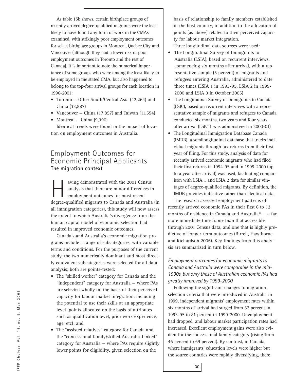As table 15b shows, certain birthplace groups of recently arrived degree-qualified migrants were the least likely to have found any form of work in the CMAs examined, with strikingly poor employment outcomes for select birthplace groups in Montreal, Quebec City and Vancouver (although they had a lower risk of poor employment outcomes in Toronto and the rest of Canada). It is important to note the numerical importance of some groups who were among the least likely to be employed in the stated CMA, but also happened to belong to the top-four arrival groups for each location in 1996-2001:

- Toronto Other South/Central Asia (42,264) and China (33,887)
- Vancouver China (17,857) and Taiwan (11,554)
- Montreal China (9,390)

Identical trends were found in the impact of location on employment outcomes in Australia.

#### Employment Outcomes for Economic Principal Applicants **The migration context**

aving demonstrated with the 2001 Census analysis that there are minor differences in employment outcomes for most recent degree-qualified migrants to Canada and Australia (in all immigration categories), this study will now assess the extent to which Australia's divergence from the human capital model of economic selection had resulted in improved economic outcomes.

Canada's and Australia's economic migration programs include a range of subcategories, with variable terms and conditions. For the purposes of the current study, the two numerically dominant and most directly equivalent subcategories were selected for all data analysis; both are points-tested:

- The "skilled worker" category for Canada and the "independent" category for Australia — where PAs are selected wholly on the basis of their perceived capacity for labour market integration, including the potential to use their skills at an appropriate level (points allocated on the basis of attributes such as qualification level, prior work experience, age, etc); and
- The "assisted relatives" category for Canada and the "concessional family/skilled Australia-Linked" category for Australia — where PAs require slightly lower points for eligibility, given selection on the

basis of relationship to family members established in the host country, in addition to the allocation of points (as above) related to their perceived capacity for labour market integration.

Three longitudinal data sources were used:

- The Longitudinal Survey of Immigrants to Australia (LSIA), based on recurrent interviews, commencing six months after arrival, with a representative sample (5 percent) of migrants and refugees entering Australia, administered to date three times (LSIA 1 in 1993-95, LSIA 2 in 1999- 2000 and LSIA 3 in October 2005)
- The Longitudinal Survey of Immigrants to Canada (LSIC), based on recurrent interviews with a representative sample of migrants and refugees to Canada conducted six months, two years and four years after arrival (LSIC 1 was administered in 2000-01)
- The Longitudinal Immigration Database Canada (IMDB), a semilongitudinal database that tracks individual migrants through tax returns from their first year of filing. For this study, analysis of data for recently arrived economic migrants who had filed their first returns in 1994-95 and in 1999-2000 (up to a year after arrival) was used, facilitating comparison with LSIA 1 and LSIA 2 data for similar vintages of degree-qualified migrants. By definition, the IMDB provides indicative rather than identical data.

The research assessed employment patterns of recently arrived economic PAs in their first 6 to 12 months of residence in Canada and Australia<sup>18</sup> - a far more immediate time frame than that accessible through 2001 Census data, and one that is highly predictive of longer-term outcomes (Birrell, Hawthorne and Richardson 2006). Key findings from this analysis are summarized in turn below.

#### *Employment outcomes for economic migrants to Canada and Australia were comparable in the mid-1990s, but only those of Australian economic PAs had greatly improved by 1999-2000*

Following the significant changes to migration selection criteria that were introduced in Australia in 1999, independent migrants' employment rates within six months of arrival had surged from 57 percent in 1993-95 to 81 percent in 1999-2000. Unemployment had dropped, and labour market participation rates had increased. Excellent employment gains were also evident for the concessional family category (rising from 46 percent to 69 percent). By contrast, in Canada, where immigrants' education levels were higher but the source countries were rapidly diversifying, there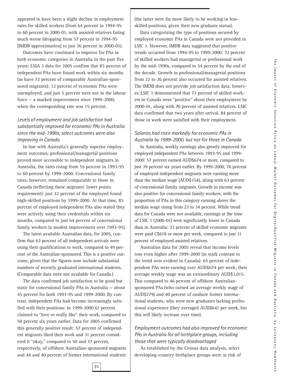appeared to have been a slight decline in employment rates for skilled workers (from 64 percent in 1994-95 to 60 percent in 2000-01, with assisted relatives faring much worse (dropping from 57 percent in 1994-95 [IMDB approximation] to just 36 percent in 2000-01).

Outcomes have continued to improve for PAs in both economic categories in Australia in the past five years: LSIA 3 data for 2005 confirm that 83 percent of independent PAs have found work within six months (as have 72 percent of comparable Australian-sponsored migrants); 12 percent of economic PAs were unemployed, and just 5 percent were not in the labour force — a marked improvement since 1999-2000, when the corresponding rate was 15 percent.

#### *Levels of employment and job satisfaction had substantially improved for economic PAs in Australia since the mid-1990s; select outcomes were also improving in Canada*

In line with Australia's generally superior employment outcomes, professional/managerial positions proved more accessible to independent migrants in Australia, the rates rising from 55 percent in 1993-95 to 60 percent by 1999-2000. Concessional family rates, however, remained comparable to those in Canada (reflecting these migrants' lower points requirement): just 32 percent of the employed found high-skilled positions by 1999-2000. At that time, 85 percent of employed independent PAs also stated they were actively using their credentials within six months, compared to just 64 percent of concessional family workers (a modest improvement over 1993-95).

The latest available Australian data, for 2005, confirm that 63 percent of all independent arrivals were using their qualifications to work, compared to 49 percent of the Australian-sponsored. This is a positive outcome, given that the figures now include substantial numbers of recently graduated international students. (Comparable data were not available for Canada.)

The data confirmed job satisfaction to be good but static for concessional family PAs in Australia — about 45 percent for both 1993-95 and 1999-2000. By contrast, independent PAs had become increasingly satisfied with their positions: in 1999-2000 61 percent claimed to "love or really like" their work, compared to 50 percent six years earlier. Data for 2005 confirmed this generally positive result: 57 percent of independent migrants liked their work and 31 percent considered it "okay," compared to 50 and 37 percent, respectively, of offshore Australian-sponsored migrants and 44 and 40 percent of former international students (the latter were far more likely to be working in lessskilled positions, given their new graduate status).

Data categorizing the type of positions secured by employed economic PAs in Canada were not provided in LSIC 1. However, IMDB data suggested that positive trends occurred from 1994-95 to 1999-2000: 32 percent of skilled workers had managerial or professional work by the mid-1990s, compared to 54 percent by the end of the decade. Growth in professional/managerial positions from 22 to 36 percent also occurred for assisted relatives. The IMDB does not provide job satisfaction data; however, LSIC 1 demonstrated that 73 percent of skilled workers in Canada were "positive" about their employment by 2000-01, along with 70 percent of assisted relatives. LSIC data confirmed that two years after arrival, 84 percent of those in work were satisfied with their employment.

#### *Salaries had risen markedly for economic PAs in Australia by 1999-2000, but not for those in Canada*

In Australia, weekly earnings also greatly improved for employed independent PAs between 1993-95 and 1999- 2000: 57 percent earned AUD\$674 or more, compared to just 39 percent six years earlier. By 1999-2000, 76 percent of employed independent migrants were earning more than the median wage (AUD\$154), along with 63 percent of concessional family migrants. Growth in income was also positive for concessional family workers, with the proportion of PAs in this category earning above the median wage rising from 23 to 34 percent. While trend data for Canada were not available, earnings at the time of LSIC 1 (2000-01) were significantly lower in Canada than in Australia: 33 percent of skilled economic migrants were paid C\$618 or more per week, compared to just 11 percent of employed assisted relatives.

Australian data for 2005 reveal that income levels rose even higher after 1999-2000 (in stark contrast to the trend now evident in Canada): 65 percent of independent PAs were earning over AUD\$674 per week; their average weekly wage was an extraordinary AUD\$1,015. This compared to 46 percent of offshore Australiansponsored PAs (who earned an average weekly wage of AUD\$779) and 40 percent of onshore former international students, who were new graduates lacking professional experience (they averaged AUD\$641 per week, but this will likely increase over time).

#### *Employment outcomes had also improved for economic PAs in Australia for all birthplace groups, including those that were typically disadvantaged*

As established by the Census data analysis, select developing-country birthplace groups were at risk of

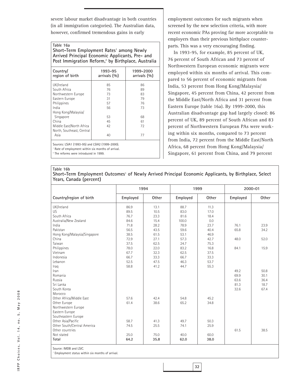severe labour market disadvantage in both countries (in all immigration categories). The Australian data, however, confirmed tremendous gains in early

#### **Table 16a**

**Short-Term Employment Rates<sup>1</sup> among Newly Arrived Principal Economic Applicants, Pre- and** Post Immigration Reform,<sup>2</sup> by Birthplace, Australia

| Country/<br>region of birth | 1993-95<br>arrivals $(%)$ | 1999-2000<br>arrivals $(%$ |
|-----------------------------|---------------------------|----------------------------|
| UK/Ireland                  | 85                        | 86                         |
| South Africa                | 76                        | 89                         |
| Northwestern Europe         | 73                        | 83                         |
| Eastern Europe              | 31                        | 79                         |
| Philippines                 | 57                        | 76                         |
| India                       | 56                        | 73                         |
| Hong Kong/Malaysia/         |                           |                            |
| Singapore                   | 53                        | 68                         |
| China                       | 45                        | 61                         |
| Middle East/North Africa    | 42                        | 72                         |
| North, Southeast, Central   |                           |                            |
| Asia                        | 40                        | 77                         |
|                             |                           |                            |

Sources: LSIA1 (1993-95) and LSIA2 (1999-2000).

Rate of employment within six months of arrival.

The reforms were introduced in 1999.

employment outcomes for such migrants when screened by the new selection criteria, with more recent economic PAs proving far more acceptable to employers than their previous birthplace counterparts. This was a very encouraging finding.

In 1993-95, for example, 85 percent of UK, 76 percent of South African and 73 percent of Northwestern European economic migrants were employed within six months of arrival. This compared to 56 percent of economic migrants from India, 53 percent from Hong Kong/Malaysia/ Singapore, 45 percent from China, 42 percent from the Middle East/North Africa and 31 percent from Eastern Europe (table 16a). By 1999-2000, this Australian disadvantage gap had largely closed: 86 percent of UK, 89 percent of South African and 83 percent of Northwestern European PAs were working within six months, compared to 73 percent from India, 72 percent from the Middle East/North Africa, 68 percent from Hong Kong/Malaysia/ Singapore, 61 percent from China, and 79 percent

#### **Table 16b**

Short-Term Employment Outcomes<sup>1</sup> of Newly Arrived Principal Economic Applicants, by Birthplace, Select **Years, Canada (percent)**

|                              | 1994     |       | 1999     |       |          | 2000-01 |  |
|------------------------------|----------|-------|----------|-------|----------|---------|--|
| Country/region of birth      | Employed | Other | Employed | Other | Employed | Other   |  |
| UK/Ireland                   | 86.9     | 13.1  | 88.7     | 11.3  |          |         |  |
| <b>US</b>                    | 89.5     | 10.5  | 83.0     | 17.0  |          |         |  |
| South Africa                 | 76.7     | 23.3  | 81.6     | 18.4  |          |         |  |
| Australia/New Zealand        | 84.6     | 15.4  | 100.0    | 0.0   |          |         |  |
| India                        | 71.8     | 28.2  | 78.9     | 23.7  | 76.1     | 23.9    |  |
| Pakistan                     | 56.5     | 43.5  | 59.6     | 40.4  | 65.8     | 34.2    |  |
| Hong Kong/Malaysia/Singapore | 38.5     | 61.5  | 53.1     | 46.9  |          |         |  |
| China                        | 72.9     | 27.1  | 57.3     | 42.7  | 48.0     | 52.0    |  |
| Taiwan                       | 37.5     | 62.5  | 24.7     | 75.3  |          |         |  |
| Philippines                  | 78.0     | 22.0  | 83.2     | 16.8  | 84.1     | 15.9    |  |
| Vietnam                      | 67.7     | 32.3  | 62.5     | 37.5  |          |         |  |
| Indonesia                    | 66.7     | 33.3  | 66.7     | 33.3  |          |         |  |
| Lebanon                      | 52.5     | 47.5  | 46.3     | 53.7  |          |         |  |
| Iraq                         | 58.8     | 41.2  | 44.7     | 55.3  |          |         |  |
| Iran                         |          |       |          |       | 49.2     | 50.8    |  |
| Romania                      |          |       |          |       | 69.9     | 30.1    |  |
| Russia                       |          |       |          |       | 63.6     | 36.4    |  |
| Sri Lanka                    |          |       |          |       | 81.3     | 18.7    |  |
| South Korea                  |          |       |          |       | 32.6     | 67.4    |  |
| Morocco                      |          |       |          |       |          |         |  |
| Other Africa/Middle East     | 57.6     | 42.4  | 54.8     | 45.2  |          |         |  |
| Other Europe                 | 61.4     | 38.6  | 65.2     | 34.8  |          |         |  |
| Northwestern Europe          |          |       |          |       |          |         |  |
| Eastern Europe               |          |       |          |       |          |         |  |
| Southeastern Europe          |          |       |          |       |          |         |  |
| Other Asia/Pacific           | 58.7     | 41.3  | 49.7     | 50.3  |          |         |  |
| Other South/Central America  | 74.5     | 25.5  | 74.1     | 25.9  |          |         |  |
| Other countries              |          |       |          |       | 61.5     | 38.5    |  |
| Not stated                   | 25.0     | 75.0  | 40.0     | 60.0  |          |         |  |
| Total                        | 64.2     | 35.8  | 62.0     | 38.0  |          |         |  |
|                              |          |       |          |       |          |         |  |

**32**

<sup>1</sup> Employment status within six months of arrival.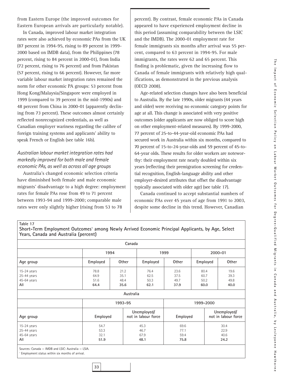from Eastern Europe (the improved outcomes for Eastern European arrivals are particularly notable).

In Canada, improved labour market integration rates were also achieved by economic PAs from the UK (87 percent in 1994-95, rising to 89 percent in 1999- 2000 based on IMDB data), from the Philippines (78 percent, rising to 84 percent in 2000-01), from India (72 percent, rising to 76 percent) and from Pakistan (57 percent, rising to 66 percent). However, far more variable labour market integration rates remained the norm for other economic PA groups: 53 percent from Hong Kong/Malaysia/Singapore were employed in 1999 (compared to 39 percent in the mid-1990s) and 48 percent from China in 2000-01 (apparently declining from 73 percent). These outcomes almost certainly reflected nonrecognized credentials, as well as Canadian employer wariness regarding the calibre of foreign training systems and applicants' ability to speak French or English (see table 16b).

#### *Australian labour market integration rates had markedly improved for both male and female economic PAs, as well as across all age groups*

Australia's changed economic selection criteria have diminished both female and male economic migrants' disadvantage to a high degree: employment rates for female PAs rose from 49 to 71 percent between 1993-94 and 1999-2000; comparable male rates were only slightly higher (rising from 53 to 78

percent). By contrast, female economic PAs in Canada appeared to have experienced employment decline in this period (assuming comparability between the LSIC and the IMDB). The 2000-01 employment rate for female immigrants six months after arrival was 55 percent, compared to 63 percent in 1994-95. For male immigrants, the rates were 62 and 65 percent. This finding is problematic, given the increasing flow to Canada of female immigrants with relatively high qualifications, as demonstrated in the previous analysis (OECD 2008).

Age-related selection changes have also been beneficial to Australia. By the late 1990s, older migrants (44 years and older) were receiving no economic category points for age at all. This change is associated with very positive outcomes (older applicants are now obliged to score high on other employment-related measures). By 1999-2000, 77 percent of 25-to-44-year-old economic PAs had secured work in Australia within six months, compared to 70 percent of 15-to-24-year-olds and 59 percent of 45-to-64-year olds. These results for older workers are noteworthy: their employment rate nearly doubled within six years (reflecting their premigration screening for credential recognition, English-language ability and other employer-desired attributes that offset the disadvantage typically associated with older age) (see table 17).

Canada continued to accept substantial numbers of economic PAs over 45 years of age from 1991 to 2003, despite some decline in this trend. However, Canadian

**Table 17**

**Short-Term Employment Outcomes1 among Newly Arrived Economic Principal Applicants, by Age, Select Years, Canada and Australia (percent)**

|               |          | Canada    |                                    |          |           |                                    |
|---------------|----------|-----------|------------------------------------|----------|-----------|------------------------------------|
|               | 1994     |           | 1999                               |          |           | 2000-01                            |
| Age group     | Employed | Other     | Employed                           | Other    | Employed  | Other                              |
| 15-24 years   | 78.8     | 21.2      | 76.4                               | 23.6     | 80.4      | 19.6                               |
| 25-44 years   | 64.9     | 35.1      | 62.5                               | 37.5     | 60.7      | 39.3                               |
| 45-64 years   | 51.6     | 48.4      | 50.3                               | 49.7     | 50.2      | 49.8                               |
| All           | 64.4     | 35.6      | 62.1                               | 37.9     | 60.0      | 40.0                               |
|               |          | Australia |                                    |          |           |                                    |
|               |          | 1993-95   |                                    |          | 1999-2000 |                                    |
| Age group     | Employed |           | Unemployed/<br>not in labour force | Employed |           | Unemployed/<br>not in labour force |
| $15-24$ years | 54.7     |           | 45.3                               | 69.6     |           | 30.4                               |
| 25-44 years   | 53.3     |           | 46.7                               | 77.1     |           | 22.9                               |
| 45-64 years   | 32.1     |           | 67.9                               | 59.4     |           | 40.6                               |
| All           | 51.9     |           | 48.1                               | 75.8     |           | 24.2                               |

Sources: Canada — IMDB and LSIC: Australia — LSIA.

**33**

Employment status within six months of arrival.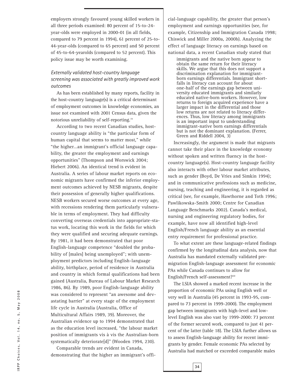employers strongly favoured young skilled workers in all three periods examined: 80 percent of 15-to-24 year-olds were employed in 2000-01 (in all fields, compared to 79 percent in 1994), 61 percent of 25-to-44-year-olds (compared to 65 percent) and 50 percent of 45-to-64-yearolds (compared to 52 percent). This policy issue may be worth examining.

#### *Externally validated host-country language screening was associated with greatly improved work outcomes*

As has been established by many reports, facility in the host-country language(s) is a critical determinant of employment outcomes in knowledge economies, an issue not examined with 2001 Census data, given the notorious unreliability of self-reporting.<sup>19</sup>

According to two recent Canadian studies, hostcountry language ability is "the particular form of human capital that seems to matter most," while "the higher…an immigrant's official language capability, the greater the employment and earnings opportunities" (Thompson and Worswick 2004; Hiebert 2006). An identical trend is evident in Australia. A series of labour market reports on economic migrants have confirmed the inferior employment outcomes achieved by NESB migrants, despite their possession of generally higher qualifications. NESB workers secured worse outcomes at every age, with recessions rendering them particularly vulnerable in terms of employment. They had difficulty converting overseas credentials into appropriate-status work, locating this work in the fields for which they were qualified and securing adequate earnings. By 1981, it had been demonstrated that poor English-language competence "doubled the probability of [males] being unemployed"; with unemployment predictors including English-language ability, birthplace, period of residence in Australia and country in which formal qualifications had been gained (Australia, Bureau of Labour Market Research 1986, 86). By 1989, poor English-language ability was considered to represent "an awesome and devastating barrier" at every stage of the employment life cycle in Australia (Australia, Office of Multicultural Affairs 1989, 39). Moreover, the Australian evidence up to 1994 demonstrated that as the education level increased, "the labour market position of immigrants vis à vis the Australian-born systematically deteriorate[d]" (Wooden 1994, 230).

Comparable trends are evident in Canada, demonstrating that the higher an immigrant's official-language capability, the greater that person's employment and earnings opportunities (see, for example, Citizenship and Immigration Canada 1998; Chiswick and Miller 2000a, 2000b). Analyzing the effect of language literacy on earnings based on national data, a recent Canadian study stated that

immigrants and the native born appear to obtain the same return for their literacy skills. We argue that this does not support a discrimination explanation for immigrantborn earnings differentials. Immigrant shortfalls in literacy can account for about one-half of the earnings gap between university educated immigrants and similarly educated native-born workers. However, low returns to foreign acquired experience have a larger impact in the differential and those low returns are not related to literacy differences. Thus, low literacy among immigrants is an important input to understanding immigrant-native born earnings differentials but is not the dominant explanation. (Ferrer, Green and Riddell 2004, 3)

Increasingly, the argument is made that migrants cannot take their place in the knowledge economy without spoken and written fluency in the hostcountry language(s). Host-country language facility also interacts with other labour market attributes, such as gender (Boyd, De Vries and Simkin 1994); and in communicative professions such as medicine, nursing, teaching and engineering, it is regarded as critical (see, for example, Hawthorne and Toth 1996; Pawlikowska-Smith 2000; Centre for Canadian Language Benchmarks 2002). Canada's medical, nursing and engineering regulatory bodies, for example, have now all identified high-level English/French language ability as an essential entry requirement for professional practice.

To what extent are these language-related findings confirmed by the longitudinal data analysis, now that Australia has mandated externally validated premigration English-language assessment for economic PAs while Canada continues to allow for English/French self-assessment?<sup>20</sup>

The LSIA showed a marked recent increase in the proportion of economic PAs using English well or very well in Australia (45 percent in 1993-95, compared to 73 percent in 1999-2000). The employment gap between immigrants with high-level and lowlevel English was also vast by 1999-2000: 73 percent of the former secured work, compared to just 41 percent of the latter (table 18). The LSIA further allows us to assess English-language ability for recent immigrants by gender. Female economic PAs selected by Australia had matched or exceeded comparable males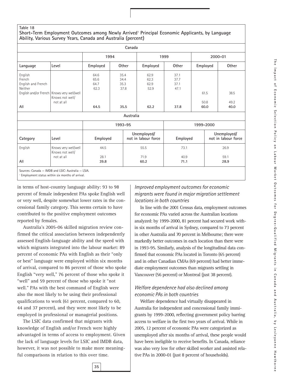#### **Table 18**

#### **Short-Term Employment Outcomes among Newly Arrived<sup>1</sup> Principal Economic Applicants, by Language Ability, Various Survey Years, Canada and Australia (percent)**

|                                                           |                                                                               |                                      | Canada                                            |                                      |                                      |                      |                                    |
|-----------------------------------------------------------|-------------------------------------------------------------------------------|--------------------------------------|---------------------------------------------------|--------------------------------------|--------------------------------------|----------------------|------------------------------------|
|                                                           |                                                                               |                                      | 1994                                              |                                      | 1999                                 |                      | 2000-01                            |
| Language                                                  | Level                                                                         | Employed                             | Other                                             | Employed                             | <b>Other</b>                         | Employed             | Other                              |
| English<br>French<br>English and French<br>Neither<br>All | English and/or French   Knows very well/well<br>Knows not well/<br>not at all | 64.6<br>65.6<br>64.7<br>62.3<br>64.5 | 35.4<br>34.4<br>35.3<br>37.8<br>35.5<br>Australia | 62.9<br>62.3<br>62.9<br>52.9<br>62.2 | 37.1<br>37.7<br>37.1<br>47.1<br>37.8 | 61.5<br>50.8<br>60.0 | 38.5<br>49.2<br>40.0               |
|                                                           |                                                                               |                                      | 1993-95                                           |                                      |                                      | 1999-2000            |                                    |
| Category                                                  | Level                                                                         | Employed                             |                                                   | Unemployed/<br>not in labour force   | Employed                             |                      | Unemployed/<br>not in labour force |
| English                                                   | Knows very well/well<br>Knows not well/<br>not at all                         | 44.5<br>28.1                         |                                                   | 55.5<br>71.9                         | 73.1<br>40.9                         |                      | 26.9<br>59.1                       |
| All                                                       | Sources: Canada - IMDB and LSIC: Australia - LSIA.                            | 39.8                                 |                                                   | 60.2                                 | 71.1                                 |                      | 28.9                               |

Employment status within six months of arrival.

in terms of host-country language ability: 93 to 98 percent of female independent PAs spoke English well or very well, despite somewhat lower rates in the concessional family category. This seems certain to have

contributed to the positive employment outcomes

reported by females. Australia's 2005-06 skilled migration review confirmed the critical association between independently assessed English-language ability and the speed with which migrants integrated into the labour market: 89 percent of economic PAs with English as their "only or best" language were employed within six months of arrival, compared to 86 percent of those who spoke English "very well," 76 percent of those who spoke it "well" and 59 percent of those who spoke it "not well." PAs with the best command of English were also the most likely to be using their professional qualifications to work (61 percent, compared to 60, 44 and 37 percent), and they were most likely to be employed in professional or managerial positions.

The LSIC data confirmed that migrants with knowledge of English and/or French were highly advantaged in terms of access to employment. Given the lack of language levels for LSIC and IMDB data, however, it was not possible to make more meaningful comparisons in relation to this over time.

#### *Improved employment outcomes for economic migrants were found in major migration settlement locations in both countries*

In line with the 2001 Census data, employment outcomes for economic PAs varied across the Australian locations analyzed: by 1999-2000, 81 percent had secured work within six months of arrival in Sydney, compared to 73 percent in other Australia and 70 percent in Melbourne; there were markedly better outcomes in each location than there were in 1993-95. Similarly, analysis of the longitudinal data confirmed that economic PAs located in Toronto (65 percent) and in other Canadian CMAs (69 percent) had better immediate employment outcomes than migrants settling in Vancouver (56 percent) or Montreal (just 38 percent).

#### *Welfare dependence had also declined among economic PAs in both countries*

Welfare dependence had virtually disappeared in Australia for independent and concessional family immigrants by 1999-2000, reflecting government policy barring access to welfare in the first two years of arrival. While in 2005, 12 percent of economic PAs were categorized as unemployed after six months of arrival, these people would have been ineligible to receive benefits. In Canada, reliance was also very low for other skilled worker and assisted relative PAs in 2000-01 (just 8 percent of households).

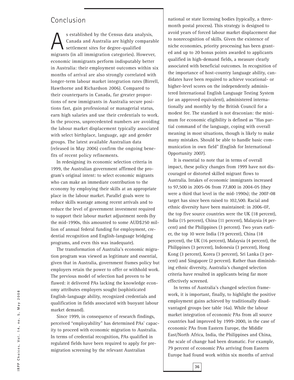#### Conclusion

S established by the Census data analysis,<br>Canada and Australia are highly compara<br>settlement sites for degree-qualified Canada and Australia are highly comparable settlement sites for degree-qualified migrants (in all immigration categories). However, economic immigrants perform indisputably better in Australia: their employment outcomes within six months of arrival are also strongly correlated with longer-term labour market integration rates (Birrell, Hawthorne and Richardson 2006). Compared to their counterparts in Canada, far greater proportions of new immigrants in Australia secure positions fast, gain professional or managerial status, earn high salaries and use their credentials to work. In the process, unprecedented numbers are avoiding the labour market displacement typically associated with select birthplace, language, age and gender groups. The latest available Australian data (released in May 2006) confirm the ongoing benefits of recent policy refinements.

In redesigning its economic selection criteria in 1999, the Australian government affirmed the program's original intent: to select economic migrants who can make an immediate contribution to the economy by employing their skills at an appropriate place in the labour market. Parallel goals were to reduce skills wastage among recent arrivals and to reduce the level of government investment required to support their labour market adjustment needs (by the mid-1990s, this amounted to some AUD\$250 million of annual federal funding for employment, credential recognition and English-language bridging programs, and even this was inadequate).

The transformation of Australia's economic migration program was viewed as legitimate and essential, given that in Australia, government frames policy but employers retain the power to offer or withhold work. The previous model of selection had proven to be flawed: it delivered PAs lacking the knowledge economy attributes employers sought (sophisticated English-language ability, recognized credentials and qualification in fields associated with buoyant labour market demand).

Since 1999, in consequence of research findings, perceived "employability" has determined PAs' capacity to proceed with economic migration to Australia. In terms of credential recognition, PAs qualified in regulated fields have been required to apply for premigration screening by the relevant Australian

national or state licensing bodies (typically, a threemonth postal process). This strategy is designed to avoid years of forced labour market displacement due to nonrecognition of skills. Given the existence of niche economies, priority processing has been granted and up to 20 bonus points awarded to applicants qualified in high-demand fields, a measure clearly associated with beneficial outcomes. In recognition of the importance of host-country language ability, candidates have been required to achieve vocational- or higher-level scores on the independently administered International English Language Testing System (or an approved equivalent), administered internationally and monthly by the British Council for a modest fee. The standard is not draconian: the minimum for economic eligibility is defined as "Has partial command of the language, coping with overall meaning in most situations, though is likely to make many mistakes. Should be able to handle basic communication in own field" (English for International Opportunity 2007).

It is essential to note that in terms of overall impact, these policy changes from 1999 have not discouraged or distorted skilled migrant flows to Australia. Intakes of economic immigrants increased to 97,500 in 2005-06 from 77,800 in 2004-05 (they were a third that level in the mid-1990s); the 2007-08 target has since been raised to 102,500. Racial and ethnic diversity have been maintained: in 2006-07, the top five source countries were the UK (18 percent), India (15 percent), China (11 percent), Malaysia (4 percent) and the Philippines (3 percent). Two years earlier, the top 10 were India (19 percent), China (18 percent), the UK (16 percent), Malaysia (4 percent), the Philippines (3 percent), Indonesia (3 percent), Hong Kong (3 percent), Korea (3 percent), Sri Lanka (3 percent) and Singapore (2 percent). Rather than diminishing ethnic diversity, Australia's changed selection criteria have resulted in applicants being far more effectively screened.

In terms of Australia's changed selection framework, it is important, finally, to highlight the positive employment gains achieved by traditionally disadvantaged groups (see table 16a). While the labour market integration of economic PAs from all source countries had improved by 1999-2000, in the case of economic PAs from Eastern Europe, the Middle East/North Africa, India, the Philippines and China, the scale of change had been dramatic. For example, 79 percent of economic PAs arriving from Eastern Europe had found work within six months of arrival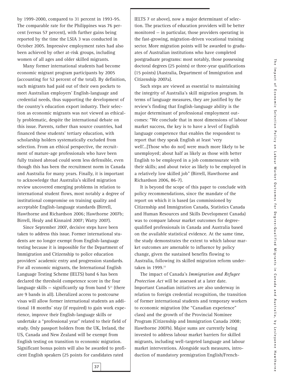by 1999-2000, compared to 31 percent in 1993-95. The comparable rate for the Philippines was 76 percent (versus 57 percent), with further gains being reported by the time the LSIA 3 was conducted in October 2005. Impressive employment rates had also been achieved by other at-risk groups, including women of all ages and older skilled migrants.

Many former international students had become economic migrant program participants by 2005 (accounting for 52 percent of the total). By definition, such migrants had paid out of their own pockets to meet Australian employers' English-language and credential needs, thus supporting the development of the country's education export industry. Their selection as economic migrants was not viewed as ethically problematic, despite the international debate on this issue. Parents, rather than source countries, had financed these students' tertiary education, with scholarship holders systematically excluded from selection. From an ethical perspective, the recruitment of mature-age professionals who have been fully trained abroad could seem less defensible, even though this has been the recruitment norm in Canada and Australia for many years. Finally, it is important to acknowledge that Australia's skilled migration review uncovered emerging problems in relation to international student flows, most notably a degree of institutional compromise on training quality and acceptable English-language standards (Birrell, Hawthorne and Richardson 2006; Hawthorne 2007b; Birrell, Healy and Kinnaird 2007; Watty 2007).

Since September 2007, decisive steps have been taken to address this issue. Former international students are no longer exempt from English-language testing because it is impossible for the Department of Immigration and Citizenship to police education providers' academic entry and progression standards. For all economic migrants, the International English Language Testing Scheme (IELTS) band 6 has been declared the threshold competence score in the four language skills  $-$  significantly up from band  $5<sup>21</sup>$  (there are 9 bands in all). Liberalized access to postcourse visas will allow former international students an additional 18 months' stay (if required) to gain work experience, improve their English-language skills or undertake a "professional year" related to their field of study. Only passport holders from the UK, Ireland, the US, Canada and New Zealand will be exempt from English testing on transition to economic migration. Significant bonus points will also be awarded to proficient English speakers (25 points for candidates rated

IELTS 7 or above), now a major determinant of selection. The practices of education providers will be better monitored — in particular, those providers operating in the fast-growing, migration-driven vocational training sector. More migration points will be awarded to graduates of Australian institutions who have completed postgraduate programs: most notably, those possessing doctoral degrees (25 points) or three-year qualifications (15 points) (Australia, Department of Immigration and Citizenship 2007a).

Such steps are viewed as essential to maintaining the integrity of Australia's skill migration program. In terms of language measures, they are justified by the review's finding that English-language ability is the major determinant of professional employment outcomes: "We conclude that in most dimensions of labour market success, the key is to have a level of English language competence that enables the respondent to report that they speak English at least 'very well'...[Those who do not] were much more likely to be unemployed; about half as likely as those with better English to be employed in a job commensurate with their skills; and about twice as likely to be employed in a relatively low skilled job" (Birrell, Hawthorne and Richardson 2006, 86-7).

It is beyond the scope of this paper to conclude with policy recommendations, since the mandate of the report on which it is based (as commissioned by Citizenship and Immigration Canada, Statistics Canada and Human Resources and Skills Development Canada) was to compare labour market outcomes for degreequalified professionals in Canada and Australia based on the available statistical evidence. At the same time, the study demonstrates the extent to which labour market outcomes are amenable to influence by policy change, given the sustained benefits flowing to Australia, following its skilled migration reform undertaken in 1999.<sup>22</sup>

The impact of Canada's *Immigration and Refugee Protection Act* will be assessed at a later date. Important Canadian initiatives are also underway in relation to foreign credential recognition, the transition of former international students and temporary workers to economic migration (the "Canadian experience" class) and the growth of the Provincial Nominee Program (Citizenship and Immigration Canada 2008; Hawthorne 2007b). Major sums are currently being invested to address labour market barriers for skilled migrants, including well-targeted language and labour market interventions. Alongside such measures, introduction of mandatory premigration English/French-

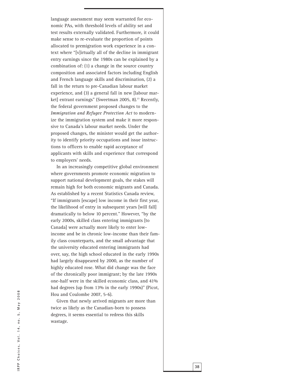language assessment may seem warranted for economic PAs, with threshold levels of ability set and test results externally validated. Furthermore, it could make sense to re-evaluate the proportion of points allocated to premigration work experience in a context where "[v]irtually all of the decline in immigrant entry earnings since the 1980s can be explained by a combination of: (1) a change in the source country composition and associated factors including English and French language skills and discrimination, (2) a fall in the return to pre-Canadian labour market experience, and (3) a general fall in new [labour market] entrant earnings" (Sweetman 2005, 8).<sup>23</sup> Recently, the federal government proposed changes to the *Immigration and Refugee Protection Act* to modernize the immigration system and make it more responsive to Canada's labour market needs. Under the proposed changes, the minister would get the authority to identify priority occupations and issue instructions to officers to enable rapid acceptance of applicants with skills and experience that correspond to employers' needs.

In an increasingly competitive global environment where governments promote economic migration to support national development goals, the stakes will remain high for both economic migrants and Canada. As established by a recent Statistics Canada review, "If immigrants [escape] low income in their first year, the likelihood of entry in subsequent years [will fall] dramatically to below 10 percent." However, "by the early 2000s, skilled class entering immigrants [to Canada] were actually more likely to enter lowincome and be in chronic low-income than their family class counterparts, and the small advantage that the university educated entering immigrants had over, say, the high school educated in the early 1990s had largely disappeared by 2000, as the number of highly educated rose. What did change was the face of the chronically poor immigrant; by the late 1990s one-half were in the skilled economic class, and 41% had degrees (up from 13% in the early 1990s)" (Picot, Hou and Coulombe 2007, 5-6).

Given that newly arrived migrants are more than twice as likely as the Canadian-born to possess degrees, it seems essential to redress this skills wastage.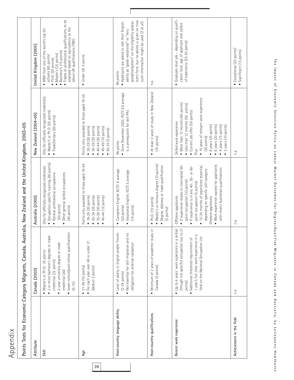| . . |  |
|-----|--|
|     |  |
| Ļ.  |  |
|     |  |
|     |  |
|     |  |

 $\overline{a}$ 

| $\frac{1}{2}$ | I                                                                |
|---------------|------------------------------------------------------------------|
|               |                                                                  |
|               |                                                                  |
|               |                                                                  |
|               |                                                                  |
|               |                                                                  |
|               |                                                                  |
|               |                                                                  |
|               |                                                                  |
|               |                                                                  |
|               |                                                                  |
|               |                                                                  |
|               |                                                                  |
|               |                                                                  |
| I             |                                                                  |
|               |                                                                  |
|               |                                                                  |
|               |                                                                  |
|               |                                                                  |
|               |                                                                  |
|               |                                                                  |
|               |                                                                  |
|               | ׇ֚֘                                                              |
|               |                                                                  |
|               |                                                                  |
|               |                                                                  |
|               | l                                                                |
|               | l                                                                |
| j             |                                                                  |
|               |                                                                  |
|               | i                                                                |
|               | ׇ֖֖֖֖֖֖֖ׅ֖֧֖֖֧֖֧֪ׅ֚֚֚֚֚֚֚֚֚֚֚֚֚֚֚֚֚֚֚֚֚֚֚֚֚֚֚֚֚֚֚֚֬֝֓֞֝֬֞֝֬<br>l |
|               |                                                                  |
|               |                                                                  |
|               |                                                                  |
|               |                                                                  |
|               |                                                                  |
| I             | ı                                                                |
|               |                                                                  |
|               |                                                                  |
| l             |                                                                  |
|               |                                                                  |
|               | Ξ                                                                |
|               |                                                                  |

| Attribute                     | Canada (2003)                                                                                                                                                                                                                       | Australia (2005)                                                                                                                                                                                                                                                                                                                                                       | New Zealand (2004-05)                                                                                                                                                                                                                                                                                                    | United Kingdom (2005)                                                                                                                                                                                                                                                                            |
|-------------------------------|-------------------------------------------------------------------------------------------------------------------------------------------------------------------------------------------------------------------------------------|------------------------------------------------------------------------------------------------------------------------------------------------------------------------------------------------------------------------------------------------------------------------------------------------------------------------------------------------------------------------|--------------------------------------------------------------------------------------------------------------------------------------------------------------------------------------------------------------------------------------------------------------------------------------------------------------------------|--------------------------------------------------------------------------------------------------------------------------------------------------------------------------------------------------------------------------------------------------------------------------------------------------|
| Skill                         | · lower-school/post-school qualifications<br>· 2 or more bachelor's degrees or trade<br>• 2-year university degree or trade<br>• Master's or Ph.D.: 25 points'<br>credential (22 points)<br>credential (20)<br>$(5 - 15)$           | • Occupation-specific training (60 points)<br>Only for officially recognized credentials<br>General professional occupations<br>Other general skilled occupations<br>(50 points)<br>(40 points)                                                                                                                                                                        | Only for officially recognized credentials<br>• Master's or Ph.D. (55 points)<br>• Trade/tertiary (50 points)                                                                                                                                                                                                            | Trades or professional qualifications, to be<br>assessed based on equivalency to the<br>above UK qualifications (TBA)<br>MBA from one of the world's top 50<br>Bachelor's (15 points)<br>Master's (25 points)<br>schools (65 points)<br>Ph.D. (30 points)<br>$\bullet$<br>$\bullet$<br>$\bullet$ |
| Age                           | • For each year over 49 or under 21<br>$\bullet$ 21-49 (10 points)<br>(deduct 2 points)                                                                                                                                             | Points only awarded to those aged 18-44<br>$• 18-29 (30 points)$<br>$• 30-34 (25 points)$<br>$• 35 - 39 (20 points)$<br>$-40-44$ (15 points)                                                                                                                                                                                                                           | Points only awarded to those aged 18-55<br>$• 20 - 29 (30 points)$<br>$-40-44$ (20 points)<br>$• 45-49 (10 points)$<br>• 30-39 (25 points)<br>50-55 (5 points)                                                                                                                                                           | • Under 28: 5 points                                                                                                                                                                                                                                                                             |
| Host-country language ability | • Level of ability in English and/or French<br>. Not essential for skill migration and no<br>obligation for external validation<br>$(2-24$ points)                                                                                  | Competent English IELTS <sup>2</sup> 6 average<br>Vocational English, IELTS 5 average<br>$(15$ points)<br>$(20$ points)                                                                                                                                                                                                                                                | · Since November 2002, IELTS 6.5 average<br>is a prerequisite for skill PAs<br>No points                                                                                                                                                                                                                                 | ment form, but no advice is given on how<br>good/competent" on the eligibility assess-<br>such information might be used (if at all)<br>. Applicants are asked to rate their English<br>ability as "good-vocational" or "very<br>No points                                                       |
| Host-country qualifications   | • Minimum of 2 years of academic study in<br>Canada (5 points)                                                                                                                                                                      | Master's or honours degree (10 points) <sup>3</sup><br>Degree, diploma or trade qualification<br>Ph.D. (15 points)<br>$(5$ points) <sup>4</sup>                                                                                                                                                                                                                        | At least 2 years of study in New Zealand<br>(10 points)                                                                                                                                                                                                                                                                  | n.a.                                                                                                                                                                                                                                                                                             |
| Recent work experience        | (though not specific) occupation (up to 21<br>· Up to 4 years' work experience in a skilled<br>1 year's full-time work experience in a<br>field on the National Occupation List<br>• Additional threshold requirement of<br>points) | • Work experience waived for applicants<br>· If experience relates to nominated 60-<br>12-24 months of experience essential,<br>• If experience is in any 40-, 50- or 60-<br>with recent Australian qualifications<br>depending on specific skill category<br>point occupation (10 points)<br>point occupation (5 points)<br>Offshore applicants<br>Onshore applicants | · 10 years of relevant work experience<br>• More than 12 months (60 points)<br>• Less than 12 months (50 points)<br>· Current job offer (50 points)<br>Skilled work experience<br>$\bullet$ 6 years (20 points)<br>4 years (15 points)<br>8 years (25 points)<br>2 years (10 points)<br>(30 points)<br>Plus<br>$\bullet$ | Graduate-level job - depending on qualifi-<br>cation level, age of applicant and calibre<br>of experience (25-50 points)<br>$\bullet$                                                                                                                                                            |
| Achievement in the field      | Ρ.                                                                                                                                                                                                                                  | n.a.                                                                                                                                                                                                                                                                                                                                                                   | n.a.                                                                                                                                                                                                                                                                                                                     | • Exceptional (25 points) <sup>5</sup><br>Significant (15 points)                                                                                                                                                                                                                                |
|                               |                                                                                                                                                                                                                                     |                                                                                                                                                                                                                                                                                                                                                                        |                                                                                                                                                                                                                                                                                                                          |                                                                                                                                                                                                                                                                                                  |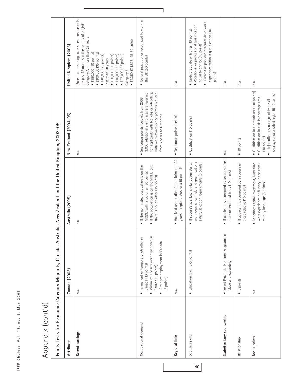| $\infty$<br>$\circ$<br>$\circ$<br>$\sim$<br>>                       |
|---------------------------------------------------------------------|
| $\sigma$<br>$\leq$<br>⋖                                             |
| Б                                                                   |
| ٠<br>$\circ$<br>$\mathbf{r}$                                        |
| š<br>$\overline{a}$<br>i<br>$\mathbf{r}$                            |
| $\circ$<br>$\geq$                                                   |
| ı<br>S<br>$\mathbbmss{}$<br>$\mathbf{C}$<br>ı.<br>$\circ$<br>ᇰ<br>ပ |
| $\mathbf{r}$<br>$\sim$<br>$\approx$                                 |

# Appendix (cont'd) Appendix (cont'd)

|    | Attribute                   | Canada (2003)                                                                                                                                                                     | Australia (2005)                                                                                                                                              | New Zealand (2004-05)                                                                                                                                                                                                                       | United Kingdom (2005)                                                                                                                                                                                                                                                                                                                                                                                                                |
|----|-----------------------------|-----------------------------------------------------------------------------------------------------------------------------------------------------------------------------------|---------------------------------------------------------------------------------------------------------------------------------------------------------------|---------------------------------------------------------------------------------------------------------------------------------------------------------------------------------------------------------------------------------------------|--------------------------------------------------------------------------------------------------------------------------------------------------------------------------------------------------------------------------------------------------------------------------------------------------------------------------------------------------------------------------------------------------------------------------------------|
|    | Recent earnings             | n.a.                                                                                                                                                                              | n.a                                                                                                                                                           | n.a.                                                                                                                                                                                                                                        | (Based on an earnings assessment conducted in<br>the past 12 months in the country of origin) <sup>®</sup><br>Category A - more than 28 years<br>$\bullet$ £2,350-£21,875 (25-50 points)<br>$\bullet$ £250,000 (50 points)<br>$\bullet$ £100,000 (35 points)<br>$\bullet$ £40,000 (25 points)<br>$\bullet$ £60,000 (50 points)<br>$\bullet$ £27,000 (25 points)<br>$\bullet$ £40,000 (35 points)<br>Less than 28 years<br>Category E |
|    | Occupational demand         | Minimum 1 year's work experience in<br>Permanent or temporary job offer in<br>Arranged employment in Canada<br>Canada (10 points)<br>Canada (5 points)<br>(5 points)<br>$\bullet$ | • If the nominated occupation is on the<br>• If the occupation is on the MODL, but<br>MODL' with a job offer (20 points)<br>there is no job offer (15 points) | for applicants with NZ jobs or job offers,<br>3,000 additional skill places are reserved<br>with work-to-residence permits reduced<br>See bonus points (below); from 2006,<br>from 2 years to 6 months                                      | General practitioner recognized to work in<br>the UK (50 points)<br>$\bullet$                                                                                                                                                                                                                                                                                                                                                        |
|    | Regional links              | n.a.                                                                                                                                                                              | Has lived and studied for a minimum of 2<br>years in regional Australia (5 points) <sup>8</sup><br>$\bullet$                                                  | See bonus points (below)<br>$\bullet$                                                                                                                                                                                                       | n.a.                                                                                                                                                                                                                                                                                                                                                                                                                                 |
| 40 | Spouse's skills             | • Education level (3-5 points)                                                                                                                                                    | work experience, field and qualifications<br>• If spouse's age, English-language ability,<br>satisfy selection requirements (5 points)                        | · Qualification (10 points)                                                                                                                                                                                                                 | Current or previous graduate-level work<br>· Vocational or professional qualification<br>• Undergraduate or higher (10 points)<br>experience without qualification (10<br>equal to degree (10 points)<br>points)<br>$\bullet$                                                                                                                                                                                                        |
|    | State/territory sponsorship | Select Provincial Nominee Programs in<br>place and expanding                                                                                                                      | If applicant is sponsored by an authorized<br>state or territorial body (10 points)<br>$\bullet$                                                              | n.a.                                                                                                                                                                                                                                        | n.a.                                                                                                                                                                                                                                                                                                                                                                                                                                 |
|    | Relationship                | 5 points<br>$\bullet$                                                                                                                                                             | · If applicant is sponsored by a spouse or<br>close relative (15 points)                                                                                      | 10 points<br>$\bullet$                                                                                                                                                                                                                      | n.a.                                                                                                                                                                                                                                                                                                                                                                                                                                 |
|    | Bonus points                | n.a.                                                                                                                                                                              | For either capital investment, Australian<br>work experience or fluency in the com-<br>munity language (5 points)<br>$\bullet$                                | Qualification in a growth area (10 points)<br>shortage area or select region (5-10 points) <sup>9</sup><br>Qualification in a skills-shortage area<br>Job, job offer or spouse job offer in skill-<br>(10 points)<br>$\bullet$<br>$\bullet$ | n.a.                                                                                                                                                                                                                                                                                                                                                                                                                                 |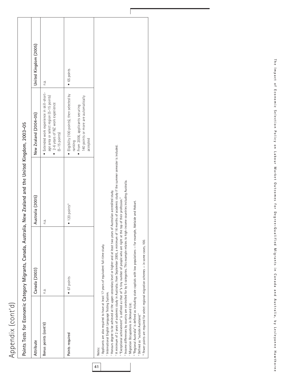| O                       |
|-------------------------|
|                         |
| ى                       |
| $\overline{\mathbf{C}}$ |
|                         |
| C<br>)<br>č.            |
|                         |
|                         |
|                         |
|                         |
| ट                       |
|                         |
| C                       |
| ൛                       |
| ◘                       |
| ○                       |
| ,                       |
|                         |
|                         |

|                                                                                                                                                                                                                                           | Canada (2003)                                                                                                                                                                                                                                                                                                                                                                                                                                                                                                                                                                                                                                                                                                                                                                                | Australia (2005)                   | New Zealand (2004-05)                                                                                                                       | United Kingdom (2005) |
|-------------------------------------------------------------------------------------------------------------------------------------------------------------------------------------------------------------------------------------------|----------------------------------------------------------------------------------------------------------------------------------------------------------------------------------------------------------------------------------------------------------------------------------------------------------------------------------------------------------------------------------------------------------------------------------------------------------------------------------------------------------------------------------------------------------------------------------------------------------------------------------------------------------------------------------------------------------------------------------------------------------------------------------------------|------------------------------------|---------------------------------------------------------------------------------------------------------------------------------------------|-----------------------|
| Bonus points (cont'd)                                                                                                                                                                                                                     | n.a.                                                                                                                                                                                                                                                                                                                                                                                                                                                                                                                                                                                                                                                                                                                                                                                         | n.a.                               | · Extended work experience in skill-short-<br>age area or select region (5-15 points)<br>2-6 years of NZ work experience<br>$(5-15$ points) | n.a.                  |
| Points required                                                                                                                                                                                                                           | $-67$ points                                                                                                                                                                                                                                                                                                                                                                                                                                                                                                                                                                                                                                                                                                                                                                                 | $\bullet$ 120 points <sup>10</sup> | Eligibility (100 points), then selected by<br>140 points or more are automatically<br>From 2006, applicants securing<br>accepted<br>ranking | 65 points             |
| Applicants are also required to have at least 17 years of equivalent full-time study.<br><sup>2</sup> International English Language Testing System.<br>Migration Occupations in Demand List.<br>Defined as "outside Auckland."<br>Notes: | A minimum of 2 years of academic study in Australia; from September 2005, a minimum of 16 months of academic study if the summer semester is included.<br>" Income differences by country are controlled for by 5 categories. This example relates to high-income countries including Australia.<br>Honours degree to be achieved at the upper-secondary level or higher and at least two years of Australian accredited study.<br>" "Exceptional achievement" is defined as that of "a tiny number of people who are right at the top of their profession."<br>" "Regional Australia" is defined as including state capitals with low populations – for example, Adelaide and Hobart.<br>$^{\circ}$ Fewer points are required for select regional migration schemes $-$ in some cases, 100. |                                    |                                                                                                                                             |                       |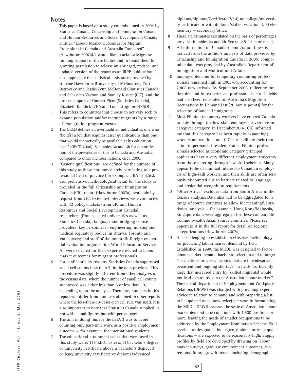#### **Notes**

This paper is based on a study commissioned in 2004 by Statistics Canada, Citizenship and Immigration Canada and Human Resources and Social Development Canada entitled "Labour Market Outcomes for Migrant Professionals: Canada and Australia Compared" (Hawthorne 2007a). I would like to acknowledge the funding support of these bodies and to thank them for granting permission to release an abridged, revised and updated version of the report as an IRPP publication. I also appreciate the statistical assistance provided by Graeme Hawthorne (University of Melbourne), Yuri Ostrovsky and Jessie-Lynn McDonald (Statistics Canada) and Sebastien Vachon and Stanley Kustec (CIC); and the project support of Garnett Picot (Statistics Canada), Elizabeth Ruddick (CIC) and Louis Grignon (HRSDC).

- 1 This refers to countries that choose to actively seek to expand population and/or recruit migrants by a range of immigration program means.
- 2 The OECD defines an overqualified individual as one who "hold[s] a job that requires lesser qualifications than one that would theoretically be available at his education level" (OECD 2008). See tables 6a and 6b for quantification of the prevalence of this in Canada and Australia, compared to other member nations, circa 2000.
- 3 "Generic qualifications" are defined for the purpose of this study as those not immediately correlating to a professional field of practice (for example, a BA or B.Sc.).
- 4 Comprehensive methodological detail for the study is provided in the full Citizenship and Immigration Canada (CIC) report (Hawthorne 2007a), available by request from CIC. Extended interviews were conducted with 32 policy-makers (from CIC and Human Resources and Social Development Canada); researchers (from selected universities as well as Statistics Canada); language and bridging course providers; key personnel in engineering, nursing and medical regulatory bodies (in Ottawa, Toronto and Vancouver); and staff of the nonprofit foreign credential evaluation organization World Education Services. All were selected for their expertise related to labour market outcomes for migrant professionals.
- 5 For confidentiality reasons, Statistics Canada suppressed small cell counts (less than 5) in the data provided. This procedure was slightly different from other analyses of the census data, where the number of small cell counts suppressed was either less than 5 or less than 10, depending upon the analysis. Therefore, numbers in this report will differ from numbers obtained in other reports where the less-than-10-cases-per-cell rule was used. It is also important to note that Statistics Canada supplied us not with actual figures but with percentages.
- 6 The aim in doing this for the LSIA 3 was to avoid counting only part-time work as a positive employment outcome — for example, for international students.
- The educational attainment codes that were used in this study were: 1) Ph.D./master's; 2) bachelor's degree or university certificate above a bachelor's degree; 3) college/university certificate or diploma/advanced

diploma/diploma/Certificate IV; 4) no college/university certificate or with diploma/skilled vocational; 5) elementary — secondary/other.

- 8 These are estimates calculated on the basis of percentages provided in tables 2a and 2b. See note 5 for more details.
- 9 All information on Canadian immigration flows is derived from the author's analysis of data provided by Citizenship and Immigration Canada in 2005; comparable data was provided by Australia's Department of Immigration and Multicultural Affairs.
- 10 Employer demand for temporary computing professionals remained high in 2003-04, accounting for 2,808 new arrivals. By September 2006, reflecting further demand for experienced professionals, six IT fields had also been reinstated on Australia's Migration Occupations in Demand List (20 bonus points) for the selection of landed immigrants.
- 11 Most Filipino temporary workers have entered Canada to date through the low-skill, employer-driven live-in caregiver category. In December 2007, CIC informed me that this category has been rapidly expanding; workers are required, and CIC can facilitate their transition to permanent resident status. Filipino professionals selected as economic category principal applicants have a very different employment trajectory from those entering through low-skill schemes. Many appear to be of minimal interest to Canadian employers of high-skill workers, and their skills are often seriously discounted due to barriers related to language and credential recognition requirements.
- 12 "Other Africa" excludes data from South Africa in the Census analysis. Data also had to be aggregated for a range of source countries to allow for meaningful statistical analysis — for example, Hong Kong/Malaysia/ Singapore data were aggregated for these comparable Commonwealth Asian source countries. Please see appendix A in the full report for detail on regional categorizations (Hawthorne 2007a).
- 13 It is challenging to establish an effective methodology for predicting labour market demand by field. Established in 1999, the MODL was designed to factor labour market demand back into selection and to target "occupations or specialisations that are in widespread, persistent and ongoing shortage" in fields "sufficiently large that increased entry by [skilled migrants] would not lead to surpluses in the Australian labour market." The federal Department of Employment and Workplace Relations (DEWR) was charged with providing expert advice in relation to demand and with preparing a list to be updated once (now twice) per year. In formulating the MODL, DEWR assesses the scale of Australian labour market demand in occupations with 1,500 positions or more, leaving the needs of smaller occupations to be addressed by the Employment Nomination Scheme. Skill levels — as designated by degree, diploma or trade qualifications — are expected to be reasonably high. Supply profiles by field are developed by drawing on labour market surveys, graduate employment outcomes, current and future growth trends (including demographic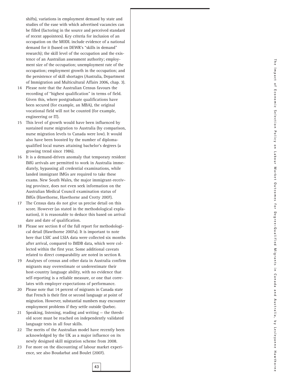shifts), variations in employment demand by state and studies of the ease with which advertised vacancies can be filled (factoring in the source and perceived standard of recent appointees). Key criteria for inclusion of an occupation on the MODL include evidence of a national demand for it (based on DEWR's "skills in demand" research); the skill level of the occupation and the existence of an Australian assessment authority; employment size of the occupation; unemployment rate of the occupation; employment growth in the occupation; and the persistence of skill shortages (Australia, Department of Immigration and Multicultural Affairs 2006, chap. 3).

- 14 Please note that the Australian Census favours the recording of "highest qualification" in terms of field. Given this, where postgraduate qualifications have been secured (for example, an MBA), the original vocational field will not be counted (for example, engineering or IT).
- 15 This level of growth would have been influenced by sustained nurse migration to Australia (by comparison, nurse migration levels to Canada were low). It would also have been boosted by the number of diplomaqualified local nurses attaining bachelor's degrees (a growing trend since 1986).
- 16 It is a demand-driven anomaly that temporary resident IMG arrivals are permitted to work in Australia immediately, bypassing all credential examinations, while landed immigrant IMGs are required to take these exams. New South Wales, the major immigrant-receiving province, does not even seek information on the Australian Medical Council examination status of IMGs (Hawthorne, Hawthorne and Crotty 2007).
- 17 The Census data do not give us precise detail on this score. However (as stated in the methodological explanation), it is reasonable to deduce this based on arrival date and date of qualification.
- 18 Please see section 8 of the full report for methodological detail (Hawthorne 2007a). It is important to note here that LSIC and LSIA data were collected six months after arrival, compared to IMDB data, which were collected within the first year. Some additional caveats related to direct comparability are noted in section 8.
- 19 Analyses of census and other data in Australia confirm migrants may overestimate or underestimate their host-country language ability, with no evidence that self-reporting is a reliable measure, or one that correlates with employer expectations of performance.
- 20 Please note that 14 percent of migrants in Canada state that French is their first or second language at point of migration. However, substantial numbers may encounter employment problems if they settle outside Quebec.
- 21 Speaking, listening, reading and writing the threshold score must be reached on independently validated language tests in all four skills.
- 22 The merits of the Australian model have recently been acknowledged by the UK as a major influence on its newly designed skill migration scheme from 2008.
- 23 For more on the discounting of labour market experience, see also Boudarbat and Boulet (2007).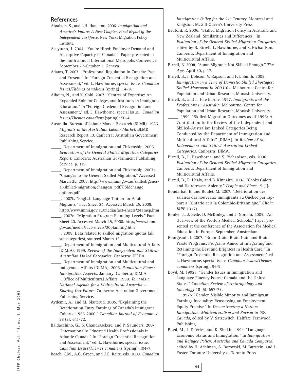#### **References**

Abraham, S., and L.H. Hamilton. 2006. *Immigration and America's Future: A New Chapter. Final Report of the Independent Taskforce*. New York: Migration Policy Institute.

Aceytuno, J. 2004. "You're Hired: Employer Demand and Absorptive Capacity in Canada." Paper presented at the ninth annual International Metropolis Conference, September 27-October 1, Geneva.

- Adams, T. 2007. "Professional Regulation in Canada: Past and Present." In "Foreign Credential Recognition and Assessment," ed. L. Hawthorne, special issue, *Canadian Issues/Thèmes canadiens* (spring): 14-16.
- Alboim, N., and K. Cohl. 2007. "Centres of Expertise: An Expanded Role for Colleges and Institutes in Immigrant Education." In "Foreign Credential Recognition and Assessment," ed. L. Hawthorne, special issue, *Canadian Issues/Thèmes canadiens* (spring): 50-4.
- Australia. Bureau of Labour Market Research (BLMR). 1986. *Migrants in the Australian Labour Market*. BLMR Research Report 10. Canberra: Australian Government Publishing Service.
- \_\_\_\_\_. Department of Immigration and Citizenship. 2006. *Evaluation of the General Skilled Migration Categories Report*. Canberra: Australian Government Publishing Service, p. 119.
- \_\_\_\_\_. Department of Immigration and Citizenship. 2007a. "Changes to the General Skilled Migration." Accessed March 25, 2008. http://www.immi.gov.au/skilled/general-skilled-migration/changes/\_pdf/GSMchange\_ options.pdf
- \_\_\_\_\_. 2007b. "English Language Tuition for Adult Migrants." Fact Sheet 24. Accessed March 25, 2008. http://www.immi.gov.au/media/fact-sheets/24amep.htm
- \_\_\_\_\_. 2007c. "Migration Program Planning Levels." Fact Sheet 20. Accessed March 25, 2008. http://www.immi. gov.au/media/fact-sheets/20planning.htm
- \_\_\_\_\_. 2008. Data related to skilled migration quotas (all subcategories), sourced March 15.
- \_\_\_\_\_. Department of Immigration and Multicultural Affairs (DIMIA). 1999. *Review of the Independent and Skilled-Australian Linked Categories*. Canberra: DIMIA.
- \_\_\_\_\_. Department of Immigration and Multicultural and Indigenous Affairs (DIIMA). 2005. *Population Flows: Immigration Aspects*, January. Canberra: DIMIA.
- \_\_\_\_\_. Office of Multicultural Affairs. 1989. *Towards a National Agenda for a Multicultural Australia — Sharing Our Future*. Canberra: Australian Government Publishing Service.
- Aydemir, A., and M. Skuterud. 2005. "Explaining the Deteriorating Entry Earnings of Canada's Immigrant Cohorts: 1966-2000." *Canadian Journal of Economics* 38 (2): 641-72.
- Baldacchino, G., S. Chandrasekere, and P. Saunders. 2007. "Internationally Educated Health Professionals in Atlantic Canada." In "Foreign Credential Recognition and Assessment," ed. L. Hawthorne, special issue, *Canadian Issues/Thèmes canadiens* (spring): 104-7.

Beach, C.M., A.G. Green, and J.G. Reitz, eds. 2003. *Canadian*

*Immigration Policy for the 21*st *Century*. Montreal and Kingston: McGill-Queen's University Press.

- Bedford, R. 2006. "Skilled Migration Policy in Australia and New Zealand: Similarities and Differences." In *Evaluation of the General Skilled Migration Categories*, edited by B. Birrell, L. Hawthorne, and S. Richardson. Canberra: Department of Immigration and Multicultural Affairs.
- Birrell, B. 2008, "Some Migrants Not Skilled Enough." *The Age,* April 30, p 17.
- Birrell, B., I. Dobson, V. Rapson, and F.T. Smith. 2005. *Immigration in a Time of Domestic Skilled Shortages: Skilled Movement in 2003-04*. Melbourne: Centre for Population and Urban Research, Monash University.
- Birrell, B., and L. Hawthorne. 1997. *Immigrants and the Professions in Australia*. Melbourne: Centre for Population and Urban Research, Monash University.
	- \_\_\_\_\_. 1999. "Skilled Migration Outcomes as of 1996: A Contribution to the Review of the Independent and Skilled-Australian Linked Categories Being Conducted by the Department of Immigration and Multicultural Affairs" [DIMA]. In *Review of the Independent and Skilled-Australian Linked Categories*. Canberra: DIMA.
- Birrell, B., L. Hawthorne, and S. Richardson, eds. 2006. *Evaluation of the General Skilled Migration Categories*. Canberra: Department of Immigration and Multicultural Affairs.
- Birrell, B., E. Healy, and B. Kinnaird. 2007. "Cooks Galore and Hairdressers Aplenty." *People and Place* 15 (1)**.**
- Boudarbat, B. and Boulet, M. 2007. "Détérioration des salaires des nouveaux immigrants au Québec par rapport à l'Ontario et à la Colombie-Britannique." *Choix IRPP* 13 (7).
- Boulet, J., J. Bede, D. McKinley, and J. Norcini. 2005. "An Overview of the World's Medical Schools." Paper presented at the conference of the Association for Medical Education in Europe, September, Amsterdam.
- Bourgeault, I. 2007. "Brain Drain, Brain Gain and Brain Waste Programs: Programs Aimed at Integrating and Retaining the Best and Brightest in Health Care." In "Foreign Credential Recognition and Assessment," ed. L. Hawthorne, special issue, *Canadian Issues/Thèmes canadiens* (spring): 96-9.
- Boyd, M. 1992a. "Gender Issues in Immigration and Language Fluency Issues: Canada and the United States." *Canadian Review of Anthropology and Sociology* 18 (5): 657-73.
- \_\_\_\_\_. 1992b. "Gender, Visible Minority and Immigrant Earnings Inequality: Reassessing an Employment Equity Premise." In *Deconstructing a Nation: Immigration, Multiculturalism and Racism in 90s Canada*, edited by V. Satzewitch. Halifax: Fernwood Publishing.
- Boyd, M., J. DeVries, and K. Simkin. 1994. "Language, Economic Status and Immigration." In *Immigration and Refugee Policy: Australia and Canada Compared*, edited by H. Adelman, A. Borowski, M. Burstein, and L. Foster. Toronto: University of Toronto Press.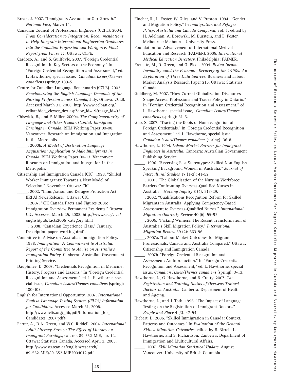Brean, J. 2007. "Immigrants Account for Our Growth." *National Post*, March 14.

Canadian Council of Professional Engineers (CCPE). 2004. *From Consideration to Integration: Recommendations to Help Integrate International Engineering Graduates into the Canadian Profession and Workforce. Final Report from Phase 11*. Ottawa: CCPE.

Cardozo, A., and S. Guilfoyle. 2007. "Foreign Credential Recognition in Key Sectors of the Economy." In "Foreign Credential Recognition and Assessment," ed. L. Hawthorne, special issue, *Canadian Issues/Thèmes canadiens* (spring): 133-5.

Centre for Canadian Language Benchmarks (CCLB). 2002. *Benchmarking the English Language Demands of the Nursing Profession across Canada*, July. Ottawa: CCLB. Accessed March 31, 2008. http://www.celban.org/ celban/doc\_viewer\_dex.asp?doc\_id=19&page\_id=32

Chiswick, B., and P. Miller. 2000a. *The Complementarity of Language and Other Human Capital: Immigrant Earnings in Canada*. RIIM Working Paper 00-08. Vancouver: Research on Immigration and Integration in the Metropolis.

\_\_\_\_\_. 2000b. *A Model of Destination Language Acquisition: Application to Male Immigrants in Canada*. RIIM Working Paper 00-13. Vancouver: Research on Immigration and Integration in the Metropolis.

Citizenship and Immigration Canada (CIC). 1998. "Skilled Worker Immigrants: Towards a New Model of Selection," November. Ottawa: CIC.

\_\_\_\_\_. 2002. "Immigration and Refugee Protection Act (IRPA) News Release." Ottawa: CIC.

\_\_\_\_\_. 2007. "CIC Canada Facts and Figures 2006: Immigration Overview Permanent Residents." Ottawa: CIC. Accessed March 25, 2008. http://www.cic.gc.ca/ english/pub/facts2006\_category.html

\_\_\_\_\_. 2008. "Canadian Experience Class," January. Description paper, working draft.

Committee to Advise on Australia's Immigration Policy. 1988. *Immigration: A Commitment to Australia. Report of the Committee to Advise on Australia's Immigration Policy*. Canberra: Australian Government Printing Service.

Dauphinee, D. 2007. "Credentials Recognition in Medicine: History, Progress and Lessons." In "Foreign Credential Recognition and Assessment," ed. L. Hawthorne, special issue, *Canadian Issues/Thèmes canadiens* (spring): 100-103.

English for International Opportunity. 2007. *International English Language Testing System (IELTS) Information for Candidates*. Accessed March 31, 2008. http://www.ielts.org/\_lib/pdf/Information\_for\_ Candidates\_2007.pdf#

Ferrer, A., D.A. Green, and W.C. Riddell. 2004. *International Adult Literacy Survey: The Effect of Literacy on Immigrant Earnings*, cat. no. 89-552-MIE, no. 12. Ottawa: Statistics Canada. Accessed April 3, 2008. http://www.statcan.ca/english/research/ 89-552-MIE/89-552-MIE2004012.pdf

**45**

Fincher, R., L. Foster, W. Giles, and V. Preston. 1994. "Gender and Migration Policy." In *Immigration and Refugee Policy: Australia and Canada Compared*, vol. 1, edited by H. Adelman, A. Borowski, M. Burstein, and L. Foster. Melbourne: Melbourne University Press.

Foundation for Advancement of International Medical Education and Research (FAIMER). 2005. *International Medical Education Directory*. Philadelphia: FAIMER.

Frenette, M., D. Green, and G. Picot. 2004. *Rising Income Inequality amid the Economic Recovery of the 1990s: An Exploration of Three Data Sources*. Business and Labour Market Analysis Research Paper 215. Ottawa: Statistics Canada.

Goldberg, M. 2007. "How Current Globalization Discourses Shape Access: Professions and Trades Policy in Ontario." In "Foreign Credential Recognition and Assessment," ed. L. Hawthorne, special issue, *Canadian Issues/Thèmes canadiens* (spring): 31-6.

Guo, S. 2007. "Tracing the Roots of Non-recognition of Foreign Credentials." In "Foreign Credential Recognition and Assessment," ed. L. Hawthorne, special issue, *Canadian Issues/Thèmes canadiens* (spring): 36-8.

Hawthorne, L. 1994. *Labour Market Barriers for Immigrant Engineers in Australia*. Canberra: Australian Government Publishing Service.

\_\_\_\_\_. 1996. "Reversing Past Stereotypes: Skilled Non English Speaking Background Women in Australia." *Journal of Intercultural Studies* 17 (1-2): 41-52.

\_\_\_\_\_. 2001. "The Globalisation of the Nursing Workforce: Barriers Confronting Overseas-Qualified Nurses in Australia." *Nursing Inquiry* 8 (4): 213-29.

- \_\_\_\_\_. 2002. "Qualifications Recognition Reform for Skilled Migrants in Australia: Applying Competency-Based Assessment to Overseas-Qualified Nurses." *International Migration Quarterly Review* 40 (6): 55-92.
- \_\_\_\_\_. 2005. "Picking Winners: The Recent Transformation of Australia's Skill Migration Policy." *International Migration Review* 39 (2): 663-96.

\_\_\_\_\_. 2007a. "Labour Market Outcomes for Migrant Professionals: Canada and Australia Compared." Ottawa: Citizenship and Immigration Canada.

\_\_\_\_\_. 2007b. "Foreign Credential Recognition and Assessment: An Introduction." In "Foreign Credential Recognition and Assessment," ed. L. Hawthorne, special issue, *Canadian Issues/Thèmes canadiens* (spring): 3-13.

Hawthorne, L., G. Hawthorne, and B. Crotty. 2007. *The Registration and Training Status of Overseas Trained Doctors in Australia*. Canberra: Department of Health and Ageing.

Hawthorne, L., and J. Toth. 1996. "The Impact of Language Testing on the Registration of Immigrant Doctors." *People and Place* 4 (3): 47-54.

Hiebert, D. 2006. "Skilled Immigration in Canada: Context, Patterns and Outcomes." In *Evaluation of the General Skilled Migration Categories*, edited by B. Birrell, L. Hawthorne, and S. Richardson. Canberra: Department of Immigration and Multicultural Affairs.

\_\_\_\_\_. 2007. *Skill Migration Statistical Update*, August. Vancouver: University of British Columbia.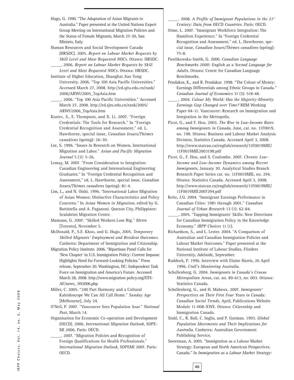Hugo, G. 1990. "The Adaptation of Asian Migrants to Australia." Paper presented at the United Nations Expert Group Meeting on International Migration Policies and the Status of Female Migrants, March 27-30, San Miniato, Italy.

Human Resources and Social Development Canada (HRSDC). 2005. *Report on Labour Market Requests by Skill Level and Most Requested NOCs*. Ottawa: HRSDC. \_\_\_\_\_. 2006. *Report on Labour Market Requests by Skill Level and Most Requested NOCs*. Ottawa: HRSDC.

Institute of Higher Education, Shanghai Jiao Tong University. 2006. "Top 100 Asia Pacific Universities." Accessed March 27, 2008. http://ed.sjtu.edu.cn/rank/ 2006/ARWU2005\_TopAsia.htm

\_\_\_\_\_. 2006. "Top 100 Asia Pacific Universities." Accessed March 27, 2008. http://ed.sjtu.edu.cn/rank/2005/ ARWU2006\_TopAsia.htm

Kustec, S., E. Thompson, and X. Li. 2007. "Foreign Credentials: The Tools for Research." In "Foreign Credential Recognition and Assessment," ed. L. Hawthorne, special issue, *Canadian Issues/Thèmes canadiens* (spring): 26-30.

Lee, S. 1996. "Issues in Research on Women, International Migration and Labor." *Asian and Pacific Migration Journal* 5 (1): 5-26.

- Lemay, M. 2007. "From Consideration to Integration: Canadian Engineering and International Engineering Graduates." In "Foreign Credential Recognition and Assessment," ed. L. Hawthorne, special issue, *Canadian Issues/Thèmes canadiens* (spring): 81-4.
- Lim, L., and N. Oishi. 1996. "International Labor Migration of Asian Women: Distinctive Characteristics and Policy Concerns." In *Asian Women in Migration*, edited by G. Battistella and A. Paganoni. Quezon City, Philippines: Scalabrini Migration Center.

Mamann, G. 2007. "Skilled Workers Lose Big." *Metro* [Toronto], November 5.

McDonald, P., S.E. Khoo, and G. Hugo, 2005. *Temporary Skilled Migrants' Employment and Resident Outcomes*. Canberra: Department of Immigration and Citizenship.

Migration Policy Institute. 2006. "Bipartisan Panel Calls for 'New Chapter' in U.S. Immigration Policy: Current Impasse Highlights Need for Forward-Looking Policies." Press release, September 20. Washington, DC: Independent Task Force on Immigration and America's Future. Accessed March 28, 2008. http://www.migration policy.org/ITFI-AF/news\_ 092006.php

Miller, C. 2005. "240 Part Harmony and a Cultural Kaleidoscope We Can All Call Home." *Sunday Age* [Melbourne], July 24.

O'Neil, P. 2007. "Vancouver Sees Population Soar." *National Post*, March 14.

Organisation for Economic Co-operation and Development (OECD). 2006. *International Migration Outlook*, SOPE-MI 2006. Paris: OECD.

\_\_\_\_\_. 2007. "Migration Policies and Recognition of Foreign Qualifications for Health Professionals." *International Migration Outlook*, SOPEMI 2007. Paris: OECD.

\_\_\_\_\_. 2008. *A Profile of Immigrant Populations in the 21st Century: Data from OECD Countries*. Paris: OECD.

Orme, L. 2007. "Immigrant Workforce Integration: The Hamilton Experience." In "Foreign Credential Recognition and Assessment," ed. L. Hawthorne, special issue, *Canadian Issues/Thèmes canadiens* (spring): 75-8.

Pawlikowska-Smith, G. 2000. *Canadian Language Benchmarks 2000: English as a Second Language for Adults*. Ottawa: Centre for Canadian Language Benchmarks.

Pendakur, K., and R. Pendakur. 1998. "The Colour of Money: Earnings Differentials among Ethnic Groups in Canada." *Canadian Journal of Economics* 31 (3): 518-48.

- \_\_\_\_\_. 2004. *Colour My World: Has the Majority-Minority Earnings Gap Changed over Time?* RIIM Working Paper 04-11. Vancouver: Research on Immigration and Integration in the Metropolis.
- Picot, G., and F. Hou. 2003. *The Rise in Low-Income Rates among Immigrants in Canada*, June, cat. no. 11F0019, no. 198. Ottawa: Business and Labour Market Analysis Division, Statistics Canada. Accessed April 3, 2008. http://www.statcan.ca/english/research/11F0019MIE/ 11F0019MIE2003198.pdf
- Picot, G., F. Hou, and S. Coulombe. 2007. *Chronic Low-Income and Low-Income Dynamics among Recent Immigrants*, January 30. Analytical Studies Branch Research Paper Series cat. no. 11F0019MIE, no. 294. Ottawa: Statistics Canada. Accessed April 3, 2008. http://www.statcan.ca/english/research/11F0019MIE/ 11F0019MIE2007294.pdf
- Reitz, J.G. 2004. "Immigrant Earnings Performance in Canadian Cities: 1981 through 2001." *Canadian Journal of Urban Research* 13 (1): 62-84.
- \_\_\_\_\_. 2005. "Tapping Immigrants' Skills: New Directions for Canadian Immigration Policy in the Knowledge Economy." *IRPP Choices* 11 (1).
- Richardson, S., and L. Lester. 2004. "A Comparison of Australian and Canadian Immigration Policies and Labour Market Outcomes." Paper presented at the National Institute of Labour Studies, Flinders University, Adelaide, September.
- Ruddock, P. 1996. Interview with Elaine Harris, 26 April 1996. *Croll's Monitoring Australia*.
- Schellenberg, G. 2004. *Immigrants in Canada's Census Metropolitan Areas*, cat. no. 89-613, no. 003. Ottawa: Statistics Canada.

Schellenberg, G., and H. Maheux. 2007. *Immigrants' Perspectives on Their First Four Years in Canada: Canadian Social Trends*, April, Publications Website Module 11-008-XWE. Ottawa: Citizenship and Immigration Canada.

Stahl, C., R. Ball, C. Inglis, and P. Gutman. 1993. *Global Population Movements and Their Implications for Australia*. Canberra: Australian Government Publishing Service.

Sweetman, A. 2005. "Immigration as a Labour Market Strategy: European and North American Perspectives. Canada." In *Immigration as a Labour Market Strategy:*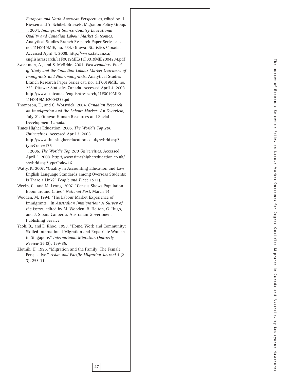*European and North American Perspectives*, edited by J. Niessen and Y. Schibel. Brussels: Migration Policy Group.

- \_\_\_\_\_. 2004. *Immigrant Source Country Educational Quality and Canadian Labour Market Outcomes* . Analytical Studies Branch Research Paper Series cat. no. 11F0019MIE, no. 234. Ottawa: Statistics Canada. Accessed April 4, 2008. http://www.statcan.ca/ english/research/11F0019MIE/11F0019MIE2004234.pdf
- Sweetman, A., and S. McBride. 2004. *Postsecondary Field of Study and the Canadian Labour Market Outcomes of Immigrants and Non-immigrants*. Analytical Studies Branch Research Paper Series cat. no. 11F0019MIE, no. 223. Ottawa: Statistics Canada. Accessed April 4, 2008. http://www.statcan.ca/english/research/11F0019MIE/ 11F0019MIE2004233.pdf
- Thompson, E., and C. Worswick. 2004. *Canadian Research on Immigration and the Labour Market: An Overview* , July 21. Ottawa: Human Resources and Social Development Canada.
- Times Higher Education. 2005. *The World's Top 200 Universities*. Accessed April 3, 2008. http://www.timeshighereducation.co.uk/hybrid.asp? typeCode=175
- \_\_\_\_\_. 2006. *The World's Top 200 Universities*. Accessed April 3, 2008. http://www.timeshighereducation.co.uk/ shybrid.asp?typeCode=161
- Watty, K. 2007. "Quality in Accounting Education and Low English Language Standards among Overseas Students: Is There a Link?" *People and Place* 15 (1).
- Weeks, C., and M. Leong. 2007. "Census Shows Population Boom around Cities." *National Post*, March 14.
- Wooden, M. 1994. "The Labour Market Experience of Immigrants." In *Australian Immigration: A Survey of the Issues*, edited by M. Wooden, R. Holton, G. Hugo, and J. Sloan. Canberra: Australian Government Publishing Service.
- Yeoh, B., and L. Khoo. 1998. "Home, Work and Community: Skilled International Migration and Expatriate Women in Singapore." *International Migration Quarterly Review* 36 (2): 159-85.
- Zlotnik, H. 1995. "Migration and the Family: The Female Perspective." *Asian and Pacific Migration Journal* 4 (2- 3): 253-71.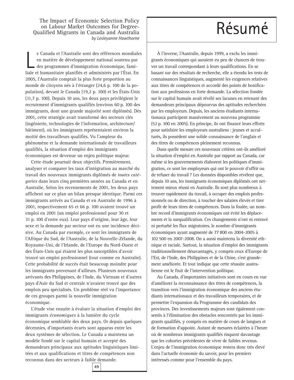The Impact of Economic Selection Policy<br>
on Labour Market Outcomes for Degree-<br>
valified Migrants in Canada and Australia on Labour Market Outcomes for Degree-Qualified Migrants in Canada and Australia *by Lesleyanne Hawthorne*

e Canada et l'Australie sont des références mondiale en matière de développement national soutenu par des programmes d'immigration économique, familiale et humanitaire planifiés et administrés par l'État. En e Canada et l'Australie sont des références mondiales en matière de développement national soutenu par des programmes d'immigration économique, fami-2005, l'Australie comptait la plus forte proportion au monde de citoyens nés à l'étranger (24,6 p. 100 de la population), devant le Canada (19,2 p. 100) et les États-Unis (11,7 p. 100). Depuis 10 ans, les deux pays privilégient le recrutement d'immigrants qualifiés (environ 60 p. 100 des immigrants, dont une grande majorité sont diplômés). Dès 2001, cette stratégie avait transformé des secteurs clés (ingénierie, technologies de l'information, architecture/ bâtiment), où les immigrants représentaient environ la moitié des travailleurs qualifiés. Vu l'ampleur du phénomène et la demande internationale de travailleurs qualifiés, la situation d'emploi des immigrants économiques est devenue un enjeu politique majeur.

Cette étude poursuit deux objectifs. Premièrement, analyser et comparer les taux d'intégration au marché du travail des nouveaux immigrants diplômés de *toutes catégories* dans leurs cinq premières années au Canada et en Australie. Selon les recensements de 2001, les deux pays affichent sur ce plan un bilan presque identique. Parmi ces immigrants arrivés au Canada et en Australie de 1996 à 2001, respectivement 65 et 66 p. 100 avaient trouvé un emploi en 2001 (un emploi professionnel pour 30 et 31 p. 100 d'entre eux). Leur pays d'origine, leur âge, leur sexe et la demande par secteur ont eu une incidence décisive. Au Canada par exemple, ce sont les immigrants de l'Afrique du Sud, de l'Australie, de la Nouvelle-Zélande, du Royaume-Uni, de l'Irlande, de l'Europe du Nord-Ouest et des États-Unis qui étaient les plus susceptibles d'avoir trouvé un emploi professionnel (tout comme en Australie). Cette probabilité de succès était beaucoup moindre pour les immigrants provenant d'ailleurs. Plusieurs nouveaux arrivants des Philippines, de l'Inde, du Vietnam et d'autres pays d'Asie du Sud et centrale n'avaient trouvé que des emplois peu spécialisés. Un problème réel vu l'importance de ces groupes parmi la nouvelle immigration économique.

L'étude vise ensuite à évaluer la situation d'emploi des immigrants *économiques* à la lumière du cycle économique semblable des deux pays. Or depuis quelques décennies, d'importants écarts sont apparus entre les deux systèmes de sélection. Le Canada a maintenu un modèle fondé sur le capital humain et accepté des demandeurs principaux aux aptitudes linguistiques limitées et aux qualifications et titres de compétences non reconnus dans des secteurs à faible demande.

À l'inverse, l'Australie, depuis 1999, a exclu les immigrants économiques qui auraient eu peu de chances de trouver un travail correspondant à leurs qualifications. En se basant sur des résultats de recherche, elle a étendu les tests de connaissances linguistiques, augmenté les exigences relatives aux titres de compétences et accordé des points de bonification aux professions en forte demande. La sélection fondée sur le capital humain avait révélé ses lacunes en retenant des demandeurs principaux dépourvus des aptitudes recherchées par les employeurs. Depuis, les anciens étudiants internationaux participent massivement au nouveau programme (52 p. 100 en 2005). En principe, ils ont financé leurs efforts pour satisfaire les employeurs australiens : jeunes et acculturés, ils possèdent une solide connaissance de l'anglais et des titres de compétences pleinement reconnus.

Dans quelle mesure ces nouveaux critères ont-ils amélioré la situation d'emploi en Australie par rapport au Canada, car même si les gouvernements élaborent les politiques d'immigration, ce sont les employeurs qui ont le pouvoir d'offrir ou de refuser du travail ? Les données disponibles révèlent que, depuis 10 ans, les immigrants économiques diplômés ont nettement mieux réussi en Australie. Ils sont plus nombreux à trouver rapidement du travail, à occuper des emplois professionnels ou de direction, à toucher des salaires élevés et tirer profit de leurs titres de compétences. Dans la foulée, un nombre record d'immigrants économiques ont évité les déplacements et la surqualification. Ces changements n'ont ni entravé ni perturbé les flux migratoires, le nombre d'immigrants économiques ayant augmenté de 77 800 en 2004-2005 à 102 500 en 2007-2008. On a aussi maintenu la diversité ethnique et raciale. Surtout, la situation d'emploi des immigrants traditionnellement désavantagés, y compris ceux d'Europe de l'Est, de l'Inde, des Philippines et de la Chine, s'est grandement améliorée. Et tout indique que cette réussite australienne est le fruit de l'intervention politique.

Au Canada, d'importantes initiatives sont en cours en vue d'améliorer la reconnaissance des titres de compétences, la transition vers l'immigration économique des anciens étudiants internationaux et des travailleurs temporaires, et de permettre l'expansion du Programme des candidats des provinces. Des investissements majeurs sont également consentis à l'élimination des obstacles rencontrés par les immigrants qualifiés, y compris en matière de cours de langues et de formation d'appoint. Autant de mesures éclairées à l'heure où de nombreux immigrants qualifiés risquent davantage que les cohortes précédentes de vivre de faibles revenus. L'enjeu de l'immigration économique restera donc très élevé dans l'actuelle économie du savoir, pour les premiers intéressés comme pour l'ensemble du pays.